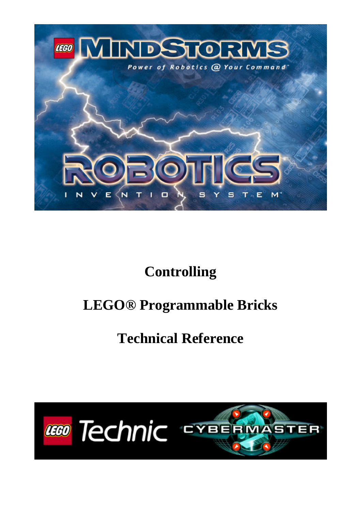

# **Controlling**

# **LEGO® Programmable Bricks**

# **Technical Reference**

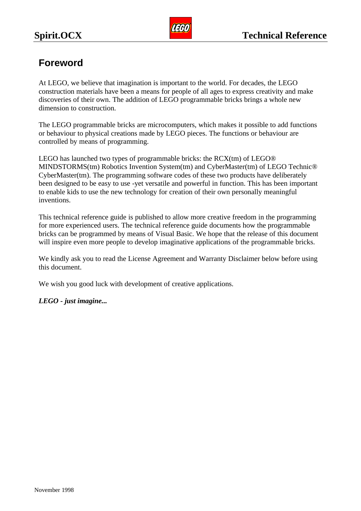

## **Foreword**

At LEGO, we believe that imagination is important to the world. For decades, the LEGO construction materials have been a means for people of all ages to express creativity and make discoveries of their own. The addition of LEGO programmable bricks brings a whole new dimension to construction.

The LEGO programmable bricks are microcomputers, which makes it possible to add functions or behaviour to physical creations made by LEGO pieces. The functions or behaviour are controlled by means of programming.

LEGO has launched two types of programmable bricks: the RCX(tm) of LEGO® MINDSTORMS(tm) Robotics Invention System(tm) and CyberMaster(tm) of LEGO Technic® CyberMaster(tm). The programming software codes of these two products have deliberately been designed to be easy to use -yet versatile and powerful in function. This has been important to enable kids to use the new technology for creation of their own personally meaningful inventions.

This technical reference guide is published to allow more creative freedom in the programming for more experienced users. The technical reference guide documents how the programmable bricks can be programmed by means of Visual Basic. We hope that the release of this document will inspire even more people to develop imaginative applications of the programmable bricks.

We kindly ask you to read the License Agreement and Warranty Disclaimer below before using this document.

We wish you good luck with development of creative applications.

## *LEGO - just imagine...*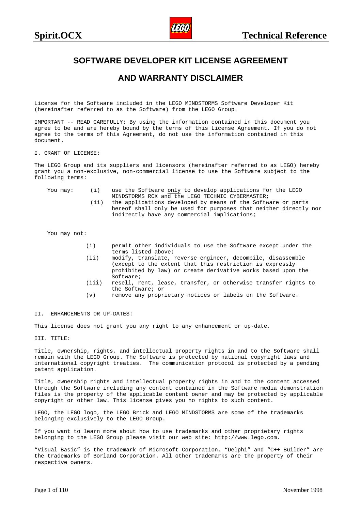

## <span id="page-2-0"></span>**SOFTWARE DEVELOPER KIT LICENSE AGREEMENT**

### **AND WARRANTY DISCLAIMER**

License for the Software included in the LEGO MINDSTORMS Software Developer Kit (hereinafter referred to as the Software) from the LEGO Group.

IMPORTANT -- READ CAREFULLY: By using the information contained in this document you agree to be and are hereby bound by the terms of this License Agreement. If you do not agree to the terms of this Agreement, do not use the information contained in this document.

#### I. GRANT OF LICENSE:

The LEGO Group and its suppliers and licensors (hereinafter referred to as LEGO) hereby grant you a non-exclusive, non-commercial license to use the Software subject to the following terms:

- You may: (i) use the Software only to develop applications for the LEGO MINDSTORMS RCX and the LEGO TECHNIC CYBERMASTER;
	- (ii) the applications developed by means of the Software or parts hereof shall only be used for purposes that neither directly nor indirectly have any commercial implications;

You may not:

- (i) permit other individuals to use the Software except under the terms listed above;
- (ii) modify, translate, reverse engineer, decompile, disassemble (except to the extent that this restriction is expressly prohibited by law) or create derivative works based upon the Software;
- (iii) resell, rent, lease, transfer, or otherwise transfer rights to the Software; or
- (v) remove any proprietary notices or labels on the Software.

#### II. ENHANCEMENTS OR UP-DATES:

This license does not grant you any right to any enhancement or up-date.

III. TITLE:

Title, ownership, rights, and intellectual property rights in and to the Software shall remain with the LEGO Group. The Software is protected by national copyright laws and international copyright treaties. The communication protocol is protected by a pending patent application.

Title, ownership rights and intellectual property rights in and to the content accessed through the Software including any content contained in the Software media demonstration files is the property of the applicable content owner and may be protected by applicable copyright or other law. This license gives you no rights to such content.

LEGO, the LEGO logo, the LEGO Brick and LEGO MINDSTORMS are some of the trademarks belonging exclusively to the LEGO Group.

If you want to learn more about how to use trademarks and other proprietary rights belonging to the LEGO Group please visit our web site: http://www.lego.com.

"Visual Basic" is the trademark of Microsoft Corporation. "Delphi" and "C++ Builder" are the trademarks of Borland Corporation. All other trademarks are the property of their respective owners.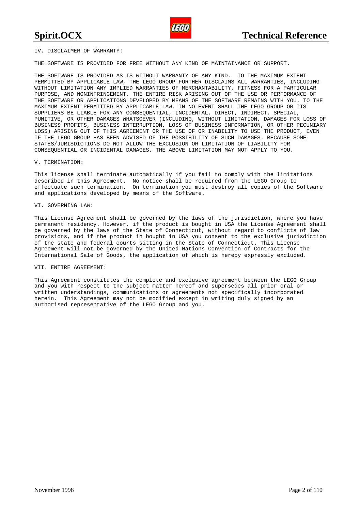IV. DISCLAIMER OF WARRANTY:

THE SOFTWARE IS PROVIDED FOR FREE WITHOUT ANY KIND OF MAINTAINANCE OR SUPPORT.

THE SOFTWARE IS PROVIDED AS IS WITHOUT WARRANTY OF ANY KIND. TO THE MAXIMUM EXTENT PERMITTED BY APPLICABLE LAW, THE LEGO GROUP FURTHER DISCLAIMS ALL WARRANTIES, INCLUDING WITHOUT LIMITATION ANY IMPLIED WARRANTIES OF MERCHANTABILITY, FITNESS FOR A PARTICULAR PURPOSE, AND NONINFRINGEMENT. THE ENTIRE RISK ARISING OUT OF THE USE OR PERFORMANCE OF THE SOFTWARE OR APPLICATIONS DEVELOPED BY MEANS OF THE SOFTWARE REMAINS WITH YOU. TO THE MAXIMUM EXTENT PERMITTED BY APPLICABLE LAW, IN NO EVENT SHALL THE LEGO GROUP OR ITS SUPPLIERS BE LIABLE FOR ANY CONSEQUENTIAL, INCIDENTAL, DIRECT, INDIRECT, SPECIAL, PUNITIVE, OR OTHER DAMAGES WHATSOEVER (INCLUDING, WITHOUT LIMITATION, DAMAGES FOR LOSS OF BUSINESS PROFITS, BUSINESS INTERRUPTION, LOSS OF BUSINESS INFORMATION, OR OTHER PECUNIARY LOSS) ARISING OUT OF THIS AGREEMENT OR THE USE OF OR INABILITY TO USE THE PRODUCT, EVEN IF THE LEGO GROUP HAS BEEN ADVISED OF THE POSSIBILITY OF SUCH DAMAGES. BECAUSE SOME STATES/JURISDICTIONS DO NOT ALLOW THE EXCLUSION OR LIMITATION OF LIABILITY FOR CONSEQUENTIAL OR INCIDENTAL DAMAGES, THE ABOVE LIMITATION MAY NOT APPLY TO YOU.

#### V. TERMINATION:

This license shall terminate automatically if you fail to comply with the limitations described in this Agreement. No notice shall be required from the LEGO Group to effectuate such termination. On termination you must destroy all copies of the Software and applications developed by means of the Software.

#### VI. GOVERNING LAW:

This License Agreement shall be governed by the laws of the jurisdiction, where you have permanent residency. However, if the product is bought in USA the License Agreement shall be governed by the laws of the State of Connecticut, without regard to conflicts of law provisions, and if the product in bought in USA you consent to the exclusive jurisdiction of the state and federal courts sitting in the State of Connecticut. This License Agreement will not be governed by the United Nations Convention of Contracts for the International Sale of Goods, the application of which is hereby expressly excluded.

#### VII. ENTIRE AGREEMENT:

This Agreement constitutes the complete and exclusive agreement between the LEGO Group and you with respect to the subject matter hereof and supersedes all prior oral or written understandings, communications or agreements not specifically incorporated herein. This Agreement may not be modified except in writing duly signed by an authorised representative of the LEGO Group and you.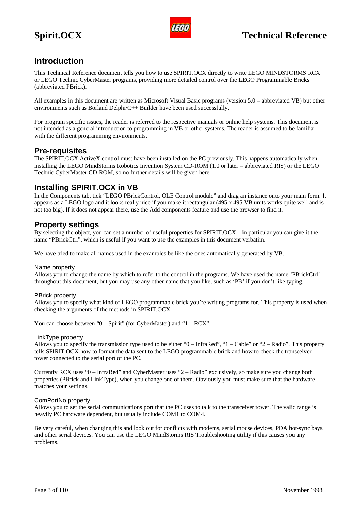## <span id="page-4-0"></span>**Introduction**

This Technical Reference document tells you how to use SPIRIT.OCX directly to write LEGO MINDSTORMS RCX or LEGO Technic CyberMaster programs, providing more detailed control over the LEGO Programmable Bricks (abbreviated PBrick).

All examples in this document are written as Microsoft Visual Basic programs (version 5.0 – abbreviated VB) but other environments such as Borland Delphi/C++ Builder have been used successfully.

For program specific issues, the reader is referred to the respective manuals or online help systems. This document is not intended as a general introduction to programming in VB or other systems. The reader is assumed to be familiar with the different programming environments.

## **Pre-requisites**

The SPIRIT.OCX ActiveX control must have been installed on the PC previously. This happens automatically when installing the LEGO MindStorms Robotics Invention System CD-ROM (1.0 or later – abbreviated RIS) or the LEGO Technic CyberMaster CD-ROM, so no further details will be given here.

## **Installing SPIRIT.OCX in VB**

In the Components tab, tick "LEGO PBrickControl, OLE Control module" and drag an instance onto your main form. It appears as a LEGO logo and it looks really nice if you make it rectangular (495 x 495 VB units works quite well and is not too big). If it does not appear there, use the Add components feature and use the browser to find it.

## **Property settings**

By selecting the object, you can set a number of useful properties for SPIRIT.OCX – in particular you can give it the name "PBrickCtrl", which is useful if you want to use the examples in this document verbatim.

We have tried to make all names used in the examples be like the ones automatically generated by VB.

#### Name property

Allows you to change the name by which to refer to the control in the programs. We have used the name 'PBrickCtrl' throughout this document, but you may use any other name that you like, such as 'PB' if you don't like typing.

#### PBrick property

Allows you to specify what kind of LEGO programmable brick you're writing programs for. This property is used when checking the arguments of the methods in SPIRIT.OCX.

You can choose between "0 – Spirit" (for CyberMaster) and "1 – RCX".

#### LinkType property

Allows you to specify the transmission type used to be either "0 – InfraRed", "1 – Cable" or "2 – Radio". This property tells SPIRIT.OCX how to format the data sent to the LEGO programmable brick and how to check the transceiver tower connected to the serial port of the PC.

Currently RCX uses "0 – InfraRed" and CyberMaster uses "2 – Radio" exclusively, so make sure you change both properties (PBrick and LinkType), when you change one of them. Obviously you must make sure that the hardware matches your settings.

#### ComPortNo property

Allows you to set the serial communications port that the PC uses to talk to the transceiver tower. The valid range is heavily PC hardware dependent, but usually include COM1 to COM4.

Be very careful, when changing this and look out for conflicts with modems, serial mouse devices, PDA hot-sync bays and other serial devices. You can use the LEGO MindStorms RIS Troubleshooting utility if this causes you any problems.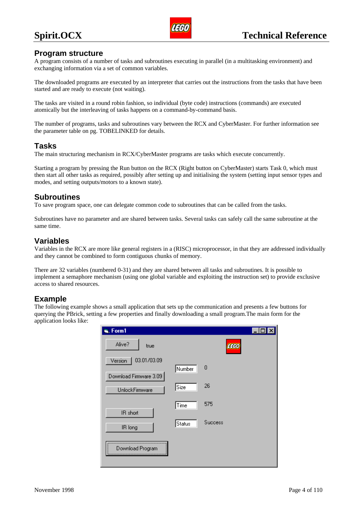

### <span id="page-5-0"></span>**Program structure**

A program consists of a number of tasks and subroutines executing in parallel (in a multitasking environment) and exchanging information via a set of common variables.

The downloaded programs are executed by an interpreter that carries out the instructions from the tasks that have been started and are ready to execute (not waiting).

The tasks are visited in a round robin fashion, so individual (byte code) instructions (commands) are executed atomically but the interleaving of tasks happens on a command-by-command basis.

The number of programs, tasks and subroutines vary between the RCX and CyberMaster. For further information see the parameter table on pg. TOBELINKED for details.

## **Tasks**

The main structuring mechanism in RCX/CyberMaster programs are tasks which execute concurrently.

Starting a program by pressing the Run button on the RCX (Right button on CyberMaster) starts Task 0, which must then start all other tasks as required, possibly after setting up and initialising the system (setting input sensor types and modes, and setting outputs/motors to a known state).

## **Subroutines**

To save program space, one can delegate common code to subroutines that can be called from the tasks.

Subroutines have no parameter and are shared between tasks. Several tasks can safely call the same subroutine at the same time.

## **Variables**

Variables in the RCX are more like general registers in a (RISC) microprocessor, in that they are addressed individually and they cannot be combined to form contiguous chunks of memory.

There are 32 variables (numbered 0-31) and they are shared between all tasks and subroutines. It is possible to implement a semaphore mechanism (using one global variable and exploiting the instruction set) to provide exclusive access to shared resources.

## **Example**

The following example shows a small application that sets up the communication and presents a few buttons for querying the PBrick, setting a few properties and finally downloading a small program.The main form for the application looks like:

| is, Form1              |               |             |  |
|------------------------|---------------|-------------|--|
| Alive?<br>true         |               | <b>LEGO</b> |  |
| 03.01/03.09<br>Version |               |             |  |
| Download Firmware 3.09 | Number        | 0           |  |
| UnlockFirmware         | Size          | 26          |  |
|                        | ∏ime          | 575         |  |
| IR short<br>IR long    | <b>Status</b> | Success     |  |
| Download Program       |               |             |  |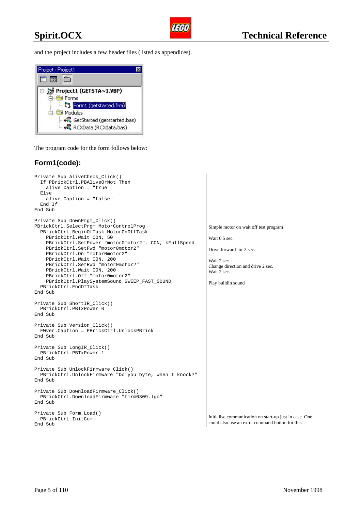

and the project includes a few header files (listed as appendices).



The program code for the form follows below:

## **Form1(code):**

```
Private Sub AliveCheck_Click()
   If PBrickCtrl.PBAliveOrNot Then
     alive.Caption = "true"
   Else
     alive.Caption = "false"
   End If
End Sub
Private Sub DownPrgm_Click()
PBrickCtrl.SelectPrgm MotorControlProg
   PBrickCtrl.BeginOfTask MotorOnOffTask
    PBrickCtrl.Wait CON, 50
     PBrickCtrl.SetPower "motor0motor2", CON, kFullSpeed
     PBrickCtrl.SetFwd "motor0motor2"
     PBrickCtrl.On "motor0motor2"
     PBrickCtrl.Wait CON, 200
     PBrickCtrl.SetRwd "motor0motor2"
     PBrickCtrl.Wait CON, 200
     PBrickCtrl.Off "motor0motor2"
     PBrickCtrl.PlaySystemSound SWEEP_FAST_SOUND
  PBrickCtrl.EndOfTask
End Sub
Private Sub ShortIR_Click()
  PBrickCtrl.PBTxPower 0
End Sub
Private Sub Version_Click()
  FWver.Caption = PBrickCtrl.UnlockPBrick
End Sub
Private Sub LongIR_Click()
  PBrickCtrl.PBTxPower 1
End Sub
Private Sub UnlockFirmware_Click()
  PBrickCtrl.UnlockFirmware "Do you byte, when I knock?"
End Sub
Private Sub DownloadFirmware_Click()
  PBrickCtrl.DownloadFirmware "firm0309.lgo"
End Sub
Private Sub Form_Load()
   PBrickCtrl.InitComm
End Sub
```
Simple motor on wait off test program

Wait 0.5 sec.

Drive forward for 2 sec.

Wait 2 sec. Change direction and drive 2 sec. Wait 2 sec.

Play buildin sound

Initialise communication on start-up just in case. One could also use an extra command button for this.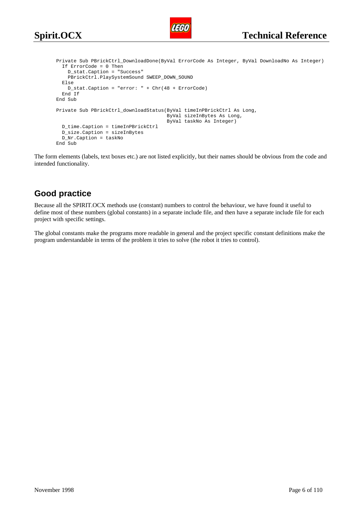

```
Private Sub PBrickCtrl_DownloadDone(ByVal ErrorCode As Integer, ByVal DownloadNo As Integer)
   If ErrorCode = 0 Then
    D stat.Caption = "Success"
    PBrickCtrl.PlaySystemSound SWEEP_DOWN_SOUND
  Else
    D_stat.Caption = "error: " + Chr(48 + ErrorCode)
  End If
End Sub
Private Sub PBrickCtrl_downloadStatus(ByVal timeInPBrickCtrl As Long,
                                       ByVal sizeInBytes As Long,
                                       ByVal taskNo As Integer)
  D_time.Caption = timeInPBrickCtrl
  D_size.Caption = sizeInBytes
  D_Nr.Caption = taskNo
End Sub
```
The form elements (labels, text boxes etc.) are not listed explicitly, but their names should be obvious from the code and intended functionality.

## **Good practice**

Because all the SPIRIT.OCX methods use (constant) numbers to control the behaviour, we have found it useful to define most of these numbers (global constants) in a separate include file, and then have a separate include file for each project with specific settings.

The global constants make the programs more readable in general and the project specific constant definitions make the program understandable in terms of the problem it tries to solve (the robot it tries to control).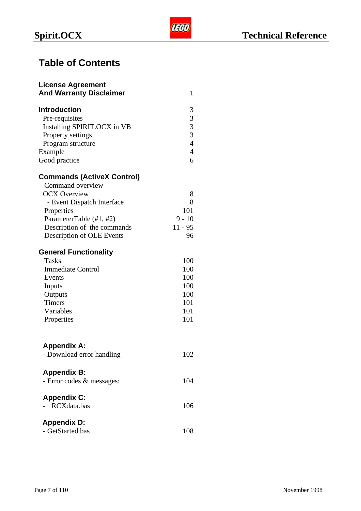## **Table of Contents**

| <b>License Agreement</b><br><b>And Warranty Disclaimer</b> | 1              |
|------------------------------------------------------------|----------------|
| <b>Introduction</b>                                        | 3              |
| Pre-requisites                                             | 3              |
| Installing SPIRIT.OCX in VB                                |                |
| Property settings                                          | $\frac{3}{3}$  |
| Program structure                                          | $\overline{4}$ |
| Example                                                    | $\overline{4}$ |
| Good practice                                              | 6              |
| <b>Commands (ActiveX Control)</b>                          |                |
| Command overview                                           |                |
| <b>OCX Overview</b>                                        | 8              |
| - Event Dispatch Interface                                 | 8              |
| Properties                                                 | 101            |
| ParameterTable (#1, #2)                                    | $9 - 10$       |
| Description of the commands                                | $11 - 95$      |
| Description of OLE Events                                  | 96             |
| <b>General Functionality</b>                               |                |
| <b>Tasks</b>                                               | 100            |
| <b>Immediate Control</b>                                   | 100            |
| Events                                                     | 100            |
| Inputs                                                     | 100            |
| Outputs                                                    | 100            |
| <b>Timers</b>                                              | 101            |
| Variables                                                  | 101            |
| Properties                                                 | 101            |
| <b>Appendix A:</b>                                         |                |
| - Download error handling                                  | 102            |
| <b>Appendix B:</b>                                         |                |
| - Error codes & messages:                                  | 104            |
| <b>Appendix C:</b>                                         |                |
| RCXdata.bas                                                | 106            |
| <b>Appendix D:</b>                                         |                |
| - GetStarted.bas                                           | 108            |
|                                                            |                |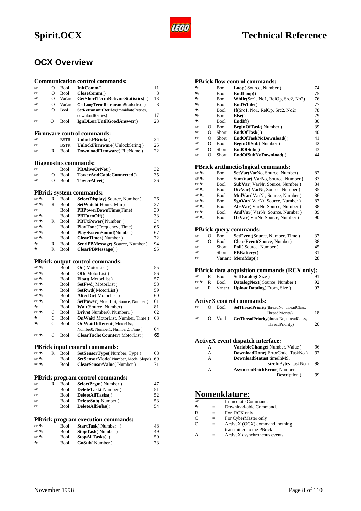## <span id="page-9-0"></span>**OCX Overview**

|          |          |                            | <b>Communication control commands:</b>         |          |
|----------|----------|----------------------------|------------------------------------------------|----------|
| IΨ       | $\Omega$ | <b>Bool</b>                | InitComm()                                     | 11       |
| 田        | О        | <b>Bool</b>                | CloseComm()                                    | 8        |
| 田        | О        | Variant                    | GetShortTermRetransStatistics()                | 13       |
| w        | O        | Variant                    | GetLongTermRetransmitStatistics()              | 8        |
| ra       | $\Omega$ | <b>Bool</b>                | SetRetransmitRetries(immidiateRetries,         |          |
|          |          |                            | downloadRetries)                               | 17       |
| 田        | O        | Bool                       | IgnDLerrUntilGoodAnswer()                      | 23       |
|          |          |                            |                                                |          |
|          |          |                            | <b>Firmware control commands:</b>              |          |
| IΨ       |          | <b>BSTR</b>                | UnlockPBrick()                                 | 24       |
| 田<br>旸   |          | <b>BSTR</b>                | <b>UnlockFirmware</b> (UnlockString)           | 25       |
|          | R        | Bool                       | DownloadFirmware(FileName)                     | 22       |
|          |          |                            |                                                |          |
|          |          |                            | Diagnostics commands:                          |          |
| 15F      |          | <b>Bool</b>                | <b>PBAliveOrNot()</b>                          | 32       |
| 田        | О        | <b>Bool</b>                | TowerAndCableConnected()                       | 35       |
| 旸        | $\Omega$ | <b>Bool</b>                | TowerAlive()                                   | 36       |
|          |          |                            |                                                |          |
|          |          |                            | <b>PBrick system commands:</b>                 |          |
| ☞€       | R        | Bool                       | <b>SelectDisplay</b> (Source, Number)          | 26       |
| ☞€<br>ra | R        | <b>Bool</b>                | SetWatch (Hours, Min)                          | 27       |
| 田も       |          | <b>Bool</b>                | PBPowerDownTime(Time)                          | 30<br>33 |
| ☞€       |          | <b>Bool</b><br><b>Bool</b> | <b>PBTurnOff()</b>                             | 34       |
| ☞€       | R        | <b>Bool</b>                | PBTxPower(Number)<br>PlayTone(Frequency, Time) | 66       |
| ☞€       |          | Bool                       | PlaySystemSound(Number)                        | 67       |
| ☞€       |          | <b>Bool</b>                | ClearTimer(Number)                             | 72       |
| ଛ        | R        | <b>Bool</b>                | SendPBMessage(Source, Number)                  | 94       |
| ଛ        | R        | <b>Bool</b>                | ClearPBMessage()                               | 95       |
|          |          |                            |                                                |          |
|          |          |                            | <b>PBrick output control commands:</b>         |          |
| ☞€       |          | <b>Bool</b>                | <b>On</b> (MotorList)                          | 55       |
| ☞€       |          | <b>Bool</b>                | <b>Off</b> (MotorList)                         | 56       |
| ☞€       |          | <b>Bool</b>                | <b>Float</b> (MotorList)                       | 57       |
| 田 气      |          | <b>Bool</b>                | SetFwd(MotorList)                              | 58       |
| ☞€       |          | Bool                       | SetRwd(MotorList)                              | 59       |
| ☞€       |          | <b>Bool</b>                | AlterDir(MotorList)                            | 60       |
| 田も       |          | <b>Bool</b>                | SetPower(MotorList, Source, Number)            | 61       |
| ຣ        |          | <b>Bool</b>                | Wait(Source, Number)                           | 81       |
| ☞€       | C        | <b>Bool</b>                | Drive(Number0, Number1)                        | 62       |
| €        | C        | <b>Bool</b>                | <b>OnWait</b> (MotorList, Number, Time)        | 63       |
| ଛ        | C        | <b>Bool</b>                | <b>OnWaitDifferent</b> (MotorList,             |          |
|          |          |                            | Number0, Number1, Number2, Time)               | 64       |
| 田も       | C        | <b>Bool</b>                | ClearTachoCounter(MotorList)                   | 65       |
|          |          |                            |                                                |          |
|          |          |                            | <b>PBrick input control commands:</b>          |          |
| ☞€       | R        | <b>Bool</b>                | <b>SetSensorType</b> (Number, Type)            | 68       |
| ☞€       |          | Bool                       | SetSensorMode(Number, Mode, Slope)             | 69       |
| 田も       |          | Bool                       | ClearSensorValue(Number)                       | 71       |
|          |          |                            |                                                |          |
|          |          |                            | PBrick program control commands:               |          |
| 旸        | R        | Bool                       | <b>SelectPrgm</b> (Number)                     | 47       |
| ra       |          | <b>Bool</b>                | DeleteTask(Number)                             | 51       |
| 旸        |          | Bool                       | DeleteAllTasks()                               | 52       |
| 旸        |          | Bool                       | DeleteSub(Number)                              | 53       |
| 旸        |          | Bool                       | DeleteAllSubs()                                | 54       |
|          |          |                            |                                                |          |
|          |          |                            | <b>PBrick program execution commands:</b>      |          |
| ☞€∖      |          | <b>Bool</b>                | StartTask(Number)                              | 48       |
| ☞€∖      |          | Bool                       | StopTask(Number)                               | 49       |
| ☞€       |          | Bool                       | StopAllTasks()                                 | 50       |
| ۰        |          | Bool                       | GoSub(Number)                                  | 73       |

#### **PBrick flow control commands:**

| €         |                | Bool        | Loop(Source, Number)                         | 74 |
|-----------|----------------|-------------|----------------------------------------------|----|
| $\bullet$ |                | Bool        | EndLoop()                                    | 75 |
| €         |                | Bool        | While(Src1, No1, RelOp, Src2, No2)           | 76 |
| €         |                | Bool        | EndWhile()                                   | 77 |
| €         |                | Bool        | If(Src1, No1, RelOp, Src2, No2)              | 78 |
| €         |                | Bool        | Else()                                       | 79 |
| €         |                | Bool        | EndIf()                                      | 80 |
| IΨ        | O              | Bool        | <b>BeginOfTask</b> (Number)                  | 39 |
| 田         | $\overline{O}$ | Short       | EndOfTask()                                  | 40 |
| 田         | $\overline{O}$ | Short       | EndOfTaskNoDownload()                        | 41 |
| ræ        | $\overline{O}$ | <b>Bool</b> | BeginOfSub(Number)                           | 42 |
| 旸         | $\overline{O}$ | Short       | EndOfSub()                                   | 43 |
| IΨ        | $\overline{O}$ | Short       | EndOfSubNoDownload()                         | 44 |
|           |                |             | PBrick arithmetic/logical commands:          |    |
| 田も        |                | Bool        | SetVar(VarNo, Source, Number)                | 82 |
| 田も        |                | Bool        | SumVar(VarNo, Source, Number)                | 83 |
| ☞€∖       |                | Bool        | SubVar(VarNr, Source, Number)                | 84 |
| 田も        |                | Bool        | DivVar(VarNr, Source, Number)                | 85 |
| 田も        |                | Bool        | MulVar(VarNr, Source, Number)                | 86 |
| ☞€        |                | Bool        | SgnVar(VarNr, Source, Number)                | 87 |
| 田も        |                | Bool        | AbsVar(VarNr, Source, Number)                | 88 |
| ☞€        |                | Bool        | AndVar(VarNr, Source, Number)                | 89 |
| ☞€        |                | Bool        | <b>OrVar</b> (VarNr, Source, Number)         | 90 |
|           |                |             |                                              |    |
|           |                |             | <b>PBrick query commands:</b>                |    |
| œ         | O              | Bool        | <b>SetEvent</b> (Source, Number, Time)       | 37 |
| œ         | $\Omega$       | Bool        | ClearEvent(Source, Number)                   | 38 |
| IΨ        |                | Short       | Poll(Source, Number)                         | 45 |
| 田         |                | Short       | <b>PBBattery()</b>                           | 31 |
| 旸         |                |             | Variant MemMap()                             | 28 |
|           |                |             | PBrick data acquisition commands (RCX only): |    |
| œ         | R              | Bool        | <b>SetDatalog(Size)</b>                      | 91 |
| 田气        | R              | Bool        | DatalogNext(Source, Number)                  | 92 |
| IΨ        | R              | Variant     | <b>UploadDatalog</b> (From, Size)            | 93 |
|           |                |             |                                              |    |
|           |                |             | <b>ActiveX</b> control commands:             |    |
| œ         | О              | <b>Bool</b> | SetThreadPriority(threadNo, threadClass,     |    |
|           |                |             | ThreadPriority)                              | 18 |
| IΨ        | $\Omega$       | Void        | GetThreadPriority(threadNo, threadClass,     |    |
|           |                |             | ThreadPriority)                              | 20 |
|           |                |             |                                              |    |
|           |                |             | ActiveX event dispatch interface:            |    |
|           | A              |             | VariableChange(Number, Value)                | 96 |
|           | A              |             | DownloadDone(ErrorCode, TaskNo)              | 97 |
|           | A              |             | DownloadStatus( timeInMS,                    |    |
|           |                |             | sizeInBytes, taskNo)                         | 98 |
|           | A              |             | AsyncronBrickError(Number,                   |    |
|           |                |             | Description)                                 | 99 |
|           |                |             |                                              |    |

## **Nomenklature:**

| Immediate Command.<br>匣 |  |
|-------------------------|--|
|-------------------------|--|

- = Download-able Command.<br>
R = For RCX only<br>
C = For CyberMaster only
	- $=$  For RCX only<br>= For CyberMaster
- $\begin{array}{ccc}\n\text{C} & = & \text{For CyberMaster only} \\
\text{O} & = & \text{ActiveX (OCX) comm}\n\end{array}$ 
	- ActiveX (OCX) command, nothing transmitted to the PBrick
- A = ActiveX asynchroneous events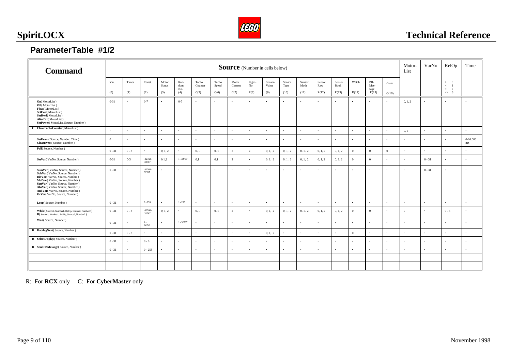

## <span id="page-10-0"></span>**ParameterTable #1/2**

| <b>Command</b>                                                                                                                                                                                                                                                      | <b>Source</b> (Number in cells below) |                  |                     |                  |                    |                   |                   |                  | Motor-<br>List    | VarNo            | RelOp             | Time              |                    |                    |                    |                     |                    |                |           |                                                                      |                  |
|---------------------------------------------------------------------------------------------------------------------------------------------------------------------------------------------------------------------------------------------------------------------|---------------------------------------|------------------|---------------------|------------------|--------------------|-------------------|-------------------|------------------|-------------------|------------------|-------------------|-------------------|--------------------|--------------------|--------------------|---------------------|--------------------|----------------|-----------|----------------------------------------------------------------------|------------------|
|                                                                                                                                                                                                                                                                     | Var.                                  | Timer            | Const.              | Motor<br>Status  | Ran-<br>dom<br>No. | Tacho<br>Counter  | Tacho<br>Speed    | Motor<br>Current | Prgm-<br>No       | Sensor-<br>Value | Sensor<br>Type    | Sensor<br>Mode    | Sensor<br>Raw      | Sensor<br>Bool.    | Watch              | PB-<br>Mes-<br>sage | $\rm{AGC}$         |                |           | $\geq$<br>$\overline{0}$<br>$\,<$<br>$\overline{1}$<br>2<br>$=$ $\,$ |                  |
| <b>On</b> (MotorList)                                                                                                                                                                                                                                               | (0)<br>$0 - 31$                       | (1)<br>$\bullet$ | (2)<br>$0 - 7$      | (3)<br>$\bullet$ | (4)<br>$0-7$       | C(5)<br>$\bullet$ | C(6)<br>$\bullet$ | C(7)             | R(8)<br>$\bullet$ | (9)<br>$\bullet$ | (10)<br>$\bullet$ | (11)<br>$\bullet$ | R(12)<br>$\bullet$ | R(13)<br>$\bullet$ | R(14)<br>$\bullet$ | R(15)<br>$\cdot$    | C(16)<br>$\bullet$ | 0, 1, 2        | $\bullet$ | $\circ$ 3<br>$\bullet$                                               | ٠                |
| <b>Off</b> (MotorList)<br>Float(MotorList)<br>SetFwd(MotorList)<br>SetRwd(MotorList)<br>AlterDir(MotorList)<br>SetPower(MotorList, Source, Number)                                                                                                                  |                                       |                  |                     |                  |                    |                   |                   |                  |                   |                  |                   |                   |                    |                    |                    |                     |                    |                |           |                                                                      |                  |
| C ClearTachoCounter(MotorList)                                                                                                                                                                                                                                      | $\bullet$                             | $\bullet$        | $\bullet$           | $\bullet$        | $\bullet$          | $\cdot$           | $\bullet$         |                  | $\bullet$         | $\bullet$        | $\bullet$         | $\bullet$         | $\bullet$          | $\bullet$          | $\bullet$          | $\bullet$           | $\bullet$          | 0, 1           | $\bullet$ | $\bullet$                                                            | $\bullet$        |
| SetEvent(Source, Number, Time)<br>ClearEvent(Source, Number)                                                                                                                                                                                                        | $\mathbf{0}$                          | $\bullet$        | $\bullet$           | $\bullet$        | $\bullet$          | $\cdot$           | $\bullet$         | $\bullet$        | $\bullet$         | $\bullet$        | $\bullet$         | $\bullet$         | $\bullet$          | $\bullet$          | $\bullet$          | $\cdot$             | $\bullet$          | $\bullet$      | $\bullet$ | ٠                                                                    | $0-10.000$<br>mS |
| Poll(Source, Number)                                                                                                                                                                                                                                                | $0 - 31$                              | $0 - 3$          | $\bullet$           | 0, 1, 2          | $\bullet$          | 0, 1              | 0, 1              | 2                | $\mathbf{x}$      | 0, 1, 2          | 0, 1, 2           | 0, 1, 2           | 0, 1, 2            | 0, 1, 2            | $\overline{0}$     | $\overline{0}$      | $\overline{0}$     | $\bullet$      | $\bullet$ | $\bullet$                                                            | $\bullet$        |
| SetVar(VarNo, Source, Number)                                                                                                                                                                                                                                       | $0 - 31$                              | $0 - 3$          | $-32768 -$<br>32767 | 0,1,2            | $1 - 32767$        | 0,1               | 0,1               | 2                | $\bullet$         | 0, 1, 2          | 0, 1, 2           | 0, 1, 2           | 0, 1, 2            | 0, 1, 2            | $\overline{0}$     | $\overline{0}$      | $\bullet$          | $\bullet$      | $0 - 31$  | $\bullet$                                                            | $\bullet$        |
| SumVar(VarNo, Source, Number)<br>SubVar(VarNo, Source, Number)<br>DivVar(VarNo, Source, Number)<br>MulVar(VarNo, Source, Number)<br>SgnVar(VarNo, Source, Number)<br>AbsVar(VarNo, Source, Number)<br>AndVar(VarNo, Source, Number)<br>OrVar(VarNo, Source, Number) | $0 - 31$                              | $\cdot$          | $-32768 -$<br>32767 | $\bullet$        | $\bullet$          | $\cdot$           | $\bullet$         |                  | $\bullet$         | $\bullet$        | $\bullet$         | $\bullet$         | $\bullet$          | $\cdot$            | $\bullet$          | $\bullet$           | ٠                  | $\bullet$      | $0 - 31$  |                                                                      | $\bullet$        |
| Loop(Source, Number)                                                                                                                                                                                                                                                | $0 - 31$                              | $\cdot$          | $0 - 255$           | $\bullet$        | $1 - 255$          | $\cdot$           | $\bullet$         | $\bullet$        | $\bullet$         | $\bullet$        | $\bullet$         | $\bullet$         | $\bullet$          | $\cdot$            | $\cdot$            | $\cdot$             | $\bullet$          | $\bullet$      | $\cdot$   | $\bullet$                                                            | $\bullet$        |
| While(Source1, Number1, RelOp, Source2, Number2)<br>If(Source1, Number1, RelOp, Source2, Number2)                                                                                                                                                                   | $0 - 31$                              | $0 - 3$          | $-32768-$<br>32767  | 0, 1, 2          | $\bullet$          | 0, 1              | 0, 1              | $\overline{2}$   | $\bullet$         | 0, 1, 2          | 0, 1, 2           | 0, 1, 2           | 0, 1, 2            | 0, 1, 2            | $\overline{0}$     | $\overline{0}$      | $\bullet$          | $\overline{0}$ | $\bullet$ | $0 - 3$                                                              | $\bullet$        |
| Wait(Source, Number)                                                                                                                                                                                                                                                | $0 - 31$                              | $\cdot$          | $1 -$<br>32767      | $\bullet$        | $1 - 32767$        |                   | $\bullet$         |                  | $\bullet$         | $\bullet$        | $\bullet$         | $\bullet$         | $\bullet$          | ٠                  | $\bullet$          |                     | $\bullet$          | $\bullet$      | $\bullet$ |                                                                      |                  |
| R DatalogNext(Source, Number)                                                                                                                                                                                                                                       | $0 - 31$                              | $0 - 3$          | $\bullet$           | $\bullet$        | $\bullet$          | $\bullet$         | $\bullet$         | $\bullet$        | $\bullet$         | 0, 1, 2          | $\bullet$         | $\bullet$         | $\bullet$          | $\bullet$          | $\overline{0}$     | $\bullet$           | $\bullet$          | $\bullet$      | $\bullet$ | $\bullet$                                                            | $\bullet$        |
| R SelectDisplay(Source, Number)                                                                                                                                                                                                                                     | $0 - 31$                              | $\bullet$        | $0 - 6$             | $\bullet$        | $\bullet$          | $\bullet$         | $\bullet$         |                  | $\bullet$         | $\bullet$        | $\bullet$         | $\bullet$         | $\bullet$          | $\bullet$          | $\bullet$          | $\bullet$           | $\bullet$          | $\bullet$      | $\bullet$ | $\bullet$                                                            | $\bullet$        |
| R SendPBMessage(Source, Number)                                                                                                                                                                                                                                     | $0 - 31$                              | $\bullet$        | $0 - 255$           | $\bullet$        | $\bullet$          | $\bullet$         | $\bullet$         |                  | $\bullet$         | $\bullet$        | $\bullet$         | $\bullet$         | $\bullet$          | $\bullet$          | $\bullet$          | $\bullet$           | $\bullet$          | $\bullet$      | $\bullet$ | $\bullet$                                                            | $\bullet$        |
|                                                                                                                                                                                                                                                                     |                                       |                  |                     |                  |                    |                   |                   |                  |                   |                  |                   |                   |                    |                    |                    |                     |                    |                |           |                                                                      |                  |
|                                                                                                                                                                                                                                                                     |                                       |                  |                     |                  |                    |                   |                   |                  |                   |                  |                   |                   |                    |                    |                    |                     |                    |                |           |                                                                      |                  |

R: For **RCX** only C: For **CyberMaster** only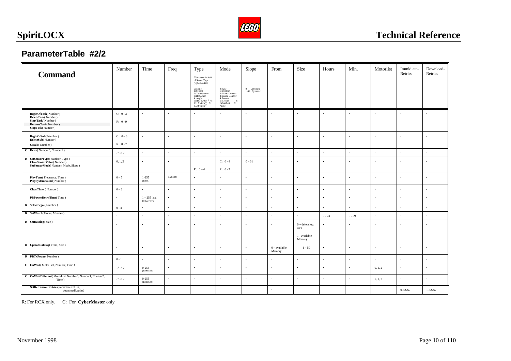

## **ParameterTable #2/2**

| <b>Command</b>                                                                                           | Number                   | Time                            | Freq         | Type<br><sup>(0)</sup> Only use for Poll<br>of Sensor-Type<br>(CyberMaster)                                                                      | Mode                                                                                                                          | Slope                        | From                      | Size                                            | Hours     | Min.      | Motorlist | Immidiate-<br>Retries | Download-<br>Retries |
|----------------------------------------------------------------------------------------------------------|--------------------------|---------------------------------|--------------|--------------------------------------------------------------------------------------------------------------------------------------------------|-------------------------------------------------------------------------------------------------------------------------------|------------------------------|---------------------------|-------------------------------------------------|-----------|-----------|-----------|-----------------------|----------------------|
|                                                                                                          |                          |                                 |              | 0: None<br>1: Switch<br>2: Temperature<br>3: Reflection<br>4: Angle<br>5: IDO Switch <sup>®</sup> 6:<br>ID1 Switch <sup>®</sup> 7:<br>ID2 Switch | 0: Raw<br>1: Boolean<br>2: Trans. Counter<br>3: Period Counter<br>4: Percent<br>5: Celsius<br>6:<br>7:<br>Fahrenheit<br>Angle | 0: Absolute<br>1-31: Dynamic |                           |                                                 |           |           |           |                       |                      |
| BeginOfTask(Number)<br>DeleteTask(Number)<br>StartTask(Number)<br>ResumeTask(Number)<br>StopTask(Number) | $C: 0 - 3$<br>$R: 0 - 9$ | $\ddot{\phantom{0}}$            | $\bullet$    |                                                                                                                                                  |                                                                                                                               | $\bullet$                    | $\bullet$                 | $\bullet$                                       |           | ٠         |           | $\bullet$             |                      |
| BeginOfSub(Number)<br>DeleteSub(Number)<br>Gosub(Number)                                                 | $C: 0-3$<br>$R: 0 - 7$   | $\bullet$                       | $\bullet$    | $\bullet$                                                                                                                                        | $\bullet$                                                                                                                     | $\bullet$                    | $\bullet$                 | $\bullet$                                       | $\bullet$ | $\bullet$ | $\bullet$ | $\bullet$             |                      |
| C Drive(Number0, Number1)                                                                                | $-7 - > 7$               | $\bullet$                       | $\bullet$    | $\bullet$                                                                                                                                        |                                                                                                                               | $\bullet$                    | $\bullet$                 | $\bullet$                                       | $\bullet$ | $\bullet$ | $\bullet$ | $\bullet$             |                      |
| R SetSensorType(Number, Type)<br>ClearSensorValue(Number)<br>SetSensorMode(Number, Mode, Slope)          | 0, 1, 2                  | $\bullet$                       | $\bullet$    | $R: 0-4$                                                                                                                                         | $C: 0 - 4$<br>$R: 0 - 7$                                                                                                      | $0 - 31$                     | $\bullet$                 | $\bullet$                                       | $\bullet$ | $\bullet$ | $\bullet$ | $\cdot$               |                      |
| PlayTone(Frequency, Time)<br>PlaySystemSound(Number)                                                     | $0 - 5$                  | $1-255$<br>[10mS]               | $1 - 20,000$ |                                                                                                                                                  | $\bullet$                                                                                                                     | $\bullet$                    | $\bullet$                 | $\bullet$                                       | $\bullet$ | $\bullet$ | $\bullet$ | $\bullet$             |                      |
| ClearTimer(Number)                                                                                       | $0 - 3$                  | $\bullet$                       | $\bullet$    | $\bullet$                                                                                                                                        | $\bullet$                                                                                                                     | $\bullet$                    | $\bullet$                 | $\bullet$                                       | $\bullet$ | $\bullet$ | $\bullet$ | $\ddot{\phantom{a}}$  | $\bullet$            |
| PBPowerDownTime(Time)                                                                                    | $\bullet$                | $1 - 255$ [min]<br>$0$ =forever | $\bullet$    | $\bullet$                                                                                                                                        | $\bullet$                                                                                                                     | $\bullet$                    | $\bullet$                 | $\bullet$                                       | $\bullet$ | $\bullet$ | $\bullet$ | $\bullet$             | $\cdot$              |
| R SelectPrgm(Number)                                                                                     | $0 - 4$                  | $\bullet$                       | $\bullet$    | $\bullet$                                                                                                                                        | $\bullet$                                                                                                                     | $\bullet$                    | $\bullet$                 | $\bullet$                                       | $\bullet$ | $\bullet$ | $\bullet$ | $\bullet$             | $\bullet$            |
| R SetWatch(Hours, Minutes)                                                                               | $\bullet$                | $\bullet$                       | $\bullet$    | $\bullet$                                                                                                                                        | $\cdot$                                                                                                                       | $\bullet$                    | $\bullet$                 | $\bullet$                                       | $0 - 23$  | $0 - 59$  | $\bullet$ | $\bullet$             | $\cdot$              |
| R SetDatalog(Size)                                                                                       | $\bullet$                | $\bullet$                       | $\bullet$    | $\bullet$                                                                                                                                        | $\bullet$                                                                                                                     | $\bullet$                    | $\bullet$                 | $0 \sim$ delete $\log$<br>area<br>1 - available | $\bullet$ | $\bullet$ | $\bullet$ | $\bullet$             |                      |
| R UploadDatalog(From, Size)                                                                              | $\bullet$                | $\bullet$                       | $\bullet$    | $\cdot$                                                                                                                                          | $\cdot$                                                                                                                       | $\bullet$                    | $0 - available$<br>Memory | Memory<br>$1 - 50$                              | $\bullet$ | $\bullet$ | $\bullet$ | $\cdot$               | $\cdot$              |
| R PBTxPower(Number)                                                                                      | $0 - 1$                  | $\bullet$                       | $\bullet$    | $\bullet$                                                                                                                                        | $\bullet$                                                                                                                     | $\cdot$                      | $\bullet$                 | $\bullet$                                       | $\bullet$ | $\bullet$ | $\bullet$ | $\bullet$             | $\ddot{\phantom{0}}$ |
| C OnWait(MotorList, Number, Time)                                                                        | $-7 - 7$                 | $0 - 255$<br>[100mS!]           | $\bullet$    | $\bullet$                                                                                                                                        | $\bullet$                                                                                                                     | $\bullet$                    | $\bullet$                 | $\bullet$                                       | $\bullet$ | $\bullet$ | 0, 1, 2   | $\bullet$             |                      |
| C OnWaitDifferent(MotorList, Number0, Number1, Number2,<br>Time)                                         | $-7 - > 7$               | $0 - 255$<br>[100mS!!]          | $\bullet$    | $\bullet$                                                                                                                                        | $\bullet$                                                                                                                     | $\bullet$                    | $\bullet$                 | $\bullet$                                       | $\bullet$ |           | 0, 1, 2   | $\bullet$             |                      |
| SetRetransmitRetries(immidiateRetries,<br>downloadRetries)                                               |                          |                                 |              |                                                                                                                                                  |                                                                                                                               |                              | $\bullet$                 |                                                 |           |           |           | 0-32767               | 1-32767              |

R: For RCX only. C: For **CyberMaster** only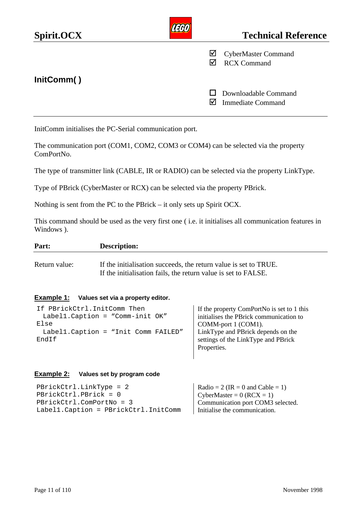<span id="page-12-0"></span>

| Spirit.OCX |   | <b>Technical Reference</b>                       |
|------------|---|--------------------------------------------------|
|            | ⊻ | <b>CyberMaster Command</b><br><b>RCX Command</b> |
| InitComm() |   | Downloadable Command<br><b>Immediate Command</b> |

InitComm initialises the PC-Serial communication port.

The communication port (COM1, COM2, COM3 or COM4) can be selected via the property ComPortNo.

The type of transmitter link (CABLE, IR or RADIO) can be selected via the property LinkType.

Type of PBrick (CyberMaster or RCX) can be selected via the property PBrick.

Nothing is sent from the PC to the PBrick – it only sets up Spirit OCX.

This command should be used as the very first one ( i.e. it initialises all communication features in Windows ).

| Part:         | <b>Description:</b>                                                                                                                |
|---------------|------------------------------------------------------------------------------------------------------------------------------------|
| Return value: | If the initialisation succeeds, the return value is set to TRUE.<br>If the initialisation fails, the return value is set to FALSE. |

#### **Example 1: Values set via a property editor.**

| If PBrickCtrl. InitComm Then         | If the property ComPortNo is set to 1 this |
|--------------------------------------|--------------------------------------------|
| Labell. Caption = "Comm-init $OK''$  | initialises the PBrick communication to    |
| Else                                 | COMM-port 1 (COM1).                        |
| Labell. Caption = "Init Comm FAILED" | LinkType and PBrick depends on the         |
| EndIf                                | settings of the LinkType and PBrick        |
|                                      | Properties.                                |

#### **Example 2: Values set by program code**

| $PBrickCtrl.LinkType = 2$              | Radio = 2 (IR = 0 and Cable = 1)  |
|----------------------------------------|-----------------------------------|
| $PBrickCtrl.PBrick = 0$                | CyberMaster = $0$ (RCX = 1)       |
| PBrickCtrl.ComPortNo = 3               | Communication port COM3 selected. |
| Label1. Caption = PBrickCtrl. InitComm | Initialise the communication.     |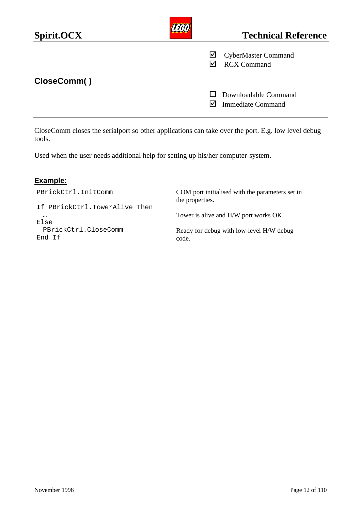| Spirit.OCX  |   | <b>Technical Reference</b>                       |
|-------------|---|--------------------------------------------------|
|             | ☑ | <b>CyberMaster Command</b><br><b>RCX Command</b> |
| CloseComm() |   |                                                  |
|             |   | Downloadable Command<br><b>Immediate Command</b> |

CloseComm closes the serialport so other applications can take over the port. E.g. low level debug tools.

Used when the user needs additional help for setting up his/her computer-system.

## **Example:**

End If

PBrickCtrl.InitComm

If PBrickCtrl.TowerAlive Then … Else PBrickCtrl.CloseComm

COM port initialised with the parameters set in the properties.

Tower is alive and H/W port works OK.

Ready for debug with low-level H/W debug code.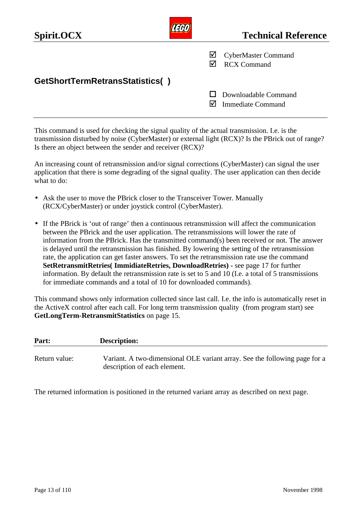| Spirit.OCX                      | <b>Technical Reference</b>                            |
|---------------------------------|-------------------------------------------------------|
|                                 | M<br><b>CyberMaster Command</b><br><b>RCX Command</b> |
| GetShortTermRetransStatistics() |                                                       |
|                                 | Downloadable Command<br><b>Immediate Command</b>      |

This command is used for checking the signal quality of the actual transmission. I.e. is the transmission disturbed by noise (CyberMaster) or external light (RCX)? Is the PBrick out of range? Is there an object between the sender and receiver (RCX)?

An increasing count of retransmission and/or signal corrections (CyberMaster) can signal the user application that there is some degrading of the signal quality. The user application can then decide what to do:

- Ask the user to move the PBrick closer to the Transceiver Tower. Manually (RCX/CyberMaster) or under joystick control (CyberMaster).
- If the PBrick is 'out of range' then a continuous retransmission will affect the communication between the PBrick and the user application. The retransmissions will lower the rate of information from the PBrick. Has the transmitted command(s) been received or not. The answer is delayed until the retransmission has finished. By lowering the setting of the retransmission rate, the application can get faster answers. To set the retransmission rate use the command **SetRetransmitRetries( ImmidiateRetries, DownloadRetries) -** see page 17 for further information. By default the retransmission rate is set to 5 and 10 (I.e. a total of 5 transmissions for immediate commands and a total of 10 for downloaded commands).

This command shows only information collected since last call. I.e. the info is automatically reset in the ActiveX control after each call. For long term transmission quality (from program start) see **GetLongTerm-RetransmitStatistics** on page 15.

| Part:         | <b>Description:</b>                                                                                        |
|---------------|------------------------------------------------------------------------------------------------------------|
| Return value: | Variant. A two-dimensional OLE variant array. See the following page for a<br>description of each element. |

The returned information is positioned in the returned variant array as described on next page.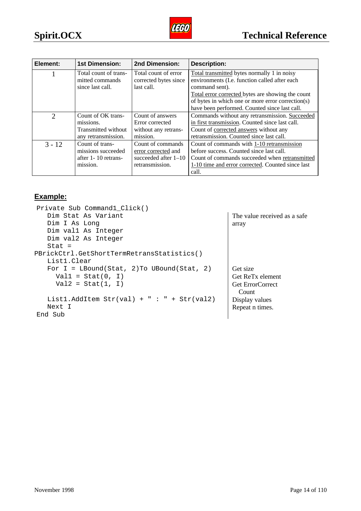

| Element:                    | <b>1st Dimension:</b> | 2nd Dimension:         | <b>Description:</b>                               |  |
|-----------------------------|-----------------------|------------------------|---------------------------------------------------|--|
|                             | Total count of trans- | Total count of error   | Total transmitted bytes normally 1 in noisy       |  |
|                             | mitted commands       | corrected bytes since  | environments (I.e. function called after each     |  |
|                             | since last call.      | last call.             | command sent).                                    |  |
|                             |                       |                        | Total error corrected bytes are showing the count |  |
|                             |                       |                        | of bytes in which one or more error correction(s) |  |
|                             |                       |                        | have been performed. Counted since last call.     |  |
| $\mathcal{D}_{\mathcal{L}}$ | Count of OK trans-    | Count of answers       | Commands without any retransmission. Succeeded    |  |
|                             | missions.             | Error corrected        | in first transmission. Counted since last call.   |  |
|                             | Transmitted without   | without any retrans-   | Count of corrected answers without any            |  |
|                             | any retransmission.   | mission.               | retransmission. Counted since last call.          |  |
| $3 - 12$                    | Count of trans-       | Count of commands      | Count of commands with 1-10 retransmission        |  |
|                             | missions succeeded    | error corrected and    | before success. Counted since last call.          |  |
|                             | after 1 - 10 retrans- | succeeded after $1-10$ | Count of commands succeeded when retransmitted    |  |
|                             | mission.              | retransmission.        | 1-10 time and error corrected. Counted since last |  |
|                             |                       |                        | call.                                             |  |

## **Example:**

| Private Sub Command1 Click()                 |                              |
|----------------------------------------------|------------------------------|
| Dim Stat As Variant                          | The value received as a safe |
| Dim I As Long                                | array                        |
| Dim vall As Integer                          |                              |
| Dim val2 As Integer                          |                              |
| $Stat =$                                     |                              |
| PBrickCtrl.GetShortTermRetransStatistics()   |                              |
| List1.Clear                                  |                              |
| For $I = LBound(Stat, 2)$ To UBound(Stat, 2) | Get size                     |
| $Val1 = Stat(0, I)$                          | Get ReT <sub>x</sub> element |
| $Val2 = Stat(1, I)$                          | <b>Get ErrorCorrect</b>      |
|                                              | Count                        |
| List1.AddItem Str(val) + " : " + Str(val2)   | Display values               |
| Next I                                       | Repeat n times.              |
| End Sub                                      |                              |
|                                              |                              |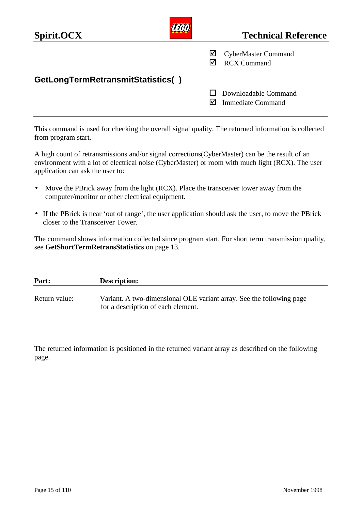| Spirit.OCX                        |        | <b>Technical Reference</b>                       |
|-----------------------------------|--------|--------------------------------------------------|
|                                   | ⊻<br>⋈ | <b>CyberMaster Command</b><br><b>RCX Command</b> |
| GetLongTermRetransmitStatistics() | IМ     | Downloadable Command<br><b>Immediate Command</b> |
|                                   |        |                                                  |

This command is used for checking the overall signal quality. The returned information is collected from program start.

A high count of retransmissions and/or signal corrections(CyberMaster) can be the result of an environment with a lot of electrical noise (CyberMaster) or room with much light (RCX). The user application can ask the user to:

- Move the PBrick away from the light (RCX). Place the transceiver tower away from the computer/monitor or other electrical equipment.
- If the PBrick is near 'out of range', the user application should ask the user, to move the PBrick closer to the Transceiver Tower.

The command shows information collected since program start. For short term transmission quality, see **GetShortTermRetransStatistics** on page 13.

| Part:         | <b>Description:</b>                                                                                        |
|---------------|------------------------------------------------------------------------------------------------------------|
| Return value: | Variant. A two-dimensional OLE variant array. See the following page<br>for a description of each element. |

The returned information is positioned in the returned variant array as described on the following page.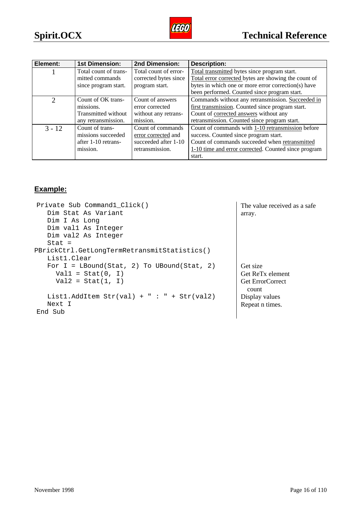

| Element:                    | <b>1st Dimension:</b> | 2nd Dimension:        | <b>Description:</b>                                  |  |  |
|-----------------------------|-----------------------|-----------------------|------------------------------------------------------|--|--|
|                             | Total count of trans- | Total count of error- | Total transmitted bytes since program start.         |  |  |
|                             | mitted commands       | corrected bytes since | Total error corrected bytes are showing the count of |  |  |
|                             | since program start.  | program start.        | bytes in which one or more error correction(s) have  |  |  |
|                             |                       |                       | been performed. Counted since program start.         |  |  |
| $\mathcal{D}_{\mathcal{L}}$ | Count of OK trans-    | Count of answers      | Commands without any retransmission. Succeeded in    |  |  |
|                             | missions.             | error corrected       | first transmission. Counted since program start.     |  |  |
|                             | Transmitted without   | without any retrans-  | Count of corrected answers without any               |  |  |
|                             | any retransmission.   | mission.              | retransmission. Counted since program start.         |  |  |
| $3 - 12$                    | Count of trans-       | Count of commands     | Count of commands with 1-10 retransmission before    |  |  |
|                             | missions succeeded    | error corrected and   | success. Counted since program start.                |  |  |
|                             | after 1-10 retrans-   | succeeded after 1-10  | Count of commands succeeded when retransmitted       |  |  |
|                             | mission.              | retransmission.       | 1-10 time and error corrected. Counted since program |  |  |
|                             |                       |                       | start.                                               |  |  |

## **Example:**

| Private Sub Command1_Click()                 | The value received as a safe |
|----------------------------------------------|------------------------------|
| Dim Stat As Variant                          | array.                       |
| Dim I As Long                                |                              |
| Dim vall As Integer                          |                              |
| Dim val2 As Integer                          |                              |
| $Stat =$                                     |                              |
| PBrickCtrl.GetLongTermRetransmitStatistics() |                              |
| List1.Clear                                  |                              |
| For $I = LBound(Stat, 2)$ To UBound(Stat, 2) | Get size                     |
| $Val1 = Stat(0, I)$                          | Get ReT <sub>x</sub> element |
| $Val2 = Stat(1, I)$                          | <b>Get ErrorCorrect</b>      |
|                                              | count                        |
| List1.AddItem Str(val) + " : " + Str(val2)   | Display values               |
| Next I                                       | Repeat n times.              |
| End Sub                                      |                              |
|                                              |                              |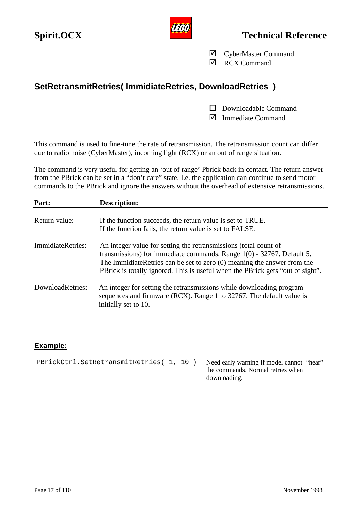

˛ CyberMaster Command

**☑** RCX Command

## **SetRetransmitRetries( ImmidiateRetries, DownloadRetries )**

 $\Box$  Downloadable Command

˛ Immediate Command

This command is used to fine-tune the rate of retransmission. The retransmission count can differ due to radio noise (CyberMaster), incoming light (RCX) or an out of range situation.

The command is very useful for getting an 'out of range' Pbrick back in contact. The return answer from the PBrick can be set in a "don't care" state. I.e. the application can continue to send motor commands to the PBrick and ignore the answers without the overhead of extensive retransmissions.

| Part:             | <b>Description:</b>                                                                                                                                                                                                                                                                                        |
|-------------------|------------------------------------------------------------------------------------------------------------------------------------------------------------------------------------------------------------------------------------------------------------------------------------------------------------|
| Return value:     | If the function succeeds, the return value is set to TRUE.<br>If the function fails, the return value is set to FALSE.                                                                                                                                                                                     |
| ImmidiateRetries: | An integer value for setting the retransmissions (total count of<br>transmissions) for immediate commands. Range $1(0)$ - 32767. Default 5.<br>The ImmidiateRetries can be set to zero $(0)$ meaning the answer from the<br>PBrick is totally ignored. This is useful when the PBrick gets "out of sight". |
| DownloadRetries:  | An integer for setting the retransmissions while downloading program<br>sequences and firmware (RCX). Range 1 to 32767. The default value is<br>initially set to 10.                                                                                                                                       |

### **Example:**

| PBrickCtrl.SetRetransmitRetries(1, 10)   Need early warning if model cannot "hear" |  |                                   |  |
|------------------------------------------------------------------------------------|--|-----------------------------------|--|
|                                                                                    |  | the commands. Normal retries when |  |
|                                                                                    |  | downloading.                      |  |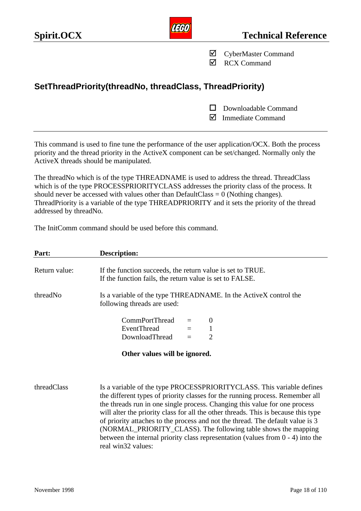**AEGO** 

˛ CyberMaster Command

˛ RCX Command

## **SetThreadPriority(threadNo, threadClass, ThreadPriority)**

 $\Box$  Downloadable Command

 $\nabla$  Immediate Command

This command is used to fine tune the performance of the user application/OCX. Both the process priority and the thread priority in the ActiveX component can be set/changed. Normally only the ActiveX threads should be manipulated.

The threadNo which is of the type THREADNAME is used to address the thread. ThreadClass which is of the type PROCESSPRIORITYCLASS addresses the priority class of the process. It should never be accessed with values other than  $DefaultClass = 0$  (Nothing changes). ThreadPriority is a variable of the type THREADPRIORITY and it sets the priority of the thread addressed by threadNo.

The InitComm command should be used before this command.

| Part:         | Description:                                                                                                                                                                                                                                                                                                               |
|---------------|----------------------------------------------------------------------------------------------------------------------------------------------------------------------------------------------------------------------------------------------------------------------------------------------------------------------------|
| Return value: | If the function succeeds, the return value is set to TRUE.<br>If the function fails, the return value is set to FALSE.                                                                                                                                                                                                     |
| threadNo      | Is a variable of the type THREADNAME. In the ActiveX control the<br>following threads are used:                                                                                                                                                                                                                            |
|               | <b>CommPortThread</b><br>$\theta$<br><b>EventThread</b><br>1<br>2<br>DownloadThread<br>$=$                                                                                                                                                                                                                                 |
|               | Other values will be ignored.                                                                                                                                                                                                                                                                                              |
| threadClass   | Is a variable of the type PROCESSPRIORITYCLASS. This variable defines<br>the different types of priority classes for the running process. Remember all<br>the threads run in one single process. Changing this value for one process<br>will alter the priority class for all the other threads. This is because this type |

will alter the priority class for all the other threads. This is because this type of priority attaches to the process and not the thread. The default value is 3 (NORMAL\_PRIORITY\_CLASS). The following table shows the mapping between the internal priority class representation (values from 0 - 4) into the real win32 values: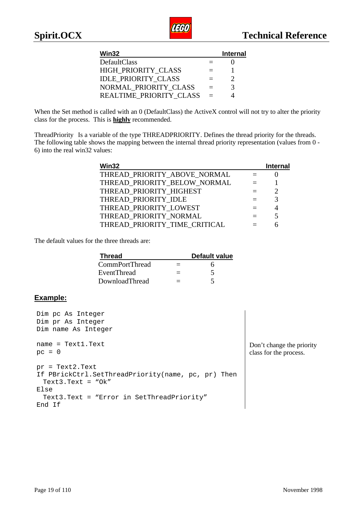

| Win32                      |                          | <b>Internal</b> |
|----------------------------|--------------------------|-----------------|
| DefaultClass               |                          |                 |
| HIGH PRIORITY CLASS        | $\overline{\phantom{0}}$ |                 |
| <b>IDLE PRIORITY CLASS</b> | $=$                      |                 |
| NORMAL PRIORITY CLASS      | $\equiv$                 | 3               |
| REALTIME PRIORITY CLASS    | $\equiv$                 |                 |

When the Set method is called with an 0 (DefaultClass) the ActiveX control will not try to alter the priority class for the process. This is **highly** recommended.

ThreadPriority Is a variable of the type THREADPRIORITY. Defines the thread priority for the threads. The following table shows the mapping between the internal thread priority representation (values from 0 - 6) into the real win32 values:

| Win32                         | <b>Internal</b> |
|-------------------------------|-----------------|
| THREAD_PRIORITY_ABOVE_NORMAL  |                 |
| THREAD PRIORITY BELOW NORMAL  |                 |
| THREAD PRIORITY HIGHEST       |                 |
| THREAD_PRIORITY IDLE          |                 |
| THREAD PRIORITY LOWEST        |                 |
| THREAD_PRIORITY_NORMAL        |                 |
| THREAD PRIORITY TIME CRITICAL |                 |

The default values for the three threads are:

| <b>Thread</b>  |                          | <b>Default value</b> |
|----------------|--------------------------|----------------------|
| CommPortThread | $\overline{\phantom{0}}$ |                      |
| EventThread    |                          |                      |
| DownloadThread |                          |                      |

### **Example:**

```
Dim pc As Integer
Dim pr As Integer
Dim name As Integer
name = Text1.Text
pc = 0pr = Text2.Text
If PBrickCtrl.SetThreadPriority(name, pc, pr) Then
 Text3.Text = "Ok"
Else
 Text3.Text = "Error in SetThreadPriority"
End If
```
Don't change the priority class for the process.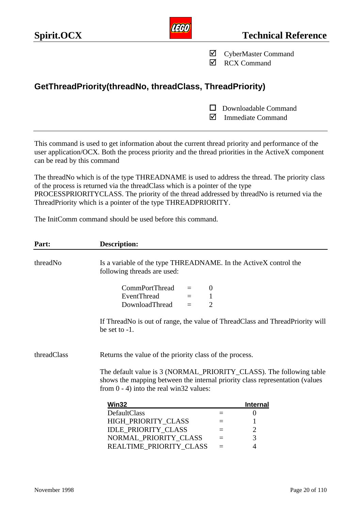˛ CyberMaster Command

˛ RCX Command

## **GetThreadPriority(threadNo, threadClass, ThreadPriority)**

- $\Box$  Downloadable Command
- $\nabla$  Immediate Command

This command is used to get information about the current thread priority and performance of the user application/OCX. Both the process priority and the thread priorities in the ActiveX component can be read by this command

The threadNo which is of the type THREADNAME is used to address the thread. The priority class of the process is returned via the threadClass which is a pointer of the type PROCESSPRIORITYCLASS. The priority of the thread addressed by threadNo is returned via the ThreadPriority which is a pointer of the type THREADPRIORITY.

The InitComm command should be used before this command.

| Part:       | Description:                                                                                                                                                                                      |     |                 |  |
|-------------|---------------------------------------------------------------------------------------------------------------------------------------------------------------------------------------------------|-----|-----------------|--|
| threadNo    | Is a variable of the type THREADNAME. In the ActiveX control the<br>following threads are used:                                                                                                   |     |                 |  |
|             | CommPortThread<br>$\theta$<br>$=$<br><b>EventThread</b><br>$\mathbf{1}$<br>$=$ $-$<br>DownloadThread<br>$\overline{2}$<br>$=$                                                                     |     |                 |  |
|             | If ThreadNo is out of range, the value of ThreadClass and ThreadPriority will<br>be set to $-1$ .                                                                                                 |     |                 |  |
| threadClass | Returns the value of the priority class of the process.                                                                                                                                           |     |                 |  |
|             | The default value is 3 (NORMAL_PRIORITY_CLASS). The following table<br>shows the mapping between the internal priority class representation (values<br>from $0 - 4$ ) into the real win32 values: |     |                 |  |
|             | Win32                                                                                                                                                                                             |     | <b>Internal</b> |  |
|             | DefaultClass                                                                                                                                                                                      | $=$ | $\overline{0}$  |  |
|             | HIGH_PRIORITY_CLASS                                                                                                                                                                               | $=$ |                 |  |
|             | <b>IDLE_PRIORITY_CLASS</b>                                                                                                                                                                        | $=$ | $\overline{c}$  |  |
|             | NORMAL_PRIORITY_CLASS                                                                                                                                                                             | $=$ | $\overline{3}$  |  |
|             | REALTIME_PRIORITY_CLASS                                                                                                                                                                           | $=$ | 4               |  |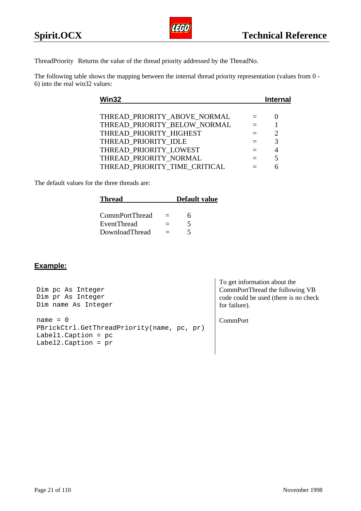ThreadPriority Returns the value of the thread priority addressed by the ThreadNo.

The following table shows the mapping between the internal thread priority representation (values from 0 - 6) into the real win32 values:

| Win32 |                               | Internal |
|-------|-------------------------------|----------|
|       |                               |          |
|       | THREAD PRIORITY ABOVE NORMAL  |          |
|       | THREAD PRIORITY BELOW NORMAL  |          |
|       | THREAD_PRIORITY_HIGHEST       |          |
|       | THREAD PRIORITY IDLE          |          |
|       | THREAD PRIORITY LOWEST        |          |
|       | THREAD PRIORITY NORMAL        |          |
|       | THREAD PRIORITY TIME CRITICAL |          |
|       |                               |          |

The default values for the three threads are:

| <b>Thread</b>      |              | <b>Default value</b> |
|--------------------|--------------|----------------------|
|                    |              |                      |
| CommPortThread     | $\sim$ $\pm$ |                      |
| <b>EventThread</b> |              |                      |
| DownloadThread     |              |                      |

## **Example:**

| Dim pc As Integer<br>Dim pr As Integer<br>Dim name As Integer                                                | To get information about the<br>CommPortThread the following VB<br>code could be used (there is no check)<br>for failure). |
|--------------------------------------------------------------------------------------------------------------|----------------------------------------------------------------------------------------------------------------------------|
| $name = 0$<br>PBrickCtrl.GetThreadPriority(name, pc, pr)<br>Labell. Caption = $pc$<br>Label2. Caption = $pr$ | <b>CommPort</b>                                                                                                            |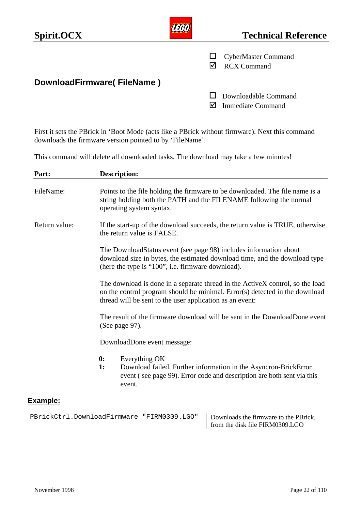| Spirit.OCX                 | <b>Technical Reference</b>                       |
|----------------------------|--------------------------------------------------|
|                            | <b>CyberMaster Command</b><br><b>RCX Command</b> |
| DownloadFirmware(FileName) |                                                  |
|                            | Downloadable Command<br><b>Immediate Command</b> |

First it sets the PBrick in 'Boot Mode (acts like a PBrick without firmware). Next this command downloads the firmware version pointed to by 'FileName'.

This command will delete all downloaded tasks. The download may take a few minutes!

| Part:         | <b>Description:</b>                                                                                                                                                                                                      |
|---------------|--------------------------------------------------------------------------------------------------------------------------------------------------------------------------------------------------------------------------|
| FileName:     | Points to the file holding the firmware to be downloaded. The file name is a<br>string holding both the PATH and the FILENAME following the normal<br>operating system syntax.                                           |
| Return value: | If the start-up of the download succeeds, the return value is TRUE, otherwise<br>the return value is FALSE.                                                                                                              |
|               | The DownloadStatus event (see page 98) includes information about<br>download size in bytes, the estimated download time, and the download type<br>(here the type is "100", i.e. firmware download).                     |
|               | The download is done in a separate thread in the ActiveX control, so the load<br>on the control program should be minimal. Error(s) detected in the download<br>thread will be sent to the user application as an event: |
|               | The result of the firmware download will be sent in the DownloadDone event<br>(See page 97).                                                                                                                             |
|               | DownloadDone event message:                                                                                                                                                                                              |
|               | $\boldsymbol{0}$ :<br>Everything OK<br>1:<br>Download failed. Further information in the Asyncron-BrickError<br>event (see page 99). Error code and description are both sent via this<br>event.                         |
| Example:      |                                                                                                                                                                                                                          |

PBrickCtrl.DownloadFirmware "FIRM0309.LGO" | Downloads the firmware to the PBrick, from the disk file FIRM0309.LGO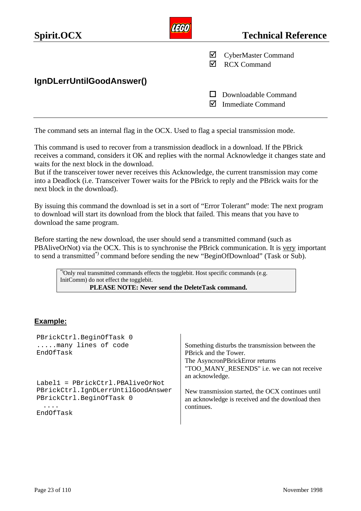

The command sets an internal flag in the OCX. Used to flag a special transmission mode.

This command is used to recover from a transmission deadlock in a download. If the PBrick receives a command, considers it OK and replies with the normal Acknowledge it changes state and waits for the next block in the download.

But if the transceiver tower never receives this Acknowledge, the current transmission may come into a Deadlock (i.e. Transceiver Tower waits for the PBrick to reply and the PBrick waits for the next block in the download).

By issuing this command the download is set in a sort of "Error Tolerant" mode: The next program to download will start its download from the block that failed. This means that you have to download the same program.

Before starting the new download, the user should send a transmitted command (such as PBAliveOrNot) via the OCX. This is to synchronise the PBrick communication. It is very important to send a transmitted\*) command before sending the new "BeginOfDownload" (Task or Sub).

<sup>\*</sup>Only real transmitted commands effects the togglebit. Host specific commands (e.g. InitComm) do not effect the togglebit.  **PLEASE NOTE: Never send the DeleteTask command.**

## **Example:**

| PBrickCtrl.BeginOfTask 0                                       |                                                                                                       |
|----------------------------------------------------------------|-------------------------------------------------------------------------------------------------------|
| many lines of code                                             | Something disturbs the transmission between the                                                       |
| EndOfTask                                                      | PBrick and the Tower.                                                                                 |
|                                                                | The AsyncronPBrickError returns                                                                       |
|                                                                | "TOO MANY RESENDS" <i>i.e.</i> we can not receive                                                     |
|                                                                | an acknowledge.                                                                                       |
| Label1 = PBrickCtrl.PBAliveOrNot                               |                                                                                                       |
| PBrickCtrl.IqnDLerrUntilGoodAnswer<br>PBrickCtrl.BeginOfTask 0 | New transmission started, the OCX continues until<br>an acknowledge is received and the download then |
| EndOfTask                                                      | continues.                                                                                            |
|                                                                |                                                                                                       |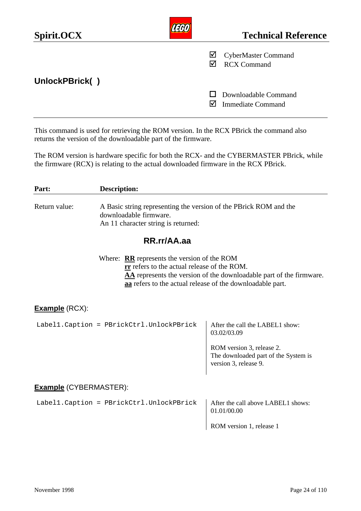| Spirit.OCX     |   | <b>Technical Reference</b>                       |
|----------------|---|--------------------------------------------------|
|                | ☑ | <b>CyberMaster Command</b><br><b>RCX Command</b> |
| UnlockPBrick() |   |                                                  |
|                |   | Downloadable Command<br><b>Immediate Command</b> |

This command is used for retrieving the ROM version. In the RCX PBrick the command also returns the version of the downloadable part of the firmware.

The ROM version is hardware specific for both the RCX- and the CYBERMASTER PBrick, while the firmware (RCX) is relating to the actual downloaded firmware in the RCX PBrick.

| Part:                         | <b>Description:</b>                                                                                                                                       |                                                                                            |
|-------------------------------|-----------------------------------------------------------------------------------------------------------------------------------------------------------|--------------------------------------------------------------------------------------------|
| Return value:                 | A Basic string representing the version of the PBrick ROM and the<br>downloadable firmware.<br>An 11 character string is returned:                        |                                                                                            |
|                               | RR.rr/AA.aa                                                                                                                                               |                                                                                            |
|                               | Where: $RR$ represents the version of the ROM<br>rr refers to the actual release of the ROM.<br>aa refers to the actual release of the downloadable part. | AA represents the version of the downloadable part of the firmware.                        |
| <b>Example</b> (RCX):         |                                                                                                                                                           |                                                                                            |
|                               | Labell.Caption = PBrickCtrl.UnlockPBrick                                                                                                                  | After the call the LABEL1 show:<br>03.02/03.09                                             |
|                               |                                                                                                                                                           | ROM version 3, release 2.<br>The downloaded part of the System is<br>version 3, release 9. |
| <b>Example</b> (CYBERMASTER): |                                                                                                                                                           |                                                                                            |
|                               | Labell.Caption = PBrickCtrl.UnlockPBrick                                                                                                                  | After the call above LABEL1 shows:<br>01.01/00.00                                          |
|                               |                                                                                                                                                           | ROM version 1, release 1                                                                   |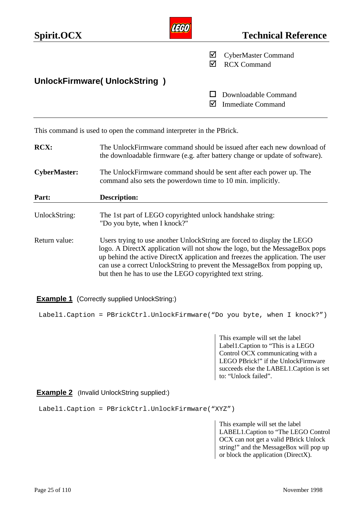| Spirit.OCX                   | <b>Technical Reference</b>                            |
|------------------------------|-------------------------------------------------------|
|                              | ☑<br><b>CyberMaster Command</b><br><b>RCX Command</b> |
| UnlockFirmware(UnlockString) |                                                       |
|                              | Downloadable Command<br><b>Immediate Command</b>      |

This command is used to open the command interpreter in the PBrick.

| RCX:                | The UnlockFirmware command should be issued after each new download of<br>the downloadable firmware (e.g. after battery change or update of software).                                                                                                                                                                                                                            |
|---------------------|-----------------------------------------------------------------------------------------------------------------------------------------------------------------------------------------------------------------------------------------------------------------------------------------------------------------------------------------------------------------------------------|
| <b>CyberMaster:</b> | The UnlockFirmware command should be sent after each power up. The<br>command also sets the powerdown time to 10 min. implicitly.                                                                                                                                                                                                                                                 |
| Part:               | <b>Description:</b>                                                                                                                                                                                                                                                                                                                                                               |
| UnlockString:       | The 1st part of LEGO copyrighted unlock handshake string:<br>"Do you byte, when I knock?"                                                                                                                                                                                                                                                                                         |
| Return value:       | Users trying to use another UnlockString are forced to display the LEGO<br>logo. A DirectX application will not show the logo, but the MessageBox pops<br>up behind the active DirectX application and freezes the application. The user<br>can use a correct UnlockString to prevent the MessageBox from popping up,<br>but then he has to use the LEGO copyrighted text string. |

### **Example 1** (Correctly supplied UnlockString:)

Label1.Caption = PBrickCtrl.UnlockFirmware("Do you byte, when I knock?")

This example will set the label Label1.Caption to "This is a LEGO Control OCX communicating with a LEGO PBrick!" if the UnlockFirmware succeeds else the LABEL1.Caption is set to: "Unlock failed".

### **Example 2** (Invalid UnlockString supplied:)

Label1.Caption = PBrickCtrl.UnlockFirmware("XYZ")

This example will set the label LABEL1.Caption to "The LEGO Control OCX can not get a valid PBrick Unlock string!" and the MessageBox will pop up or block the application (DirectX).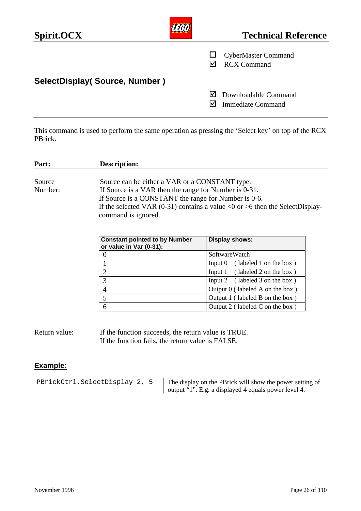| Spirit.OCX                    |   | <b>Technical Reference</b>                       |
|-------------------------------|---|--------------------------------------------------|
|                               |   | <b>CyberMaster Command</b><br><b>RCX Command</b> |
| SelectDisplay(Source, Number) |   |                                                  |
|                               | M | Downloadable Command<br><b>Immediate Command</b> |

This command is used to perform the same operation as pressing the 'Select key' on top of the RCX PBrick.

| Part:                                                                                                                                                                                                                                                                                         | <b>Description:</b>                                             |                                     |
|-----------------------------------------------------------------------------------------------------------------------------------------------------------------------------------------------------------------------------------------------------------------------------------------------|-----------------------------------------------------------------|-------------------------------------|
| Source can be either a VAR or a CONSTANT type.<br>Source<br>If Source is a VAR then the range for Number is 0-31.<br>Number:<br>If Source is a CONSTANT the range for Number is 0-6.<br>If the selected VAR (0-31) contains a value < 0 or > 6 then the SelectDisplay-<br>command is ignored. |                                                                 |                                     |
|                                                                                                                                                                                                                                                                                               | <b>Constant pointed to by Number</b><br>or value in Var (0-31): | Display shows:                      |
|                                                                                                                                                                                                                                                                                               | U                                                               | SoftwareWatch                       |
|                                                                                                                                                                                                                                                                                               |                                                                 | (labeled 1 on the box)<br>Input $0$ |
|                                                                                                                                                                                                                                                                                               |                                                                 | (labeled 2 on the box)<br>Input 1   |
|                                                                                                                                                                                                                                                                                               | 3                                                               | Input 2<br>(labeled 3 on the box)   |
|                                                                                                                                                                                                                                                                                               | 4                                                               | Output $0$ (labeled A on the box)   |
|                                                                                                                                                                                                                                                                                               | 5                                                               | Output 1 (labeled B on the box)     |

6 Output 2 ( labeled C on the box )

Return value: If the function succeeds, the return value is TRUE. If the function fails, the return value is FALSE.

### **Example:**

PBrickCtrl.SelectDisplay 2, 5  $\parallel$  The display on the PBrick will show the power setting of output "1". E.g. a displayed 4 equals power level 4.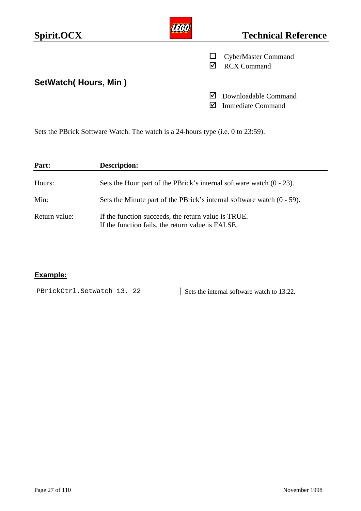| Spirit.OCX                  |   | <b>Technical Reference</b>                       |
|-----------------------------|---|--------------------------------------------------|
|                             | M | <b>CyberMaster Command</b><br><b>RCX Command</b> |
| <b>SetWatch(Hours, Min)</b> |   |                                                  |
|                             | M | Downloadable Command<br><b>Immediate Command</b> |

Sets the PBrick Software Watch. The watch is a 24-hours type (i.e. 0 to 23:59).

| Part:         | <b>Description:</b>                                                                                      |
|---------------|----------------------------------------------------------------------------------------------------------|
| Hours:        | Sets the Hour part of the PBrick's internal software watch $(0 - 23)$ .                                  |
| Min:          | Sets the Minute part of the PBrick's internal software watch $(0 - 59)$ .                                |
| Return value: | If the function succeeds, the return value is TRUE.<br>If the function fails, the return value is FALSE. |

## **Example:**

PBrickCtrl.SetWatch 13, 22 | Sets the internal software watch to 13:22.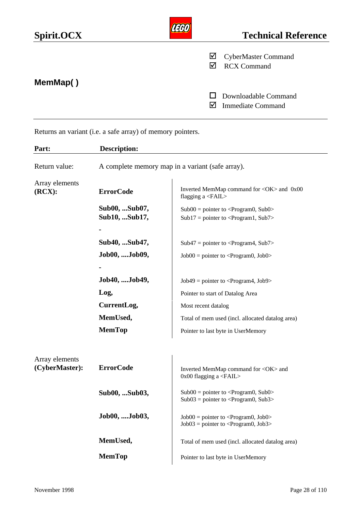| Spirit.OCX |        | <b>Technical Reference</b>                       |
|------------|--------|--------------------------------------------------|
| MemMap()   | ⊻<br>M | <b>CyberMaster Command</b><br><b>RCX Command</b> |
|            | M      | Downloadable Command<br><b>Immediate Command</b> |

Returns an variant (i.e. a safe array) of memory pointers.

| Part:                            | <b>Description:</b>                              |                                                                                                                     |  |
|----------------------------------|--------------------------------------------------|---------------------------------------------------------------------------------------------------------------------|--|
| Return value:                    | A complete memory map in a variant (safe array). |                                                                                                                     |  |
| Array elements<br>(RCX):         | <b>ErrorCode</b>                                 | Inverted MemMap command for <ok> and 0x00<br/>flagging a <math>\langle \text{FAIL} \rangle</math></ok>              |  |
|                                  | Sub00,  Sub07,<br>Sub10,  Sub17,                 | $Sub00 = pointer to < Program0, Sub0>$<br>$Sub17 = pointer to < Program1, Sub7>$                                    |  |
|                                  | Sub40, Sub47,                                    | $Sub47 = pointer to < Program4, Sub7>$                                                                              |  |
|                                  | Job00, Job09,                                    | $Job00 = pointer to < Program0, Job0>$                                                                              |  |
|                                  | Job40, Job49,<br>Log,                            | $Job49 = pointer to < Program4, Job9>$<br>Pointer to start of Datalog Area                                          |  |
|                                  | CurrentLog,<br>MemUsed,                          | Most recent datalog<br>Total of mem used (incl. allocated datalog area)                                             |  |
|                                  | <b>MemTop</b>                                    | Pointer to last byte in UserMemory                                                                                  |  |
| Array elements<br>(CyberMaster): | <b>ErrorCode</b>                                 | Inverted MemMap command for <ok> and<br/><math>0x00</math> flagging a <math>\langle \text{FAIL} \rangle</math></ok> |  |
|                                  | Sub00,  Sub03,                                   | $Sub00 = pointer to < Program0, Sub0>$<br>$Sub03 = pointer to < Program0, Sub3>$                                    |  |
|                                  | Job00, Job03,                                    | $Job00 = pointer to < Program0, Job0>$<br>$Job03 = pointer to < Program0, Job3>$                                    |  |
|                                  | MemUsed,                                         | Total of mem used (incl. allocated datalog area)                                                                    |  |
|                                  | <b>MemTop</b>                                    | Pointer to last byte in UserMemory                                                                                  |  |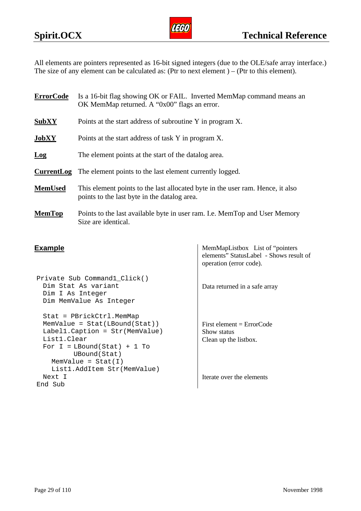

All elements are pointers represented as 16-bit signed integers (due to the OLE/safe array interface.) The size of any element can be calculated as: (Ptr to next element) – (Ptr to this element).

| <b>ErrorCode</b> | Is a 16-bit flag showing OK or FAIL. Inverted MemMap command means an<br>OK MemMap returned. A "0x00" flags an error.          |
|------------------|--------------------------------------------------------------------------------------------------------------------------------|
| <b>SubXY</b>     | Points at the start address of subroutine Y in program X.                                                                      |
| JobXY            | Points at the start address of task Y in program X.                                                                            |
| Log              | The element points at the start of the datalog area.                                                                           |
| CurrentLog       | The element points to the last element currently logged.                                                                       |
| <b>MemUsed</b>   | This element points to the last allocated byte in the user ram. Hence, it also<br>points to the last byte in the datalog area. |
| <b>MemTop</b>    | Points to the last available byte in user ram. I.e. MemTop and User Memory<br>Size are identical.                              |

```
Private Sub Command1_Click()
 Dim Stat As variant
 Dim I As Integer
 Dim MemValue As Integer
 Stat = PBrickCtrl.MemMap
 MemValue = Stat(LBound(Stat))
 Label1.Caption = Str(MemValue)
 List1.Clear
 For I = LBound(Stat) + 1 ToUBound(Stat)
                                          Show status
   MemValue = Stat(I)List1.AddItem Str(MemValue)
 Next I
End Sub
```
**Example** MemMapListbox List of "pointers" elements" StatusLabel - Shows result of operation (error code).

Data returned in a safe array

First element = ErrorCode Clean up the listbox.

Iterate over the elements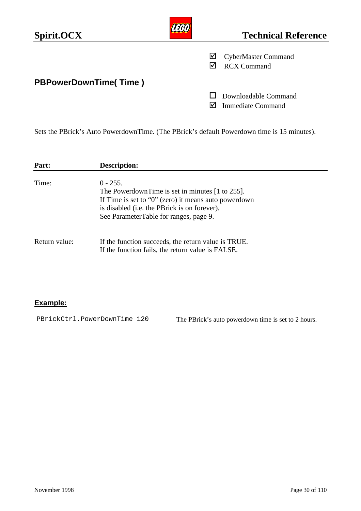| Spirit.OCX                   |   | <b>Technical Reference</b>                       |
|------------------------------|---|--------------------------------------------------|
|                              | ⊻ | <b>CyberMaster Command</b><br><b>RCX Command</b> |
| <b>PBPowerDownTime(Time)</b> |   |                                                  |
|                              |   | Downloadable Command<br><b>Immediate Command</b> |

Sets the PBrick's Auto PowerdownTime. (The PBrick's default Powerdown time is 15 minutes).

| Part:         | <b>Description:</b>                                                                                                                                                                                                               |
|---------------|-----------------------------------------------------------------------------------------------------------------------------------------------------------------------------------------------------------------------------------|
| Time:         | $0 - 255$ .<br>The Powerdown Time is set in minutes $[1 \text{ to } 255]$ .<br>If Time is set to " $0$ " (zero) it means auto powerdown<br>is disabled (i.e. the PBrick is on forever).<br>See ParameterTable for ranges, page 9. |
| Return value: | If the function succeeds, the return value is TRUE.<br>If the function fails, the return value is FALSE.                                                                                                                          |

## **Example:**

PBrickCtrl.PowerDownTime 120 | The PBrick's auto powerdown time is set to 2 hours.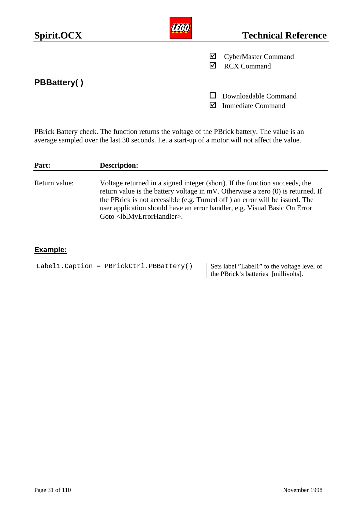| Spirit.OCX         |     | <b>Technical Reference</b>                       |
|--------------------|-----|--------------------------------------------------|
|                    | ☑   | <b>CyberMaster Command</b><br><b>RCX Command</b> |
| <b>PBBattery()</b> |     |                                                  |
|                    | I√l | Downloadable Command<br><b>Immediate Command</b> |

PBrick Battery check. The function returns the voltage of the PBrick battery. The value is an average sampled over the last 30 seconds. I.e. a start-up of a motor will not affect the value.

| Part:         | <b>Description:</b>                                                                                                                                                                                                                                                                                                                                                              |
|---------------|----------------------------------------------------------------------------------------------------------------------------------------------------------------------------------------------------------------------------------------------------------------------------------------------------------------------------------------------------------------------------------|
| Return value: | Voltage returned in a signed integer (short). If the function succeeds, the<br>return value is the battery voltage in $mV$ . Otherwise a zero $(0)$ is returned. If<br>the PBrick is not accessible (e.g. Turned off) an error will be issued. The<br>user application should have an error handler, e.g. Visual Basic On Error<br>Goto <lblmyerrorhandler>.</lblmyerrorhandler> |

## **Example:**

Label1. Caption = PBrickCtrl.PBBattery()  $\Big|$  Sets label "Labell" to the voltage level of

the PBrick's batteries [millivolts].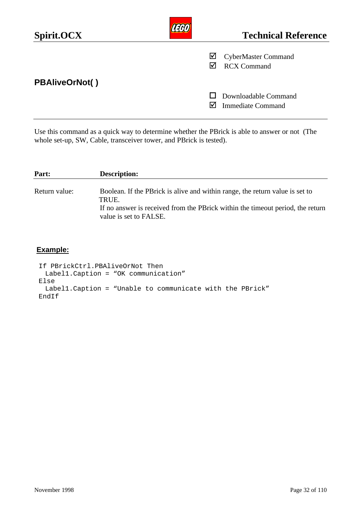| Spirit.OCX            |   | <b>Technical Reference</b>                       |
|-----------------------|---|--------------------------------------------------|
|                       | ☑ | <b>CyberMaster Command</b><br><b>RCX Command</b> |
| <b>PBAliveOrNot()</b> |   |                                                  |
|                       |   | Downloadable Command<br><b>Immediate Command</b> |

Use this command as a quick way to determine whether the PBrick is able to answer or not (The whole set-up, SW, Cable, transceiver tower, and PBrick is tested).

| Part:         | <b>Description:</b>                                                                                                                                                                                |
|---------------|----------------------------------------------------------------------------------------------------------------------------------------------------------------------------------------------------|
| Return value: | Boolean. If the PB rick is alive and within range, the return value is set to<br>TRUE.<br>If no answer is received from the PBrick within the timeout period, the return<br>value is set to FALSE. |

## **Example:**

```
If PBrickCtrl.PBAliveOrNot Then
 Label1.Caption = "OK communication"
Else
 Label1.Caption = "Unable to communicate with the PBrick"
EndIf
```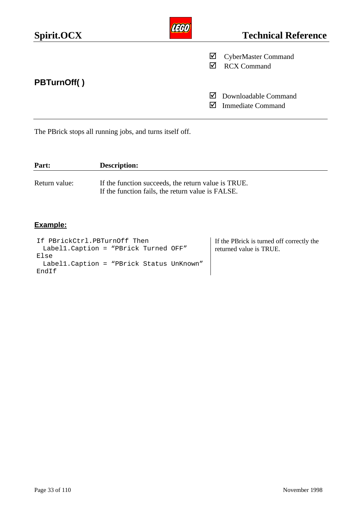| Spirit.OCX         |         | <b>Technical Reference</b>                       |
|--------------------|---------|--------------------------------------------------|
|                    | ☑       | <b>CyberMaster Command</b><br><b>RCX Command</b> |
| <b>PBTurnOff()</b> | ⋈<br>IМ | Downloadable Command<br><b>Immediate Command</b> |
|                    |         |                                                  |

The PBrick stops all running jobs, and turns itself off.

| Part:         | <b>Description:</b>                                                                                      |
|---------------|----------------------------------------------------------------------------------------------------------|
| Return value: | If the function succeeds, the return value is TRUE.<br>If the function fails, the return value is FALSE. |

## **Example:**

If PBrickCtrl.PBTurnOff Then Label1.Caption = "PBrick Turned OFF" Else Label1.Caption = "PBrick Status UnKnown" EndIf

If the PBrick is turned off correctly the returned value is TRUE.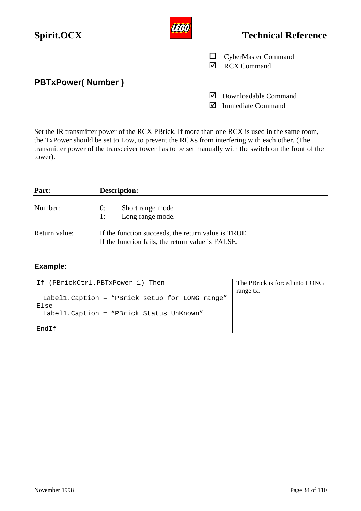| Spirit.OCX               |   | <b>Technical Reference</b>                       |
|--------------------------|---|--------------------------------------------------|
|                          |   | <b>CyberMaster Command</b><br><b>RCX Command</b> |
| <b>PBTxPower(Number)</b> |   |                                                  |
|                          | M | Downloadable Command<br><b>Immediate Command</b> |

Set the IR transmitter power of the RCX PBrick. If more than one RCX is used in the same room, the TxPower should be set to Low, to prevent the RCXs from interfering with each other. (The transmitter power of the transceiver tower has to be set manually with the switch on the front of the tower).

| Part:         | <b>Description:</b>                                                                                      |
|---------------|----------------------------------------------------------------------------------------------------------|
| Number:       | Short range mode<br>0:<br>Long range mode.<br>1:                                                         |
| Return value: | If the function succeeds, the return value is TRUE.<br>If the function fails, the return value is FALSE. |

### **Example:**

| If (PBrickCtrl.PBTxPower 1) Then                | The PBrick is forced into LONG |
|-------------------------------------------------|--------------------------------|
|                                                 | range tx.                      |
| Labell. Caption = "PBrick setup for LONG range" |                                |
| Else                                            |                                |
| Labell. Caption = "PBrick Status UnKnown"       |                                |
| EndIf                                           |                                |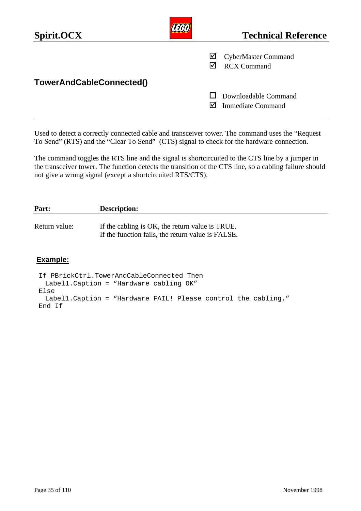| Spirit.OCX               |   | <b>Technical Reference</b>                       |
|--------------------------|---|--------------------------------------------------|
|                          | ⊻ | <b>CyberMaster Command</b><br><b>RCX Command</b> |
| TowerAndCableConnected() |   |                                                  |
|                          |   | Downloadable Command<br><b>Immediate Command</b> |

Used to detect a correctly connected cable and transceiver tower. The command uses the "Request To Send" (RTS) and the "Clear To Send" (CTS) signal to check for the hardware connection.

The command toggles the RTS line and the signal is shortcircuited to the CTS line by a jumper in the transceiver tower. The function detects the transition of the CTS line, so a cabling failure should not give a wrong signal (except a shortcircuited RTS/CTS).

| Part:         | <b>Description:</b>                                                                                  |
|---------------|------------------------------------------------------------------------------------------------------|
| Return value: | If the cabling is OK, the return value is TRUE.<br>If the function fails, the return value is FALSE. |
|               |                                                                                                      |

#### **Example:**

```
If PBrickCtrl.TowerAndCableConnected Then
 Label1.Caption = "Hardware cabling OK"
Else
 Label1.Caption = "Hardware FAIL! Please control the cabling."
End If
```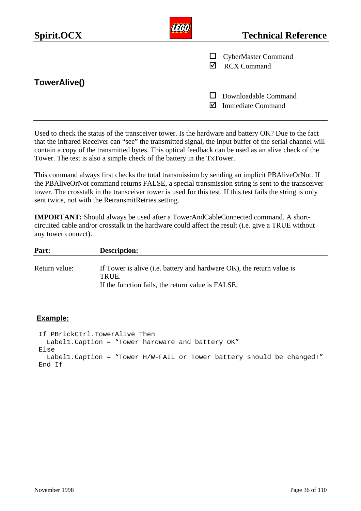| Spirit.OCX   |   | <b>Technical Reference</b>                       |
|--------------|---|--------------------------------------------------|
|              | ☑ | $\Box$ CyberMaster Command<br><b>RCX Command</b> |
| TowerAlive() |   |                                                  |
|              |   | Downloadable Command<br><b>Immediate Command</b> |

Used to check the status of the transceiver tower. Is the hardware and battery OK? Due to the fact that the infrared Receiver can "see" the transmitted signal, the input buffer of the serial channel will contain a copy of the transmitted bytes. This optical feedback can be used as an alive check of the Tower. The test is also a simple check of the battery in the TxTower.

This command always first checks the total transmission by sending an implicit PBAliveOrNot. If the PBAliveOrNot command returns FALSE, a special transmission string is sent to the transceiver tower. The crosstalk in the transceiver tower is used for this test. If this test fails the string is only sent twice, not with the RetransmitRetries setting.

**IMPORTANT:** Should always be used after a TowerAndCableConnected command. A shortcircuited cable and/or crosstalk in the hardware could affect the result (i.e. give a TRUE without any tower connect).

| Part:         | <b>Description:</b>                                                   |
|---------------|-----------------------------------------------------------------------|
| Return value: | If Tower is alive (i.e. battery and hardware OK), the return value is |
|               | TRUE.                                                                 |
|               | If the function fails, the return value is FALSE.                     |

#### **Example:**

If PBrickCtrl.TowerAlive Then Label1.Caption = "Tower hardware and battery OK" Else Label1.Caption = "Tower H/W-FAIL or Tower battery should be changed!" End If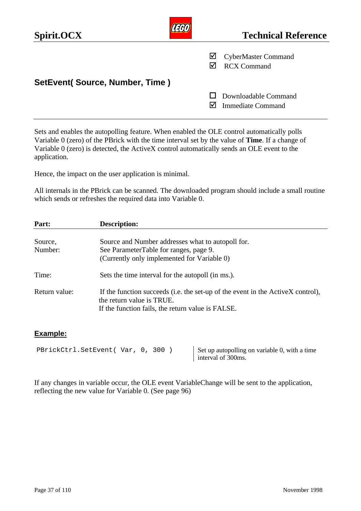| Spirit.OCX                     | <b>Technical Reference</b>                            |
|--------------------------------|-------------------------------------------------------|
|                                | ⊻<br><b>CyberMaster Command</b><br><b>RCX Command</b> |
| SetEvent(Source, Number, Time) |                                                       |
|                                | Downloadable Command<br><b>Immediate Command</b>      |

Sets and enables the autopolling feature. When enabled the OLE control automatically polls Variable 0 (zero) of the PBrick with the time interval set by the value of **Time**. If a change of Variable 0 (zero) is detected, the ActiveX control automatically sends an OLE event to the application.

Hence, the impact on the user application is minimal.

All internals in the PBrick can be scanned. The downloaded program should include a small routine which sends or refreshes the required data into Variable 0.

| Part:         | <b>Description:</b>                                                                                          |
|---------------|--------------------------------------------------------------------------------------------------------------|
|               |                                                                                                              |
| Source,       | Source and Number addresses what to autopoll for.                                                            |
| Number:       | See ParameterTable for ranges, page 9.                                                                       |
|               | (Currently only implemented for Variable 0)                                                                  |
| Time:         | Sets the time interval for the autopoll (in ms.).                                                            |
| Return value: | If the function succeeds (i.e. the set-up of the event in the ActiveX control),<br>the return value is TRUE. |
|               | If the function fails, the return value is FALSE.                                                            |

#### **Example:**

```
PBrickCtrl.SetEvent( Var, 0, 300) Set up autopolling on variable 0, with a time
```
interval of 300ms.

If any changes in variable occur, the OLE event VariableChange will be sent to the application, reflecting the new value for Variable 0. (See page 96)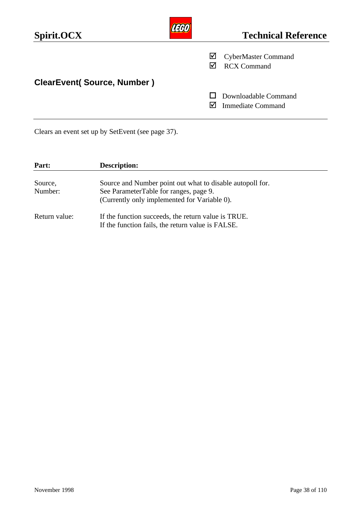| Spirit.OCX                        |   | <b>Technical Reference</b>                       |
|-----------------------------------|---|--------------------------------------------------|
|                                   | ⊻ | <b>CyberMaster Command</b><br><b>RCX Command</b> |
| <b>ClearEvent(Source, Number)</b> |   |                                                  |
|                                   |   | Downloadable Command<br><b>Immediate Command</b> |

Clears an event set up by SetEvent (see page 37).

| Part:              | <b>Description:</b>                                                                                                                                 |
|--------------------|-----------------------------------------------------------------------------------------------------------------------------------------------------|
| Source,<br>Number: | Source and Number point out what to disable autopoll for.<br>See ParameterTable for ranges, page 9.<br>(Currently only implemented for Variable 0). |
| Return value:      | If the function succeeds, the return value is TRUE.<br>If the function fails, the return value is FALSE.                                            |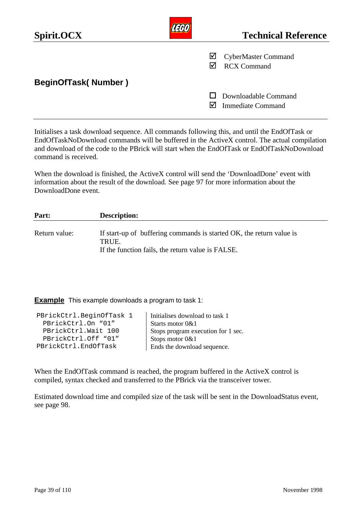| Spirit.OCX                 |   | <b>Technical Reference</b>                       |
|----------------------------|---|--------------------------------------------------|
|                            | ⊻ | <b>CyberMaster Command</b><br><b>RCX Command</b> |
| <b>BeginOfTask(Number)</b> |   |                                                  |
|                            |   | Downloadable Command<br><b>Immediate Command</b> |

Initialises a task download sequence. All commands following this, and until the EndOfTask or EndOfTaskNoDownload commands will be buffered in the ActiveX control. The actual compilation and download of the code to the PBrick will start when the EndOfTask or EndOfTaskNoDownload command is received.

When the download is finished, the ActiveX control will send the 'DownloadDone' event with information about the result of the download. See page 97 for more information about the DownloadDone event.

| Part:         | <b>Description:</b>                                                                                                                |
|---------------|------------------------------------------------------------------------------------------------------------------------------------|
| Return value: | If start-up of buffering commands is started OK, the return value is<br>TRUE.<br>If the function fails, the return value is FALSE. |

**Example** This example downloads a program to task 1:

| PBrickCtrl.BeginOfTask 1 | Initialises download to task 1     |
|--------------------------|------------------------------------|
| PBrickCtrl.On "01"       | Starts motor 0&1                   |
| PBrickCtrl.Wait 100      | Stops program execution for 1 sec. |
| PBrickCtrl.Off "01"      | Stops motor $0&1$                  |
| PBrickCtrl.EndOfTask     | Ends the download sequence.        |
|                          |                                    |

When the EndOfTask command is reached, the program buffered in the ActiveX control is compiled, syntax checked and transferred to the PBrick via the transceiver tower.

Estimated download time and compiled size of the task will be sent in the DownloadStatus event, see page 98.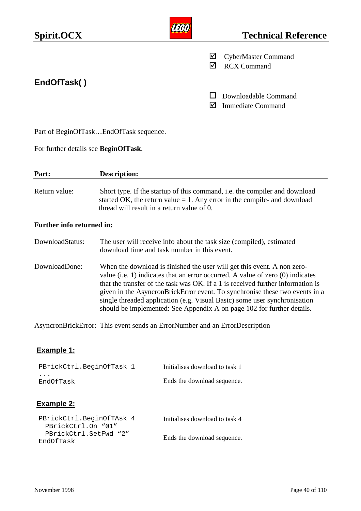| Spirit.OCX  |        | <b>Technical Reference</b>                       |
|-------------|--------|--------------------------------------------------|
|             | ⊻<br>☑ | <b>CyberMaster Command</b><br><b>RCX Command</b> |
| EndOfTask() |        | Downloadable Command<br><b>Immediate Command</b> |

Part of BeginOfTask…EndOfTask sequence.

For further details see **BeginOfTask**.

| Part:                            | <b>Description:</b>                                                                                                                                                                                     |  |
|----------------------------------|---------------------------------------------------------------------------------------------------------------------------------------------------------------------------------------------------------|--|
| Return value:                    | Short type. If the startup of this command, i.e. the compiler and download<br>started OK, the return value $= 1$ . Any error in the compile- and download<br>thread will result in a return value of 0. |  |
| <b>Further info returned in.</b> |                                                                                                                                                                                                         |  |

#### **Further info returned in:**

| DownloadStatus: | The user will receive info about the task size (compiled), estimated |
|-----------------|----------------------------------------------------------------------|
|                 | download time and task number in this event.                         |

DownloadDone: When the download is finished the user will get this event. A non zerovalue (i.e. 1) indicates that an error occurred. A value of zero (0) indicates that the transfer of the task was OK. If a 1 is received further information is given in the AsyncronBrickError event. To synchronise these two events in a single threaded application (e.g. Visual Basic) some user synchronisation should be implemented: See Appendix A on page 102 for further details.

AsyncronBrickError: This event sends an ErrorNumber and an ErrorDescription

### **Example 1:**

| PBrickCtrl.BeginOfTask 1          | Initialises download to task 1 |
|-----------------------------------|--------------------------------|
| $\ddot{\phantom{a}}$<br>EndOfTask | Ends the download sequence.    |

### **Example 2:**

| PBrickCtrl.BeginOfTAsk 4 | Initialises download to task 4 |
|--------------------------|--------------------------------|
| PBrickCtrl.On "01"       |                                |
| PBrickCtrl.SetFwd "2"    | Ends the download sequence.    |
| EndOfTask                |                                |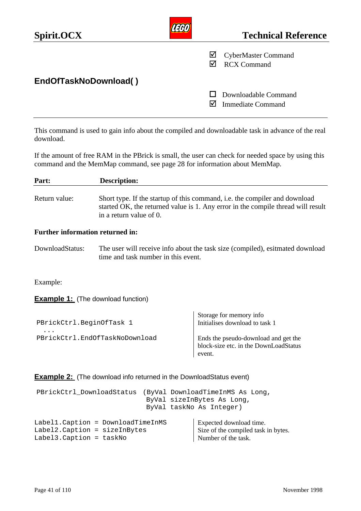| Spirit.OCX            |   | <b>Technical Reference</b>                       |
|-----------------------|---|--------------------------------------------------|
|                       | ⊻ | <b>CyberMaster Command</b><br><b>RCX Command</b> |
| EndOfTaskNoDownload() |   |                                                  |
|                       |   | Downloadable Command<br><b>Immediate Command</b> |

This command is used to gain info about the compiled and downloadable task in advance of the real download.

If the amount of free RAM in the PBrick is small, the user can check for needed space by using this command and the MemMap command, see page 28 for information about MemMap.

| Part:                                                                                                                     | <b>Description:</b>                                                                                                                                                                       |                                                           |  |  |
|---------------------------------------------------------------------------------------------------------------------------|-------------------------------------------------------------------------------------------------------------------------------------------------------------------------------------------|-----------------------------------------------------------|--|--|
| Return value:                                                                                                             | Short type. If the startup of this command, i.e. the compiler and download<br>started OK, the returned value is 1. Any error in the compile thread will result<br>in a return value of 0. |                                                           |  |  |
| <b>Further information returned in:</b>                                                                                   |                                                                                                                                                                                           |                                                           |  |  |
| DownloadStatus:                                                                                                           | The user will receive info about the task size (compiled), esitmated download<br>time and task number in this event.                                                                      |                                                           |  |  |
| Example:                                                                                                                  |                                                                                                                                                                                           |                                                           |  |  |
| <b>Example 1:</b> (The download function)                                                                                 |                                                                                                                                                                                           |                                                           |  |  |
| PBrickCtrl.BeginOfTask 1                                                                                                  |                                                                                                                                                                                           | Storage for memory info<br>Initialises download to task 1 |  |  |
| PBrickCtrl.EndOfTaskNoDownload<br>Ends the pseudo-download and get the<br>block-size etc. in the DownLoadStatus<br>event. |                                                                                                                                                                                           |                                                           |  |  |
| <b>Example 2:</b> (The download info returned in the DownloadStatus event)                                                |                                                                                                                                                                                           |                                                           |  |  |

| PBrickCtrl_DownloadStatus (ByVal DownloadTimeInMS As Long,                                       |  | ByVal sizeInBytes As Long,<br>ByVal taskNo As Integer)                                |
|--------------------------------------------------------------------------------------------------|--|---------------------------------------------------------------------------------------|
| Label1. Caption = DownloadTimeInMS<br>Label2. Caption = sizeInBytes<br>$Label3.Caption = taskNo$ |  | Expected download time.<br>Size of the compiled task in bytes.<br>Number of the task. |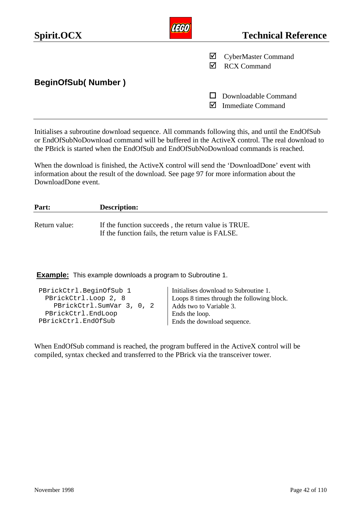| Spirit.OCX                |   | <b>Technical Reference</b>                       |
|---------------------------|---|--------------------------------------------------|
|                           | M | <b>CyberMaster Command</b><br><b>RCX Command</b> |
| <b>BeginOfSub(Number)</b> |   |                                                  |
|                           |   | Downloadable Command<br><b>Immediate Command</b> |

Initialises a subroutine download sequence. All commands following this, and until the EndOfSub or EndOfSubNoDownload command will be buffered in the ActiveX control. The real download to the PBrick is started when the EndOfSub and EndOfSubNoDownload commands is reached.

When the download is finished, the ActiveX control will send the 'DownloadDone' event with information about the result of the download. See page 97 for more information about the DownloadDone event.

| Part:         | <b>Description:</b>                                                                                      |
|---------------|----------------------------------------------------------------------------------------------------------|
| Return value: | If the function succeeds, the return value is TRUE.<br>If the function fails, the return value is FALSE. |

**Example:** This example downloads a program to Subroutine 1.

| PBrickCtrl.BeginOfSub 1<br>PBrickCtrl.Loop 2, 8<br>PBrickCtrl.SumVar 3, 0, 2<br>PBrickCtrl.EndLoop | Initialises download to Subroutine 1.<br>Loops 8 times through the following block.<br>Adds two to Variable 3.<br>Ends the loop. |
|----------------------------------------------------------------------------------------------------|----------------------------------------------------------------------------------------------------------------------------------|
|                                                                                                    |                                                                                                                                  |
| PBrickCtrl.EndOfSub                                                                                | Ends the download sequence.                                                                                                      |

When EndOfSub command is reached, the program buffered in the ActiveX control will be compiled, syntax checked and transferred to the PBrick via the transceiver tower.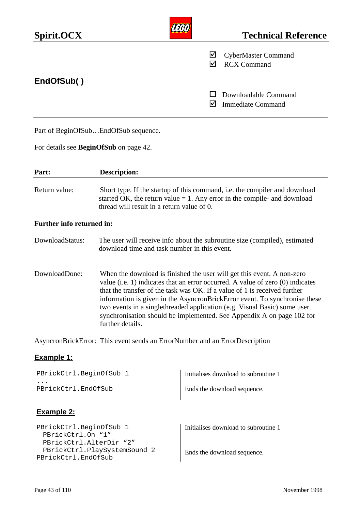| Spirit.OCX                                                              |                                                                                                                                                                                                                                                                                                                                                                                                                                                                                              |        | <b>Technical Reference</b>                       |
|-------------------------------------------------------------------------|----------------------------------------------------------------------------------------------------------------------------------------------------------------------------------------------------------------------------------------------------------------------------------------------------------------------------------------------------------------------------------------------------------------------------------------------------------------------------------------------|--------|--------------------------------------------------|
|                                                                         |                                                                                                                                                                                                                                                                                                                                                                                                                                                                                              | ⊻<br>☑ | <b>CyberMaster Command</b><br><b>RCX Command</b> |
| EndOfSub()                                                              |                                                                                                                                                                                                                                                                                                                                                                                                                                                                                              |        |                                                  |
|                                                                         |                                                                                                                                                                                                                                                                                                                                                                                                                                                                                              | ☑      | Downloadable Command<br><b>Immediate Command</b> |
|                                                                         | Part of BeginOfSubEndOfSub sequence.                                                                                                                                                                                                                                                                                                                                                                                                                                                         |        |                                                  |
|                                                                         | For details see <b>BeginOfSub</b> on page 42.                                                                                                                                                                                                                                                                                                                                                                                                                                                |        |                                                  |
| Part:                                                                   | <b>Description:</b>                                                                                                                                                                                                                                                                                                                                                                                                                                                                          |        |                                                  |
| Return value:                                                           | Short type. If the startup of this command, i.e. the compiler and download<br>started OK, the return value $= 1$ . Any error in the compile- and download<br>thread will result in a return value of 0.                                                                                                                                                                                                                                                                                      |        |                                                  |
| Further info returned in:                                               |                                                                                                                                                                                                                                                                                                                                                                                                                                                                                              |        |                                                  |
| DownloadStatus:                                                         | The user will receive info about the subroutine size (compiled), estimated<br>download time and task number in this event.                                                                                                                                                                                                                                                                                                                                                                   |        |                                                  |
| DownloadDone:                                                           | When the download is finished the user will get this event. A non-zero<br>value (i.e. 1) indicates that an error occurred. A value of zero (0) indicates<br>that the transfer of the task was OK. If a value of 1 is received further<br>information is given in the AsyncronBrickError event. To synchronise these<br>two events in a singlethreaded application (e.g. Visual Basic) some user<br>synchronisation should be implemented. See Appendix A on page 102 for<br>further details. |        |                                                  |
|                                                                         | AsyncronBrickError: This event sends an ErrorNumber and an ErrorDescription                                                                                                                                                                                                                                                                                                                                                                                                                  |        |                                                  |
| <b>Example 1:</b>                                                       |                                                                                                                                                                                                                                                                                                                                                                                                                                                                                              |        |                                                  |
| PBrickCtrl.BeginOfSub 1                                                 |                                                                                                                                                                                                                                                                                                                                                                                                                                                                                              |        | Initialises download to subroutine 1             |
| PBrickCtrl.EndOfSub                                                     |                                                                                                                                                                                                                                                                                                                                                                                                                                                                                              |        | Ends the download sequence.                      |
| <b>Example 2:</b>                                                       |                                                                                                                                                                                                                                                                                                                                                                                                                                                                                              |        |                                                  |
| PBrickCtrl.BeginOfSub 1<br>PBrickCtrl.On "1"<br>PBrickCtrl.AlterDir "2" |                                                                                                                                                                                                                                                                                                                                                                                                                                                                                              |        | Initialises download to subroutine 1             |

Ends the download sequence.

PBrickCtrl.PlaySystemSound 2

PBrickCtrl.EndOfSub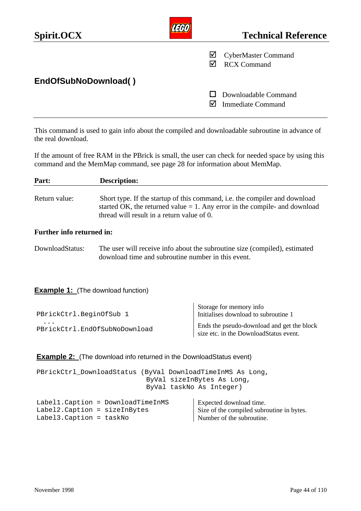| Spirit.OCX           |   | <b>Technical Reference</b>                       |
|----------------------|---|--------------------------------------------------|
|                      | ⊻ | <b>CyberMaster Command</b><br><b>RCX Command</b> |
| EndOfSubNoDownload() |   |                                                  |
|                      |   | Downloadable Command<br><b>Immediate Command</b> |

This command is used to gain info about the compiled and downloadable subroutine in advance of the real download.

If the amount of free RAM in the PBrick is small, the user can check for needed space by using this command and the MemMap command, see page 28 for information about MemMap.

| Part:                                                                                                                | <b>Description:</b>                                                                                                                                                                                       |                                                                                                   |  |
|----------------------------------------------------------------------------------------------------------------------|-----------------------------------------------------------------------------------------------------------------------------------------------------------------------------------------------------------|---------------------------------------------------------------------------------------------------|--|
| Return value:                                                                                                        | Short type. If the startup of this command, i.e. the compiler and download<br>started OK, the returned value $= 1$ . Any error in the compile- and download<br>thread will result in a return value of 0. |                                                                                                   |  |
| <b>Further info returned in:</b>                                                                                     |                                                                                                                                                                                                           |                                                                                                   |  |
| DownloadStatus:                                                                                                      | The user will receive info about the subroutine size (compiled), estimated<br>download time and subroutine number in this event.                                                                          |                                                                                                   |  |
| <b>Example 1:</b> (The download function)                                                                            |                                                                                                                                                                                                           |                                                                                                   |  |
| PBrickCtrl.BeginOfSub 1                                                                                              |                                                                                                                                                                                                           | Storage for memory info<br>Initialises download to subroutine 1                                   |  |
| PBrickCtrl.EndOfSubNoDownload                                                                                        |                                                                                                                                                                                                           | Ends the pseudo-download and get the block<br>size etc. in the DownloadStatus event.              |  |
|                                                                                                                      | <b>Example 2:</b> (The download info returned in the Download Status event)                                                                                                                               |                                                                                                   |  |
| PBrickCtrl_DownloadStatus (ByVal DownloadTimeInMS As Long,<br>ByVal sizeInBytes As Long,<br>ByVal taskNo As Integer) |                                                                                                                                                                                                           |                                                                                                   |  |
| Label1. Caption = DownloadTimeInMS<br>Label2. Caption = sizeInBytes<br>Label3. Caption = taskNo                      |                                                                                                                                                                                                           | Expected download time.<br>Size of the compiled subroutine in bytes.<br>Number of the subroutine. |  |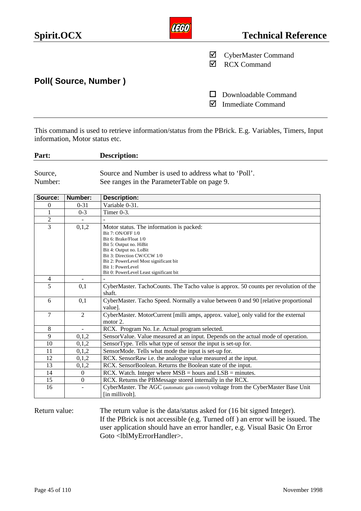| Spirit.OCX           |   | <b>Technical Reference</b>                       |
|----------------------|---|--------------------------------------------------|
|                      | ⊻ | <b>CyberMaster Command</b><br><b>RCX Command</b> |
| Poll(Source, Number) |   |                                                  |
|                      |   | Downloadable Command<br><b>Immediate Command</b> |

This command is used to retrieve information/status from the PBrick. E.g. Variables, Timers, Input information, Motor status etc.

**Part: Description:** Source, Source and Number is used to address what to 'Poll'.

Number: See ranges in the ParameterTable on page 9.

| Source:        | Number:        | <b>Description:</b>                                                                  |
|----------------|----------------|--------------------------------------------------------------------------------------|
| $\mathbf{0}$   | $0 - 31$       | Variable 0-31.                                                                       |
|                | $0 - 3$        | Timer 0-3.                                                                           |
| $\overline{2}$ |                |                                                                                      |
| $\overline{3}$ | 0,1,2          | Motor status. The information is packed:                                             |
|                |                | Bit 7: ON/OFF 1/0                                                                    |
|                |                | Bit 6: Brake/Float 1/0                                                               |
|                |                | Bit 5: Output no. HiBit                                                              |
|                |                | Bit 4: Output no. LoBit                                                              |
|                |                | Bit 3: Direction CW/CCW 1/0                                                          |
|                |                | Bit 2: PowerLevel Most significant bit                                               |
|                |                | Bit 1: PowerLevel                                                                    |
|                |                | Bit 0: PowerLevel Least significant bit                                              |
| 4              |                |                                                                                      |
| 5              | 0,1            | CyberMaster. TachoCounts. The Tacho value is approx. 50 counts per revolution of the |
|                |                | shaft.                                                                               |
| 6              | 0,1            | CyberMaster. Tacho Speed. Normally a value between 0 and 90 [relative proportional   |
|                |                | value].                                                                              |
| $\overline{7}$ | 2              | CyberMaster. MotorCurrent [milli amps, approx. value], only valid for the external   |
|                |                | motor 2.                                                                             |
| 8              |                | RCX. Program No. I.e. Actual program selected.                                       |
| 9              | 0,1,2          | SensorValue. Value measured at an input. Depends on the actual mode of operation.    |
| 10             | 0,1,2          | SensorType. Tells what type of sensor the input is set-up for.                       |
| 11             | 0,1,2          | SensorMode. Tells what mode the input is set-up for.                                 |
| 12             | 0,1,2          | RCX. SensorRaw i.e. the analogue value measured at the input.                        |
| 13             | 0,1,2          | RCX. SensorBoolean. Returns the Boolean state of the input.                          |
| 14             | $\Omega$       | RCX. Watch. Integer where $MSB = hours$ and $LSB = minutes$ .                        |
| 15             | $\overline{0}$ | RCX. Returns the PBMessage stored internally in the RCX.                             |
| 16             |                | CyberMaster. The AGC (automatic gain control) voltage from the CyberMaster Base Unit |
|                |                | [in millivolt].                                                                      |
|                |                |                                                                                      |

Return value: The return value is the data/status asked for (16 bit signed Integer). If the PBrick is not accessible (e.g. Turned off ) an error will be issued. The user application should have an error handler, e.g. Visual Basic On Error Goto <lblMyErrorHandler>.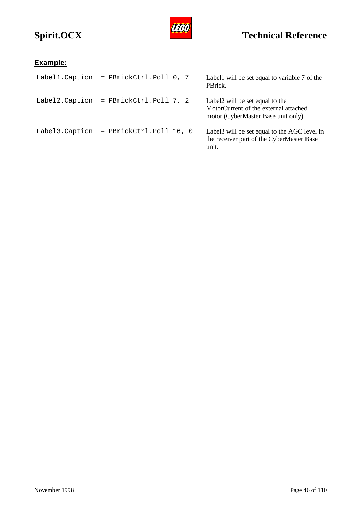

# **Example:**

| Label1.Caption | = PBrickCtrl.Poll 0, 7  | Labell will be set equal to variable 7 of the<br>PBrick.                                                        |
|----------------|-------------------------|-----------------------------------------------------------------------------------------------------------------|
| Label2.Caption | = PBrickCtrl.Poll 7, 2  | Label2 will be set equal to the<br>MotorCurrent of the external attached<br>motor (CyberMaster Base unit only). |
| Label3.Caption | = PBrickCtrl.Poll 16, 0 | Label3 will be set equal to the AGC level in<br>the receiver part of the CyberMaster Base<br>unit.              |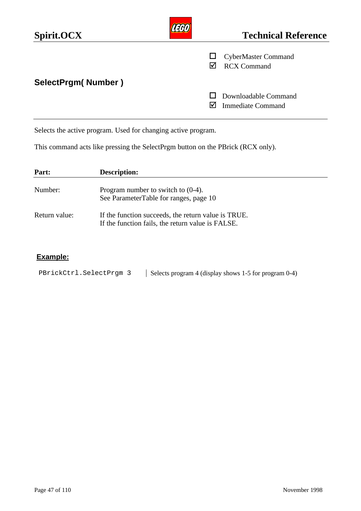| Spirit.OCX                | <b>Technical Reference</b>                       |
|---------------------------|--------------------------------------------------|
|                           | <b>CyberMaster Command</b><br><b>RCX Command</b> |
| <b>SelectPrgm(Number)</b> |                                                  |
|                           | Downloadable Command<br><b>Immediate Command</b> |

Selects the active program. Used for changing active program.

This command acts like pressing the SelectPrgm button on the PBrick (RCX only).

| Part:         | <b>Description:</b>                                                                                      |
|---------------|----------------------------------------------------------------------------------------------------------|
| Number:       | Program number to switch to $(0-4)$ .<br>See ParameterTable for ranges, page 10                          |
| Return value: | If the function succeeds, the return value is TRUE.<br>If the function fails, the return value is FALSE. |

# **Example:**

| PBrickCtrl.SelectPrgm 3 | Selects program 4 (display shows 1-5 for program 0-4) |
|-------------------------|-------------------------------------------------------|
|                         |                                                       |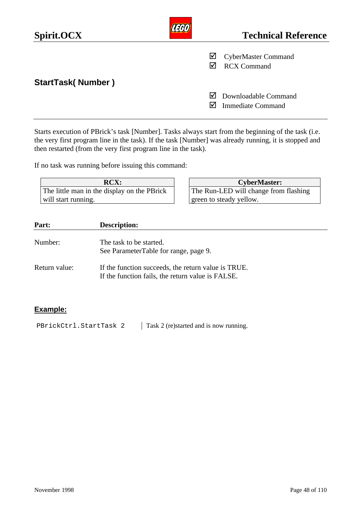| Spirit.OCX               |    | <b>Technical Reference</b>                       |
|--------------------------|----|--------------------------------------------------|
|                          | ⊻  | <b>CyberMaster Command</b><br><b>RCX Command</b> |
| <b>StartTask(Number)</b> |    |                                                  |
|                          | IМ | Downloadable Command<br><b>Immediate Command</b> |

Starts execution of PBrick's task [Number]. Tasks always start from the beginning of the task (i.e. the very first program line in the task). If the task [Number] was already running, it is stopped and then restarted (from the very first program line in the task).

If no task was running before issuing this command:

| <b>RCX:</b>                                 |
|---------------------------------------------|
| The little man in the display on the PBrick |
| will start running.                         |

| <b>RCX:</b>           |  | <b>CyberMaster:</b>                   |  |
|-----------------------|--|---------------------------------------|--|
| display on the PBrick |  | The Run-LED will change from flashing |  |
|                       |  | green to steady yellow.               |  |

| Part:         | <b>Description:</b>                                                                                      |
|---------------|----------------------------------------------------------------------------------------------------------|
| Number:       | The task to be started.<br>See ParameterTable for range, page 9.                                         |
| Return value: | If the function succeeds, the return value is TRUE.<br>If the function fails, the return value is FALSE. |

### **Example:**

PBrickCtrl.StartTask 2 | Task 2 (re)started and is now running.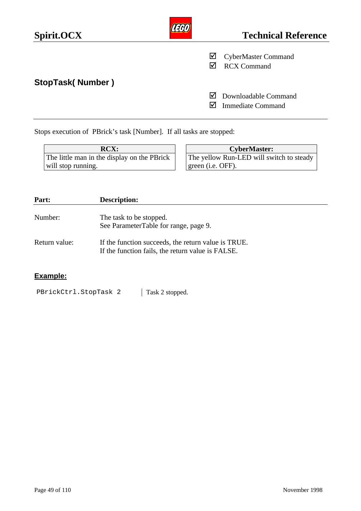| Spirit.OCX              | וואד   | <b>Technical Reference</b>                       |
|-------------------------|--------|--------------------------------------------------|
|                         | ⊻<br>∇ | <b>CyberMaster Command</b><br><b>RCX Command</b> |
| <b>StopTask(Number)</b> | M<br>⋈ | Downloadable Command<br><b>Immediate Command</b> |
|                         |        |                                                  |

Stops execution of PBrick's task [Number]. If all tasks are stopped:

| <b>RCX:</b>                                 | <b>CyberMaster:</b>                      |
|---------------------------------------------|------------------------------------------|
| The little man in the display on the PBrick | The yellow Run-LED will switch to steady |
| will stop running.                          | green ( <i>i.e.</i> OFF).                |

| Part:         | <b>Description:</b>                                                                                      |
|---------------|----------------------------------------------------------------------------------------------------------|
| Number:       | The task to be stopped.<br>See ParameterTable for range, page 9.                                         |
| Return value: | If the function succeeds, the return value is TRUE.<br>If the function fails, the return value is FALSE. |

# **Example:**

PBrickCtrl.StopTask 2 | Task 2 stopped.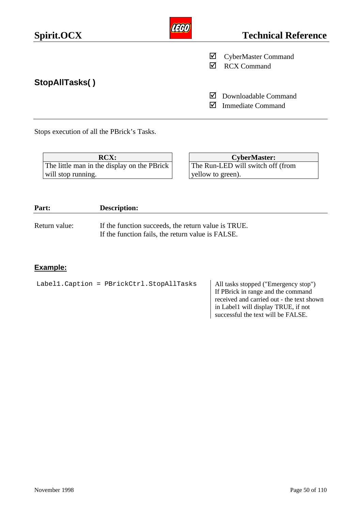| Spirit.OCX     |        | <b>Technical Reference</b>                       |
|----------------|--------|--------------------------------------------------|
|                | ⊻      | <b>CyberMaster Command</b><br><b>RCX Command</b> |
| StopAllTasks() | M<br>M | Downloadable Command<br><b>Immediate Command</b> |

Stops execution of all the PBrick's Tasks.

| <b>RCX:</b>                                 | <b>CyberMaster:</b>               |
|---------------------------------------------|-----------------------------------|
| The little man in the display on the PBrick | The Run-LED will switch off (from |
| will stop running.                          | vellow to green).                 |

| Part:         | <b>Description:</b>                                                                                      |
|---------------|----------------------------------------------------------------------------------------------------------|
| Return value: | If the function succeeds, the return value is TRUE.<br>If the function fails, the return value is FALSE. |

# **Example:**

| Label1. Caption = PBrickCtrl. StopAllTasks | All tasks stopped ("Emergency stop")<br>If PBrick in range and the command<br>received and carried out - the text shown<br>in Label1 will display TRUE, if not<br>successful the text will be FALSE. |
|--------------------------------------------|------------------------------------------------------------------------------------------------------------------------------------------------------------------------------------------------------|
|                                            |                                                                                                                                                                                                      |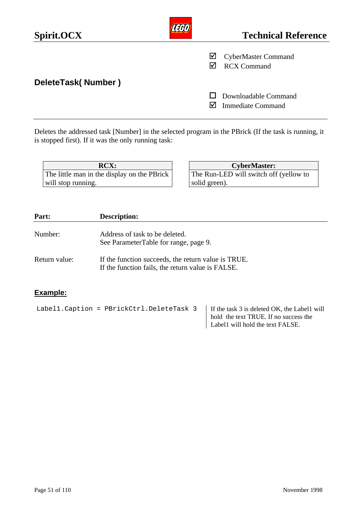| Spirit.OCX         |   | <b>Technical Reference</b>                       |
|--------------------|---|--------------------------------------------------|
|                    | ⊻ | <b>CyberMaster Command</b><br><b>RCX Command</b> |
| DeleteTask(Number) |   | Downloadable Command<br><b>Immediate Command</b> |

Deletes the addressed task [Number] in the selected program in the PBrick (If the task is running, it is stopped first). If it was the only running task:

The little man in the display on the PBrick will stop running.

**RCX: CyberMaster:** The Run-LED will switch off (yellow to solid green).

| Part:         | <b>Description:</b>                                                                                      |  |
|---------------|----------------------------------------------------------------------------------------------------------|--|
| Number:       | Address of task to be deleted.<br>See ParameterTable for range, page 9.                                  |  |
| Return value: | If the function succeeds, the return value is TRUE.<br>If the function fails, the return value is FALSE. |  |

# **Example:**

Label1. Caption = PBrickCtrl. DeleteTask  $3$  | If the task 3 is deleted OK, the Label1 will

hold the text TRUE. If no success the Label1 will hold the text FALSE.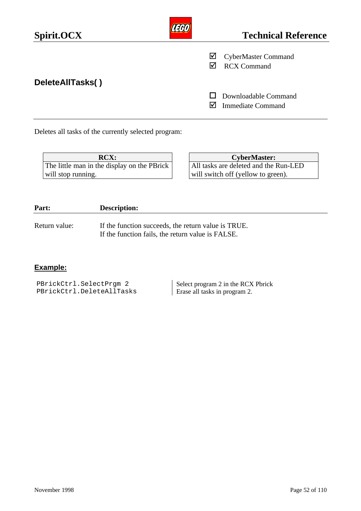| Spirit.OCX       |   | <b>Technical Reference</b>                       |
|------------------|---|--------------------------------------------------|
|                  | ⊻ | <b>CyberMaster Command</b><br><b>RCX Command</b> |
| DeleteAllTasks() |   | Downloadable Command<br><b>Immediate Command</b> |
|                  |   |                                                  |

Deletes all tasks of the currently selected program:

| <b>RCX:</b>                                 |
|---------------------------------------------|
| The little man in the display on the PBrick |
| will stop running.                          |

| <b>RCX:</b>              | <b>CyberMaster:</b>                   |
|--------------------------|---------------------------------------|
| he display on the PBrick | All tasks are deleted and the Run-LED |
|                          | will switch off (yellow to green).    |

| Part:         | <b>Description:</b>                                                                                      |
|---------------|----------------------------------------------------------------------------------------------------------|
| Return value: | If the function succeeds, the return value is TRUE.<br>If the function fails, the return value is FALSE. |

# **Example:**

| PBrickCtrl.SelectPrgm 2   | Select program 2 in the RCX Pbrick |
|---------------------------|------------------------------------|
| PBrickCtrl.DeleteAllTasks | Erase all tasks in program 2.      |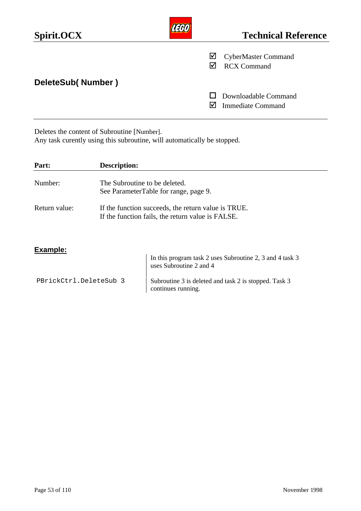| Spirit.OCX        |        | <b>Technical Reference</b>                       |
|-------------------|--------|--------------------------------------------------|
|                   | ⊻<br>M | <b>CyberMaster Command</b><br><b>RCX Command</b> |
| DeleteSub(Number) |        |                                                  |
|                   |        | Downloadable Command<br><b>Immediate Command</b> |

#### Deletes the content of Subroutine [Number].

Any task curently using this subroutine, will automatically be stopped.

| Part:         | <b>Description:</b>                                                                                      |
|---------------|----------------------------------------------------------------------------------------------------------|
| Number:       | The Subroutine to be deleted.                                                                            |
|               | See ParameterTable for range, page 9.                                                                    |
| Return value: | If the function succeeds, the return value is TRUE.<br>If the function fails, the return value is FALSE. |
| Example:      |                                                                                                          |

|                        | In this program task 2 uses Subroutine 2, 3 and 4 task 3<br>uses Subroutine 2 and 4 |
|------------------------|-------------------------------------------------------------------------------------|
| PBrickCtrl.DeleteSub 3 | Subroutine 3 is deleted and task 2 is stopped. Task 3<br>continues running.         |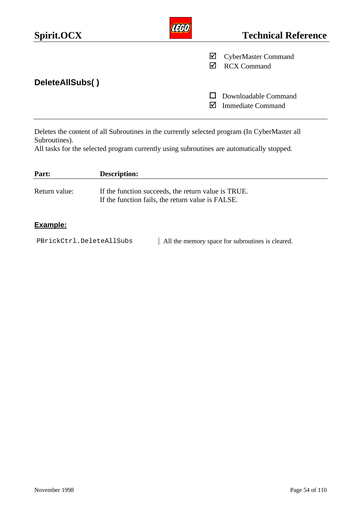| Spirit.OCX      |   | <b>Technical Reference</b>                       |
|-----------------|---|--------------------------------------------------|
|                 | ⊻ | <b>CyberMaster Command</b><br><b>RCX Command</b> |
| DeleteAllSubs() | M | Downloadable Command<br><b>Immediate Command</b> |
|                 |   |                                                  |

Deletes the content of all Subroutines in the currently selected program (In CyberMaster all Subroutines).

All tasks for the selected program currently using subroutines are automatically stopped.

| Part:         | <b>Description:</b>                                                                                      |
|---------------|----------------------------------------------------------------------------------------------------------|
| Return value: | If the function succeeds, the return value is TRUE.<br>If the function fails, the return value is FALSE. |

# **Example:**

PBrickCtrl.DeleteAllSubs | All the memory space for subroutines is cleared.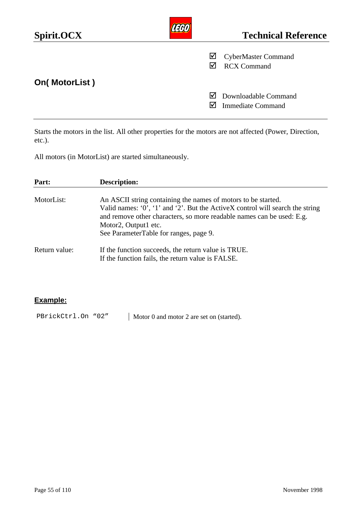| Spirit.OCX           |        | <b>Technical Reference</b>                                        |
|----------------------|--------|-------------------------------------------------------------------|
|                      | ⊻<br>☑ | <b>CyberMaster Command</b><br><b>RCX Command</b>                  |
| <b>On(MotorList)</b> |        |                                                                   |
|                      |        | $\triangleright$ Downloadable Command<br><b>Immediate Command</b> |

Starts the motors in the list. All other properties for the motors are not affected (Power, Direction, etc.).

All motors (in MotorList) are started simultaneously.

| Part:         | <b>Description:</b>                                                                                                                                                                                                                                                                       |
|---------------|-------------------------------------------------------------------------------------------------------------------------------------------------------------------------------------------------------------------------------------------------------------------------------------------|
| MotorList:    | An ASCII string containing the names of motors to be started.<br>Valid names: '0', '1' and '2'. But the ActiveX control will search the string<br>and remove other characters, so more readable names can be used: E.g.<br>Motor2, Output1 etc.<br>See ParameterTable for ranges, page 9. |
| Return value: | If the function succeeds, the return value is TRUE.<br>If the function fails, the return value is FALSE.                                                                                                                                                                                  |

# **Example:**

PBrickCtrl.On "02" | Motor 0 and motor 2 are set on (started).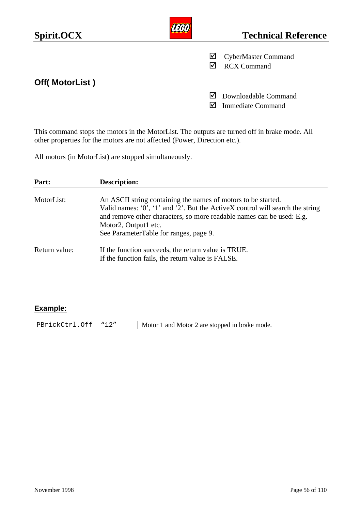| Spirit.OCX     |   | <b>Technical Reference</b>                       |
|----------------|---|--------------------------------------------------|
|                | ⊻ | <b>CyberMaster Command</b><br><b>RCX Command</b> |
| Off(MotorList) |   |                                                  |
|                | M | Downloadable Command<br><b>Immediate Command</b> |

This command stops the motors in the MotorList. The outputs are turned off in brake mode. All other properties for the motors are not affected (Power, Direction etc.).

All motors (in MotorList) are stopped simultaneously.

| Part:         | <b>Description:</b>                                                                                                                                                                                                                                                                       |
|---------------|-------------------------------------------------------------------------------------------------------------------------------------------------------------------------------------------------------------------------------------------------------------------------------------------|
| MotorList:    | An ASCII string containing the names of motors to be started.<br>Valid names: '0', '1' and '2'. But the ActiveX control will search the string<br>and remove other characters, so more readable names can be used: E.g.<br>Motor2, Output1 etc.<br>See ParameterTable for ranges, page 9. |
| Return value: | If the function succeeds, the return value is TRUE.<br>If the function fails, the return value is FALSE.                                                                                                                                                                                  |

### **Example:**

PBrickCtrl.Off "12" | Motor 1 and Motor 2 are stopped in brake mode.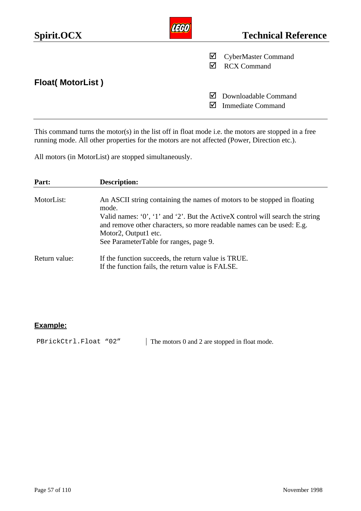| Spirit.OCX              |        | <b>Technical Reference</b>                       |
|-------------------------|--------|--------------------------------------------------|
|                         | M<br>⋈ | <b>CyberMaster Command</b><br><b>RCX Command</b> |
| <b>Float(MotorList)</b> |        |                                                  |
|                         | M      | Downloadable Command<br><b>Immediate Command</b> |

This command turns the motor(s) in the list off in float mode i.e. the motors are stopped in a free running mode. All other properties for the motors are not affected (Power, Direction etc.).

All motors (in MotorList) are stopped simultaneously.

| Part:         | <b>Description:</b>                                                                                                                                                                                                                                                                                                |
|---------------|--------------------------------------------------------------------------------------------------------------------------------------------------------------------------------------------------------------------------------------------------------------------------------------------------------------------|
| MotorList:    | An ASCII string containing the names of motors to be stopped in floating<br>mode.<br>Valid names: $0'$ , $1'$ and $2'$ . But the ActiveX control will search the string<br>and remove other characters, so more readable names can be used: E.g.<br>Motor2, Output1 etc.<br>See ParameterTable for ranges, page 9. |
| Return value: | If the function succeeds, the return value is TRUE.<br>If the function fails, the return value is FALSE.                                                                                                                                                                                                           |

### **Example:**

PBrickCtrl.Float "02" | The motors 0 and 2 are stopped in float mode.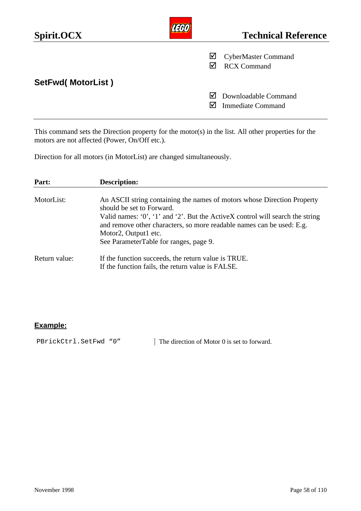| Spirit.OCX        |   | <b>Technical Reference</b>                       |
|-------------------|---|--------------------------------------------------|
|                   | ☑ | <b>CyberMaster Command</b><br><b>RCX Command</b> |
| SetFwd(MotorList) | M | Downloadable Command<br><b>Immediate Command</b> |

This command sets the Direction property for the motor(s) in the list. All other properties for the motors are not affected (Power, On/Off etc.).

Direction for all motors (in MotorList) are changed simultaneously.

| Part:         | <b>Description:</b>                                                                                                                                                                                                                                                                                                              |
|---------------|----------------------------------------------------------------------------------------------------------------------------------------------------------------------------------------------------------------------------------------------------------------------------------------------------------------------------------|
| MotorList:    | An ASCII string containing the names of motors whose Direction Property<br>should be set to Forward.<br>Valid names: '0', '1' and '2'. But the ActiveX control will search the string<br>and remove other characters, so more readable names can be used: E.g.<br>Motor2, Output1 etc.<br>See ParameterTable for ranges, page 9. |
| Return value: | If the function succeeds, the return value is TRUE.<br>If the function fails, the return value is FALSE.                                                                                                                                                                                                                         |

## **Example:**

PBrickCtrl.SetFwd "0" The direction of Motor 0 is set to forward.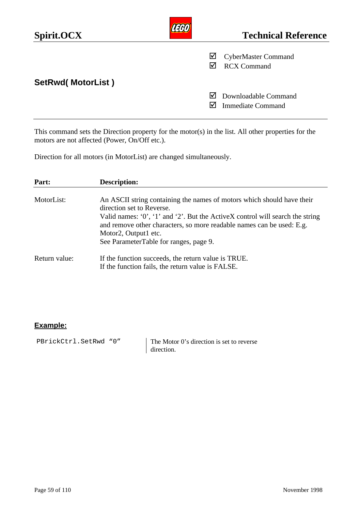| Spirit.OCX        |   | <b>Technical Reference</b>                       |
|-------------------|---|--------------------------------------------------|
|                   | ⊻ | <b>CyberMaster Command</b><br><b>RCX Command</b> |
| SetRwd(MotorList) | M | Downloadable Command<br><b>Immediate Command</b> |

This command sets the Direction property for the motor(s) in the list. All other properties for the motors are not affected (Power, On/Off etc.).

Direction for all motors (in MotorList) are changed simultaneously.

| Part:         | Description:                                                                                                                                                                                                                                                                                                                         |
|---------------|--------------------------------------------------------------------------------------------------------------------------------------------------------------------------------------------------------------------------------------------------------------------------------------------------------------------------------------|
| MotorList:    | An ASCII string containing the names of motors which should have their<br>direction set to Reverse.<br>Valid names: $0'$ , $1'$ and $2'$ . But the ActiveX control will search the string<br>and remove other characters, so more readable names can be used: E.g.<br>Motor2, Output1 etc.<br>See ParameterTable for ranges, page 9. |
| Return value: | If the function succeeds, the return value is TRUE.<br>If the function fails, the return value is FALSE.                                                                                                                                                                                                                             |

## **Example:**

PBrickCtrl.SetRwd "0" The Motor 0's direction is set to reverse direction.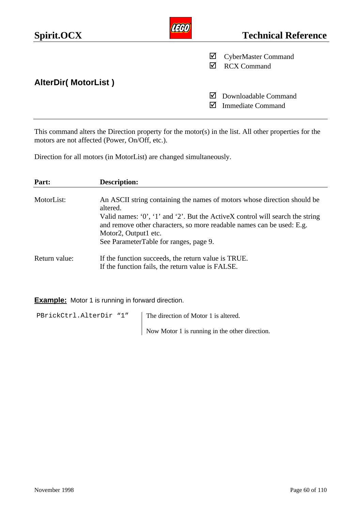| Spirit.OCX                 |          | <b>Technical Reference</b>                       |
|----------------------------|----------|--------------------------------------------------|
|                            | ☑        | <b>CyberMaster Command</b><br><b>RCX Command</b> |
| <b>AlterDir(MotorList)</b> | M<br>IV١ | Downloadable Command<br><b>Immediate Command</b> |

This command alters the Direction property for the motor(s) in the list. All other properties for the motors are not affected (Power, On/Off, etc.).

Direction for all motors (in MotorList) are changed simultaneously.

| Part:         | <b>Description:</b>                                                                                                                                                                                                                                                                                                   |
|---------------|-----------------------------------------------------------------------------------------------------------------------------------------------------------------------------------------------------------------------------------------------------------------------------------------------------------------------|
| MotorList:    | An ASCII string containing the names of motors whose direction should be<br>altered.<br>Valid names: $0'$ , $1'$ and $2'$ . But the ActiveX control will search the string<br>and remove other characters, so more readable names can be used: E.g.<br>Motor2, Output1 etc.<br>See ParameterTable for ranges, page 9. |
| Return value: | If the function succeeds, the return value is TRUE.<br>If the function fails, the return value is FALSE.                                                                                                                                                                                                              |

**Example:** Motor 1 is running in forward direction.

PBrickCtrl.AlterDir "1" | The direction of Motor 1 is altered. Now Motor 1 is running in the other direction.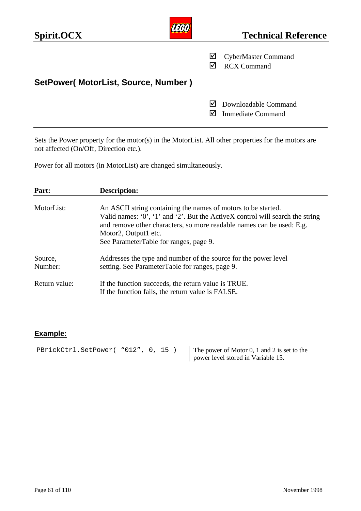| <b>Technical Reference</b>                       |
|--------------------------------------------------|
| <b>CyberMaster Command</b><br><b>RCX Command</b> |
|                                                  |
| Downloadable Command<br><b>Immediate Command</b> |
|                                                  |

Sets the Power property for the motor(s) in the MotorList. All other properties for the motors are not affected (On/Off, Direction etc.).

Power for all motors (in MotorList) are changed simultaneously.

| Part:              | <b>Description:</b>                                                                                                                                                                                                                                                                         |
|--------------------|---------------------------------------------------------------------------------------------------------------------------------------------------------------------------------------------------------------------------------------------------------------------------------------------|
| MotorList:         | An ASCII string containing the names of motors to be started.<br>Valid names: $0'$ , '1' and '2'. But the ActiveX control will search the string<br>and remove other characters, so more readable names can be used: E.g.<br>Motor2, Output1 etc.<br>See ParameterTable for ranges, page 9. |
| Source,<br>Number: | Addresses the type and number of the source for the power level<br>setting. See ParameterTable for ranges, page 9.                                                                                                                                                                          |
| Return value:      | If the function succeeds, the return value is TRUE.<br>If the function fails, the return value is FALSE.                                                                                                                                                                                    |

## **Example:**

| PBrickCtrl.SetPower( "012", 0, 15) |  |  | The power of Motor 0, 1 and 2 is set to the |
|------------------------------------|--|--|---------------------------------------------|
|                                    |  |  | power level stored in Variable 15.          |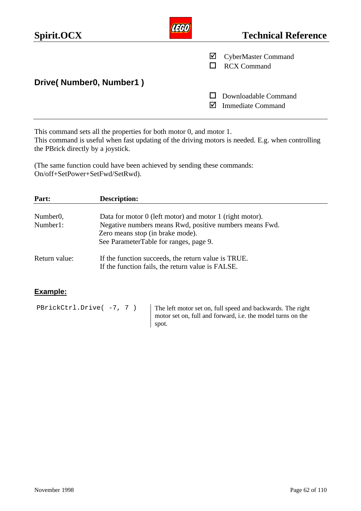| Spirit.OCX              |   | <b>Technical Reference</b>                       |
|-------------------------|---|--------------------------------------------------|
|                         | M | <b>CyberMaster Command</b><br><b>RCX Command</b> |
| Drive(Number0, Number1) |   |                                                  |
|                         |   | Downloadable Command<br><b>Immediate Command</b> |

This command sets all the properties for both motor 0, and motor 1. This command is useful when fast updating of the driving motors is needed. E.g. when controlling the PBrick directly by a joystick.

(The same function could have been achieved by sending these commands: On/off+SetPower+SetFwd/SetRwd).

| Part:                 | <b>Description:</b>                                                                                                                   |  |
|-----------------------|---------------------------------------------------------------------------------------------------------------------------------------|--|
| Number <sub>0</sub> , | Data for motor 0 (left motor) and motor 1 (right motor).                                                                              |  |
| Number1:              | Negative numbers means Rwd, positive numbers means Fwd.<br>Zero means stop (in brake mode).<br>See ParameterTable for ranges, page 9. |  |
| Return value:         | If the function succeeds, the return value is TRUE.<br>If the function fails, the return value is FALSE.                              |  |

#### **Example:**

PBrickCtrl.Drive( -7, 7 ) The left motor set on, full speed and backwards. The right motor set on, full and forward, i.e. the model turns on the spot.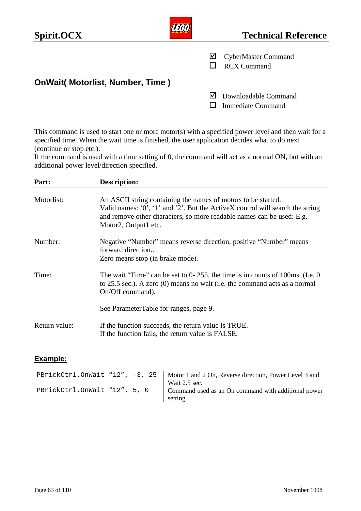| Spirit.OCX                              | <b>AEGO)</b> | <b>Technical Reference</b>                       |
|-----------------------------------------|--------------|--------------------------------------------------|
|                                         | ⊻            | <b>CyberMaster Command</b><br><b>RCX Command</b> |
| <b>OnWait( Motorlist, Number, Time)</b> |              |                                                  |
|                                         | M            | Downloadable Command<br><b>Immediate Command</b> |

This command is used to start one or more motor(s) with a specified power level and then wait for a specified time. When the wait time is finished, the user application decides what to do next (continue or stop etc.).

If the command is used with a time setting of 0, the command will act as a normal ON, but with an additional power level/direction specified.

| Part:         | Description:                                                                                                                                                                                                                                    |
|---------------|-------------------------------------------------------------------------------------------------------------------------------------------------------------------------------------------------------------------------------------------------|
| Motorlist:    | An ASCII string containing the names of motors to be started.<br>Valid names: '0', '1' and '2'. But the ActiveX control will search the string<br>and remove other characters, so more readable names can be used: E.g.<br>Motor2, Output1 etc. |
| Number:       | Negative "Number" means reverse direction, positive "Number" means<br>forward direction<br>Zero means stop (in brake mode).                                                                                                                     |
| Time:         | The wait "Time" can be set to $0-255$ , the time is in counts of 100ms. (I.e. 0)<br>to 25.5 sec.). A zero (0) means no wait (i.e. the command acts as a normal<br>On/Off command).                                                              |
|               | See ParameterTable for ranges, page 9.                                                                                                                                                                                                          |
| Return value: | If the function succeeds, the return value is TRUE.<br>If the function fails, the return value is FALSE.                                                                                                                                        |

#### **Example:**

|                              |  | PBrickCtrl.OnWait "12", -3, 25   Motor 1 and 2 On, Reverse direction, Power Level 3 and<br>Wait 2.5 sec. |
|------------------------------|--|----------------------------------------------------------------------------------------------------------|
| PBrickCtrl.OnWait "12", 5, 0 |  | Command used as an On command with additional power<br>setting.                                          |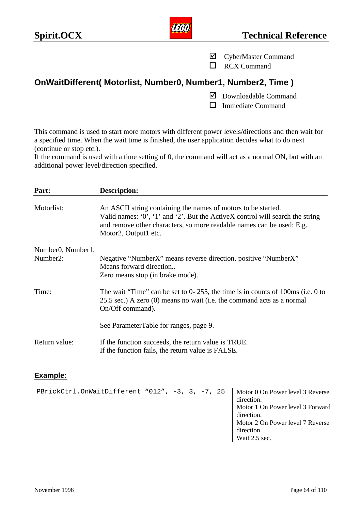

- ˛ CyberMaster Command
- $\Box$  RCX Command

# **OnWaitDifferent( Motorlist, Number0, Number1, Number2, Time )**

- ˛ Downloadable Command
- $\Box$  Immediate Command

This command is used to start more motors with different power levels/directions and then wait for a specified time. When the wait time is finished, the user application decides what to do next (continue or stop etc.).

If the command is used with a time setting of 0, the command will act as a normal ON, but with an additional power level/direction specified.

| Part:                                       | <b>Description:</b>                                                                                                                                                                                                                                  |
|---------------------------------------------|------------------------------------------------------------------------------------------------------------------------------------------------------------------------------------------------------------------------------------------------------|
| Motorlist:                                  | An ASCII string containing the names of motors to be started.<br>Valid names: $0'$ , $1'$ and $2'$ . But the ActiveX control will search the string<br>and remove other characters, so more readable names can be used: E.g.<br>Motor2, Output1 etc. |
| Number <sub>0</sub> , Number <sub>1</sub> , |                                                                                                                                                                                                                                                      |
| Number <sub>2</sub> :                       | Negative "NumberX" means reverse direction, positive "NumberX"<br>Means forward direction<br>Zero means stop (in brake mode).                                                                                                                        |
| Time:                                       | The wait "Time" can be set to $0-255$ , the time is in counts of 100ms (i.e. 0 to<br>25.5 sec.) A zero $(0)$ means no wait (i.e. the command acts as a normal<br>On/Off command).                                                                    |
|                                             | See ParameterTable for ranges, page 9.                                                                                                                                                                                                               |
| Return value:                               | If the function succeeds, the return value is TRUE.<br>If the function fails, the return value is FALSE.                                                                                                                                             |

#### **Example:**

PBrickCtrl.OnWaitDifferent "012", -3, 3, -7, 25 | Motor 0 On Power level 3 Reverse direction. Motor 1 On Power level 3 Forward direction. Motor 2 On Power level 7 Reverse direction. Wait 2.5 sec.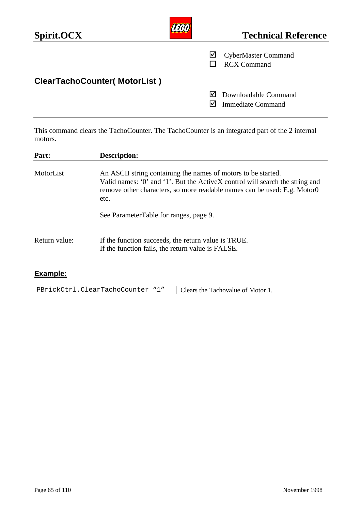| Spirit.OCX                          |    | <b>Technical Reference</b>                       |
|-------------------------------------|----|--------------------------------------------------|
|                                     | ☑  | <b>CyberMaster Command</b><br><b>RCX Command</b> |
| <b>ClearTachoCounter(MotorList)</b> |    |                                                  |
|                                     | IМ | Downloadable Command<br><b>Immediate Command</b> |

This command clears the TachoCounter. The TachoCounter is an integrated part of the 2 internal motors.

| Part:         | <b>Description:</b>                                                                                                                                                                                                               |  |  |  |  |  |
|---------------|-----------------------------------------------------------------------------------------------------------------------------------------------------------------------------------------------------------------------------------|--|--|--|--|--|
| MotorList     | An ASCII string containing the names of motors to be started.<br>Valid names: '0' and '1'. But the ActiveX control will search the string and<br>remove other characters, so more readable names can be used: E.g. Motor0<br>etc. |  |  |  |  |  |
|               | See ParameterTable for ranges, page 9.                                                                                                                                                                                            |  |  |  |  |  |
| Return value: | If the function succeeds, the return value is TRUE.<br>If the function fails, the return value is FALSE.                                                                                                                          |  |  |  |  |  |

# **Example:**

PBrickCtrl.ClearTachoCounter "1" | Clears the Tachovalue of Motor 1.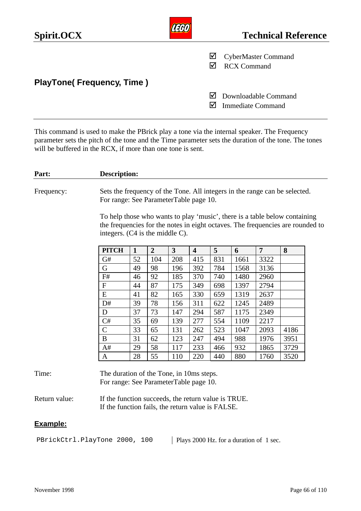| Spirit.OCX                       |   | <b>Technical Reference</b>                       |
|----------------------------------|---|--------------------------------------------------|
|                                  | ⊻ | <b>CyberMaster Command</b><br><b>RCX Command</b> |
| <b>PlayTone(Frequency, Time)</b> |   |                                                  |
|                                  | M | Downloadable Command<br><b>Immediate Command</b> |

This command is used to make the PBrick play a tone via the internal speaker. The Frequency parameter sets the pitch of the tone and the Time parameter sets the duration of the tone. The tones will be buffered in the RCX, if more than one tone is sent.

#### **Part: Description:**

Frequency: Sets the frequency of the Tone. All integers in the range can be selected. For range: See ParameterTable page 10.

> To help those who wants to play 'music', there is a table below containing the frequencies for the notes in eight octaves. The frequencies are rounded to integers. (C4 is the middle C).

| <b>PITCH</b> | $\mathbf{1}$ | $\overline{2}$ | 3   | $\overline{\mathbf{4}}$ | 5   | 6    | 7    | 8    |
|--------------|--------------|----------------|-----|-------------------------|-----|------|------|------|
| G#           | 52           | 104            | 208 | 415                     | 831 | 1661 | 3322 |      |
| G            | 49           | 98             | 196 | 392                     | 784 | 1568 | 3136 |      |
| F#           | 46           | 92             | 185 | 370                     | 740 | 1480 | 2960 |      |
| F            | 44           | 87             | 175 | 349                     | 698 | 1397 | 2794 |      |
| E            | 41           | 82             | 165 | 330                     | 659 | 1319 | 2637 |      |
| D#           | 39           | 78             | 156 | 311                     | 622 | 1245 | 2489 |      |
| D            | 37           | 73             | 147 | 294                     | 587 | 1175 | 2349 |      |
| C#           | 35           | 69             | 139 | 277                     | 554 | 1109 | 2217 |      |
| $\mathsf C$  | 33           | 65             | 131 | 262                     | 523 | 1047 | 2093 | 4186 |
| B            | 31           | 62             | 123 | 247                     | 494 | 988  | 1976 | 3951 |
| A#           | 29           | 58             | 117 | 233                     | 466 | 932  | 1865 | 3729 |
| Α            | 28           | 55             | 110 | 220                     | 440 | 880  | 1760 | 3520 |

#### Time: The duration of the Tone, in 10ms steps. For range: See ParameterTable page 10.

Return value: If the function succeeds, the return value is TRUE. If the function fails, the return value is FALSE.

#### **Example:**

PBrickCtrl.PlayTone 2000, 100 | Plays 2000 Hz. for a duration of 1 sec.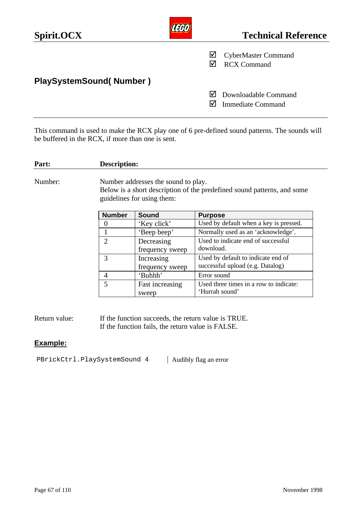| Spirit.OCX                     |     | <b>Technical Reference</b>                       |
|--------------------------------|-----|--------------------------------------------------|
|                                | ⊻   | <b>CyberMaster Command</b><br><b>RCX Command</b> |
| <b>PlaySystemSound(Number)</b> |     |                                                  |
|                                | l√l | Downloadable Command<br><b>Immediate Command</b> |

This command is used to make the RCX play one of 6 pre-defined sound patterns. The sounds will be buffered in the RCX, if more than one is sent.

| Part:   | Description:   |                                                                   |                                                                         |
|---------|----------------|-------------------------------------------------------------------|-------------------------------------------------------------------------|
| Number: |                | Number addresses the sound to play.<br>guidelines for using them: | Below is a short description of the predefined sound patterns, and some |
|         | <b>Number</b>  | <b>Sound</b>                                                      | <b>Purpose</b>                                                          |
|         | $\mathbf{0}$   | 'Key click'                                                       | Used by default when a key is pressed.                                  |
|         |                | 'Beep beep'                                                       | Normally used as an 'acknowledge'.                                      |
|         | $\overline{2}$ | Decreasing<br>frequency sweep                                     | Used to indicate end of successful<br>download.                         |
|         | 3              | Increasing<br>frequency sweep                                     | Used by default to indicate end of<br>successful upload (e.g. Datalog)  |
|         | $\overline{4}$ | 'Buhhh'                                                           | Error sound                                                             |
|         | 5              | Fast increasing<br>sweep                                          | Used three times in a row to indicate:<br>'Hurrah sound'                |

Return value: If the function succeeds, the return value is TRUE. If the function fails, the return value is FALSE.

## **Example:**

PBrickCtrl.PlaySystemSound 4 | Audibly flag an error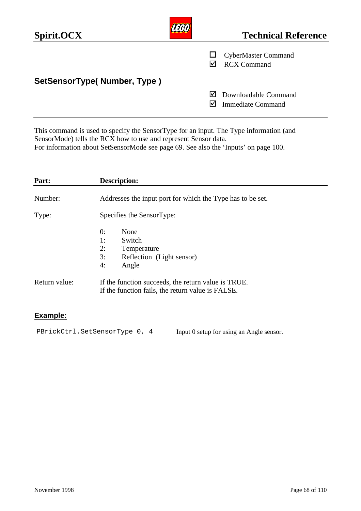| Spirit.OCX                  |    | <b>Technical Reference</b>                       |
|-----------------------------|----|--------------------------------------------------|
|                             |    | <b>CyberMaster Command</b><br><b>RCX Command</b> |
| SetSensorType(Number, Type) |    |                                                  |
|                             | IМ | Downloadable Command<br><b>Immediate Command</b> |

This command is used to specify the SensorType for an input. The Type information (and SensorMode) tells the RCX how to use and represent Sensor data. For information about SetSensorMode see page 69. See also the 'Inputs' on page 100.

| Part:         | <b>Description:</b>                                                                                      |  |  |
|---------------|----------------------------------------------------------------------------------------------------------|--|--|
| Number:       | Addresses the input port for which the Type has to be set.                                               |  |  |
| Type:         | Specifies the SensorType:                                                                                |  |  |
|               | 0:<br>None<br>Switch<br>1:<br>2:<br>Temperature<br>3:<br>Reflection (Light sensor)<br>Angle<br>4:        |  |  |
| Return value: | If the function succeeds, the return value is TRUE.<br>If the function fails, the return value is FALSE. |  |  |

## **Example:**

PBrickCtrl.SetSensorType 0, 4 | Input 0 setup for using an Angle sensor.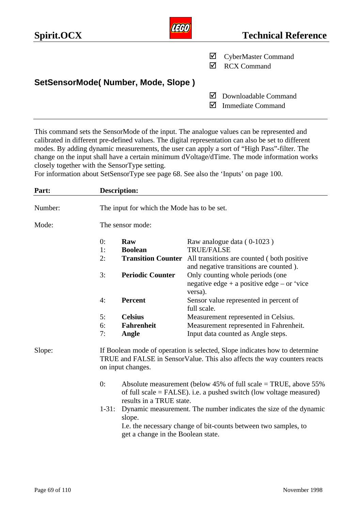| Spirit.OCX                         | تتحت | <b>Technical Reference</b>                       |
|------------------------------------|------|--------------------------------------------------|
|                                    | ⊻    | <b>CyberMaster Command</b><br><b>RCX Command</b> |
| SetSensorMode(Number, Mode, Slope) |      |                                                  |
|                                    |      | Downloadable Command<br><b>Immediate Command</b> |

rani

This command sets the SensorMode of the input. The analogue values can be represented and calibrated in different pre-defined values. The digital representation can also be set to different modes. By adding dynamic measurements, the user can apply a sort of "High Pass"-filter. The change on the input shall have a certain minimum dVoltage/dTime. The mode information works closely together with the SensorType setting.

For information about SetSensorType see page 68. See also the 'Inputs' on page 100.

| Part:   |                                                                                                                                                                             | <b>Description:</b><br>The input for which the Mode has to be set.                                                                                                     |                                                                                           |  |
|---------|-----------------------------------------------------------------------------------------------------------------------------------------------------------------------------|------------------------------------------------------------------------------------------------------------------------------------------------------------------------|-------------------------------------------------------------------------------------------|--|
| Number: |                                                                                                                                                                             |                                                                                                                                                                        |                                                                                           |  |
| Mode:   | The sensor mode:                                                                                                                                                            |                                                                                                                                                                        |                                                                                           |  |
|         | 0:                                                                                                                                                                          | Raw                                                                                                                                                                    | Raw analogue data (0-1023)                                                                |  |
|         | 1:                                                                                                                                                                          | <b>Boolean</b>                                                                                                                                                         | <b>TRUE/FALSE</b>                                                                         |  |
|         | 2:                                                                                                                                                                          | <b>Transition Counter</b>                                                                                                                                              | All transitions are counted (both positive<br>and negative transitions are counted).      |  |
|         | 3:                                                                                                                                                                          | <b>Periodic Counter</b>                                                                                                                                                | Only counting whole periods (one<br>negative edge + a positive edge – or 'vice<br>versa). |  |
|         | 4:                                                                                                                                                                          | Percent                                                                                                                                                                | Sensor value represented in percent of<br>full scale.                                     |  |
|         | 5:                                                                                                                                                                          | <b>Celsius</b>                                                                                                                                                         | Measurement represented in Celsius.                                                       |  |
|         | 6:                                                                                                                                                                          | <b>Fahrenheit</b>                                                                                                                                                      | Measurement represented in Fahrenheit.                                                    |  |
|         | 7:                                                                                                                                                                          | Angle                                                                                                                                                                  | Input data counted as Angle steps.                                                        |  |
| Slope:  | If Boolean mode of operation is selected, Slope indicates how to determine<br>TRUE and FALSE in SensorValue. This also affects the way counters reacts<br>on input changes. |                                                                                                                                                                        |                                                                                           |  |
|         | 0:                                                                                                                                                                          | Absolute measurement (below 45% of full scale $=$ TRUE, above 55%<br>of full scale $=$ FALSE). i.e. a pushed switch (low voltage measured)<br>results in a TRUE state. |                                                                                           |  |
|         | $1 - 31$ :<br>Dynamic measurement. The number indicates the size of the dynamic<br>slope.                                                                                   |                                                                                                                                                                        |                                                                                           |  |
|         |                                                                                                                                                                             | I.e. the necessary change of bit-counts between two samples, to<br>get a change in the Boolean state.                                                                  |                                                                                           |  |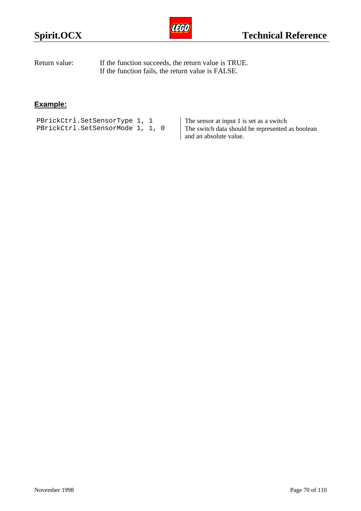

| Return value: | If the function succeeds, the return value is TRUE. |
|---------------|-----------------------------------------------------|
|               | If the function fails, the return value is FALSE.   |

# **Example:**

PBrickCtrl.SetSensorType 1, 1 PBrickCtrl.SetSensorMode 1, 1, 0 The sensor at input 1 is set as a switch The switch data should be represented as boolean and an absolute value.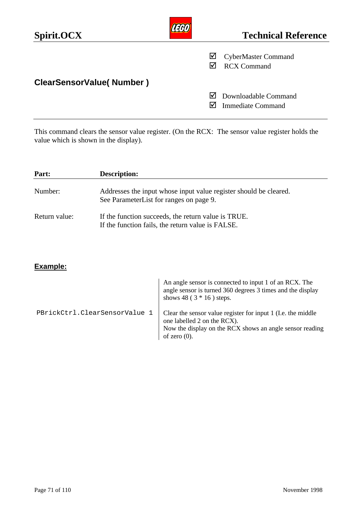| Spirit.OCX                      |   | <b>Technical Reference</b>                       |
|---------------------------------|---|--------------------------------------------------|
|                                 | ⊻ | <b>CyberMaster Command</b><br><b>RCX Command</b> |
| <b>ClearSensorValue(Number)</b> |   |                                                  |
|                                 | M | Downloadable Command<br><b>Immediate Command</b> |

This command clears the sensor value register. (On the RCX: The sensor value register holds the value which is shown in the display).

| Part:         | <b>Description:</b>                                                                                          |  |
|---------------|--------------------------------------------------------------------------------------------------------------|--|
| Number:       | Addresses the input whose input value register should be cleared.<br>See ParameterList for ranges on page 9. |  |
| Return value: | If the function succeeds, the return value is TRUE.<br>If the function fails, the return value is FALSE.     |  |

|                               | An angle sensor is connected to input 1 of an RCX. The<br>angle sensor is turned 360 degrees 3 times and the display<br>shows 48 ( $3 * 16$ ) steps.                       |
|-------------------------------|----------------------------------------------------------------------------------------------------------------------------------------------------------------------------|
| PBrickCtrl.ClearSensorValue 1 | Clear the sensor value register for input 1 (I.e. the middle<br>one labelled 2 on the RCX).<br>Now the display on the RCX shows an angle sensor reading<br>of zero $(0)$ . |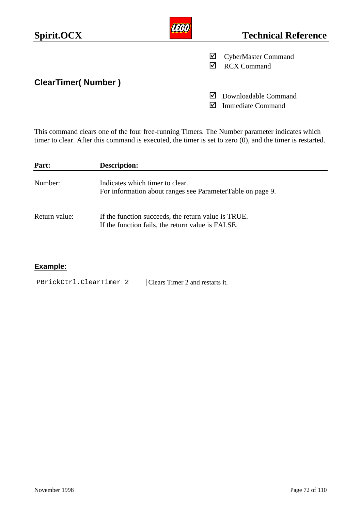| Spirit.OCX                |   | <b>Technical Reference</b>                       |
|---------------------------|---|--------------------------------------------------|
|                           | ⊻ | <b>CyberMaster Command</b><br><b>RCX Command</b> |
| <b>ClearTimer(Number)</b> |   |                                                  |
|                           | M | Downloadable Command<br><b>Immediate Command</b> |

This command clears one of the four free-running Timers. The Number parameter indicates which timer to clear. After this command is executed, the timer is set to zero (0), and the timer is restarted.

| Part:         | <b>Description:</b>                                                                                      |
|---------------|----------------------------------------------------------------------------------------------------------|
| Number:       | Indicates which timer to clear.<br>For information about ranges see ParameterTable on page 9.            |
| Return value: | If the function succeeds, the return value is TRUE.<br>If the function fails, the return value is FALSE. |

| PBrickCtrl.ClearTimer 2 | Clears Timer 2 and restarts it. |
|-------------------------|---------------------------------|
|-------------------------|---------------------------------|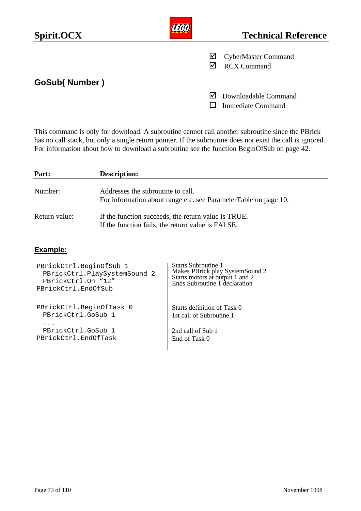| Spirit.OCX             |   | <b>Technical Reference</b>                       |
|------------------------|---|--------------------------------------------------|
|                        | ☑ | <b>CyberMaster Command</b><br><b>RCX Command</b> |
| <b>GoSub( Number )</b> |   |                                                  |
|                        | M | Downloadable Command<br><b>Immediate Command</b> |

This command is only for download. A subroutine cannot call another subroutine since the PBrick has no call stack, but only a single return pointer. If the subroutine does not exist the call is ignored. For information about how to download a subroutine see the function BeginOfSub on page 42.

| Part:         | <b>Description:</b>                                             |  |
|---------------|-----------------------------------------------------------------|--|
| Number:       | Addresses the subroutine to call.                               |  |
|               | For information about range etc. see ParameterTable on page 10. |  |
| Return value: | If the function succeeds, the return value is TRUE.             |  |
|               | If the function fails, the return value is FALSE.               |  |
|               |                                                                 |  |

| PBrickCtrl.BeginOfSub 1      | Starts Subroutine 1             |
|------------------------------|---------------------------------|
| PBrickCtrl.PlaySystemSound 2 | Makes PBrick play SystemSound 2 |
| PBrickCtrl.On "12"           | Starts motors at output 1 and 2 |
| PBrickCtrl.EndOfSub          | Ends Subroutine 1 declaration   |
| PBrickCtrl.BeginOfTask 0     | Starts definition of Task 0     |
| PBrickCtrl.GoSub 1           | 1st call of Subroutine 1        |
| PBrickCtrl.GoSub 1           | 2nd call of Sub 1               |
| PBrickCtrl.EndOfTask         | End of Task 0                   |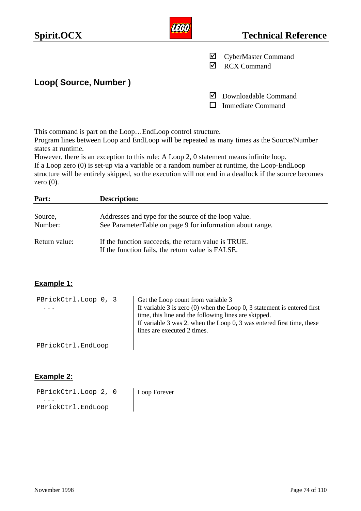| Spirit.OCX           |   | <b>Technical Reference</b>                       |
|----------------------|---|--------------------------------------------------|
|                      | ⊻ | <b>CyberMaster Command</b><br><b>RCX Command</b> |
| Loop(Source, Number) |   |                                                  |
|                      | M | Downloadable Command<br><b>Immediate Command</b> |

This command is part on the Loop…EndLoop control structure.

Program lines between Loop and EndLoop will be repeated as many times as the Source/Number states at runtime.

However, there is an exception to this rule: A Loop 2, 0 statement means infinite loop. If a Loop zero (0) is set-up via a variable or a random number at runtime, the Loop-EndLoop structure will be entirely skipped, so the execution will not end in a deadlock if the source becomes zero  $(0)$ .

| Part:         | <b>Description:</b>                                                                                      |
|---------------|----------------------------------------------------------------------------------------------------------|
|               |                                                                                                          |
| Source,       | Addresses and type for the source of the loop value.                                                     |
| Number:       | See ParameterTable on page 9 for information about range.                                                |
| Return value: | If the function succeeds, the return value is TRUE.<br>If the function fails, the return value is FALSE. |

### **Example 1:**

| PBrickCtrl.Loop 0, 3<br>$\cdots$ | Get the Loop count from variable 3<br>If variable $3$ is zero (0) when the Loop 0, 3 statement is entered first<br>time, this line and the following lines are skipped.<br>If variable 3 was 2, when the Loop $0$ , 3 was entered first time, these<br>lines are executed 2 times. |
|----------------------------------|------------------------------------------------------------------------------------------------------------------------------------------------------------------------------------------------------------------------------------------------------------------------------------|
| PBrickCtrl.EndLoop               |                                                                                                                                                                                                                                                                                    |

### **Example 2:**

| PBrickCtrl.Loop 2, 0 | Loop Forever |
|----------------------|--------------|
| $\ddot{\phantom{a}}$ |              |
| PBrickCtrl.EndLoop   |              |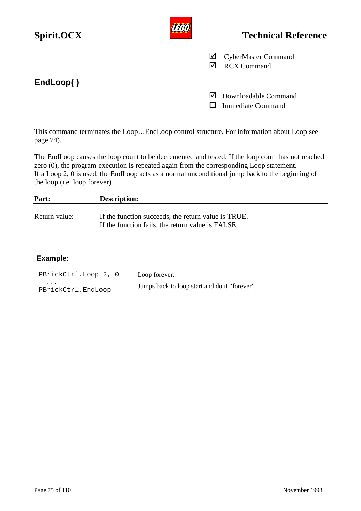| Spirit.OCX |    | <b>Technical Reference</b>                       |
|------------|----|--------------------------------------------------|
|            | ⊻  | <b>CyberMaster Command</b><br><b>RCX Command</b> |
| EndLoop()  |    |                                                  |
|            | IМ | Downloadable Command<br><b>Immediate Command</b> |

This command terminates the Loop…EndLoop control structure. For information about Loop see page 74).

The EndLoop causes the loop count to be decremented and tested. If the loop count has not reached zero (0), the program-execution is repeated again from the corresponding Loop statement. If a Loop 2, 0 is used, the EndLoop acts as a normal unconditional jump back to the beginning of the loop (i.e. loop forever).

| Part:         | <b>Description:</b>                                                                                      |
|---------------|----------------------------------------------------------------------------------------------------------|
| Return value: | If the function succeeds, the return value is TRUE.<br>If the function fails, the return value is FALSE. |

| PBrickCtrl.Loop 2, 0    | Loop forever.                                 |
|-------------------------|-----------------------------------------------|
| .<br>PBrickCtrl.EndLoop | Jumps back to loop start and do it "forever". |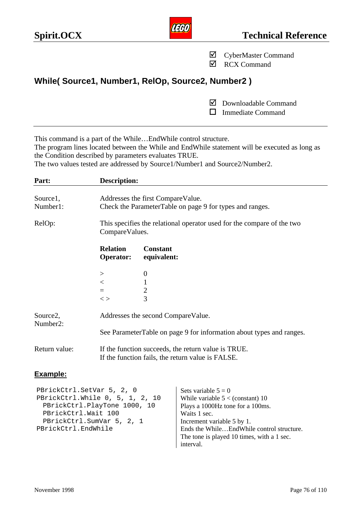|                      |                                     | ☑                                                                                                                                                                                                       | <b>RCX Command</b>                                                                             |  |
|----------------------|-------------------------------------|---------------------------------------------------------------------------------------------------------------------------------------------------------------------------------------------------------|------------------------------------------------------------------------------------------------|--|
|                      |                                     | While(Source1, Number1, RelOp, Source2, Number2)                                                                                                                                                        |                                                                                                |  |
|                      |                                     | M<br>П                                                                                                                                                                                                  | Downloadable Command<br><b>Immediate Command</b>                                               |  |
| Part:                | <b>Description:</b>                 | This command is a part of the WhileEnd While control structure.<br>the Condition described by parameters evaluates TRUE.<br>The two values tested are addressed by Source1/Number1 and Source2/Number2. | The program lines located between the While and EndWhile statement will be executed as long as |  |
|                      |                                     |                                                                                                                                                                                                         |                                                                                                |  |
| Source1,<br>Number1: |                                     | Addresses the first CompareValue.<br>Check the ParameterTable on page 9 for types and ranges.                                                                                                           |                                                                                                |  |
| RelOp:               |                                     | This specifies the relational operator used for the compare of the two<br>CompareValues.                                                                                                                |                                                                                                |  |
|                      | <b>Relation</b><br><b>Operator:</b> | <b>Constant</b><br>equivalent:                                                                                                                                                                          |                                                                                                |  |
|                      | >                                   | $\overline{0}$                                                                                                                                                                                          |                                                                                                |  |
|                      | $\lt$                               | 1                                                                                                                                                                                                       |                                                                                                |  |
|                      | $=$<br>$\rm{~<}$                    | $\overline{2}$<br>3                                                                                                                                                                                     |                                                                                                |  |
| Source2,<br>Number2: |                                     | Addresses the second CompareValue.                                                                                                                                                                      |                                                                                                |  |
|                      |                                     |                                                                                                                                                                                                         | See ParameterTable on page 9 for information about types and ranges.                           |  |
| Return value:        |                                     | If the function succeeds, the return value is TRUE.<br>If the function fails, the return value is FALSE.                                                                                                |                                                                                                |  |
|                      |                                     |                                                                                                                                                                                                         |                                                                                                |  |

### **Example:**

PBrickCtrl.SetVar 5, 2, 0 Sets variable  $5 = 0$ PBrickCtrl.While 0, 5, 1, 2, 10 PBrickCtrl.PlayTone 1000, 10 While variable  $5 <$  (constant) 10 Plays a 1000Hz tone for a 100ms. PBrickCtrl.Wait 100 Waits 1 sec.<br>PBrickCtrl.SumVar 5, 2, 1 Increment variable 5 by 1. PBrickCtrl.SumVar 5, 2, 1 PBrickCtrl.EndWhile Ends the While...EndWhile control structure. The tone is played 10 times, with a 1 sec. interval.



˛ CyberMaster Command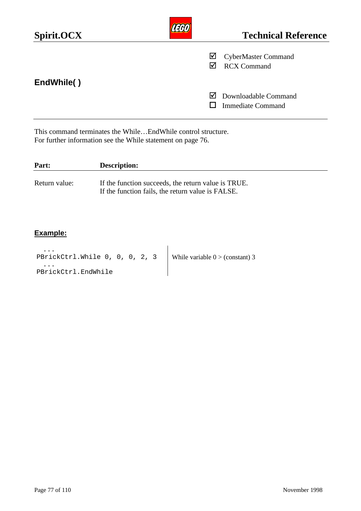| Spirit.OCX |        | <b>Technical Reference</b>                       |
|------------|--------|--------------------------------------------------|
|            | ☑<br>M | <b>CyberMaster Command</b><br><b>RCX Command</b> |
| EndWhile() | ⋈      | Downloadable Command<br><b>Immediate Command</b> |

This command terminates the While…EndWhile control structure. For further information see the While statement on page 76.

| Part:         | <b>Description:</b>                                                                                      |
|---------------|----------------------------------------------------------------------------------------------------------|
| Return value: | If the function succeeds, the return value is TRUE.<br>If the function fails, the return value is FALSE. |

### **Example:**

... PBrickCtrl.While 0, 0, 0, 2, 3 ... PBrickCtrl.EndWhile While variable  $0$  > (constant) 3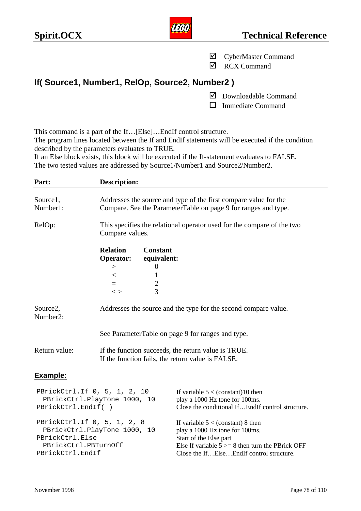

- ˛ CyberMaster Command
- **☑** RCX Command

# **If( Source1, Number1, RelOp, Source2, Number2 )**

- ˛ Downloadable Command
- $\Box$  Immediate Command

This command is a part of the If…[Else]…EndIf control structure.

The program lines located between the If and EndIf statements will be executed if the condition described by the parameters evaluates to TRUE.

If an Else block exists, this block will be executed if the If-statement evaluates to FALSE. The two tested values are addressed by Source1/Number1 and Source2/Number2.

| Part:                                                                                                                      | <b>Description:</b>                                                                                                                |                                              |                                                                                                                                                                                                    |
|----------------------------------------------------------------------------------------------------------------------------|------------------------------------------------------------------------------------------------------------------------------------|----------------------------------------------|----------------------------------------------------------------------------------------------------------------------------------------------------------------------------------------------------|
| Source1,<br>Number1:                                                                                                       | Addresses the source and type of the first compare value for the<br>Compare. See the ParameterTable on page 9 for ranges and type. |                                              |                                                                                                                                                                                                    |
| RelOp:                                                                                                                     | This specifies the relational operator used for the compare of the two<br>Compare values.                                          |                                              |                                                                                                                                                                                                    |
|                                                                                                                            | <b>Relation</b><br><b>Operator:</b>                                                                                                | <b>Constant</b><br>equivalent:               |                                                                                                                                                                                                    |
|                                                                                                                            | ><br>$\lt$<br>$=$<br>$\langle$                                                                                                     | $\boldsymbol{0}$<br>1<br>$\overline{c}$<br>3 |                                                                                                                                                                                                    |
| Source2,<br>Number <sub>2</sub> :                                                                                          | Addresses the source and the type for the second compare value.                                                                    |                                              |                                                                                                                                                                                                    |
|                                                                                                                            |                                                                                                                                    |                                              | See ParameterTable on page 9 for ranges and type.                                                                                                                                                  |
| Return value:                                                                                                              | If the function succeeds, the return value is TRUE.<br>If the function fails, the return value is FALSE.                           |                                              |                                                                                                                                                                                                    |
| Example:                                                                                                                   |                                                                                                                                    |                                              |                                                                                                                                                                                                    |
| PBrickCtrl.If 0, 5, 1, 2, 10<br>PBrickCtrl.PlayTone 1000, 10<br>PBrickCtrl.EndIf()                                         |                                                                                                                                    |                                              | If variable $5 < (constant)10$ then<br>play a 1000 Hz tone for 100ms.<br>Close the conditional IfEndIf control structure.                                                                          |
| PBrickCtrl.If 0, 5, 1, 2, 8<br>PBrickCtrl.PlayTone 1000, 10<br>PBrickCtrl.Else<br>PBrickCtrl.PBTurnOff<br>PBrickCtrl.EndIf |                                                                                                                                    |                                              | If variable $5 <$ (constant) 8 then<br>play a 1000 Hz tone for 100ms.<br>Start of the Else part<br>Else If variable $5 \ge 8$ then turn the PBrick OFF<br>Close the IfElseEndIf control structure. |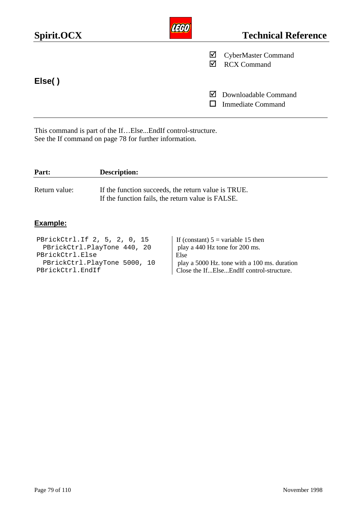| Spirit.OCX |        | <b>Technical Reference</b>                       |
|------------|--------|--------------------------------------------------|
|            | ☑<br>☑ | <b>CyberMaster Command</b><br><b>RCX Command</b> |
| Else()     |        |                                                  |
|            | M      | Downloadable Command<br><b>Immediate Command</b> |

This command is part of the If…Else...EndIf control-structure. See the If command on page 78 for further information.

| If the function succeeds, the return value is TRUE.<br>If the function fails, the return value is FALSE. |
|----------------------------------------------------------------------------------------------------------|
|                                                                                                          |

| PBrickCtrl.If 2, 5, 2, 0, 15 | If (constant) $5 = \text{variable } 15$ then |
|------------------------------|----------------------------------------------|
| PBrickCtrl.PlayTone 440, 20  | play a 440 Hz tone for 200 ms.               |
| PBrickCtrl.Else              | Else                                         |
| PBrickCtrl.PlayTone 5000, 10 | play a 5000 Hz. tone with a 100 ms. duration |
| PBrickCtrl.EndIf             | Close the IfElseEndIf control-structure.     |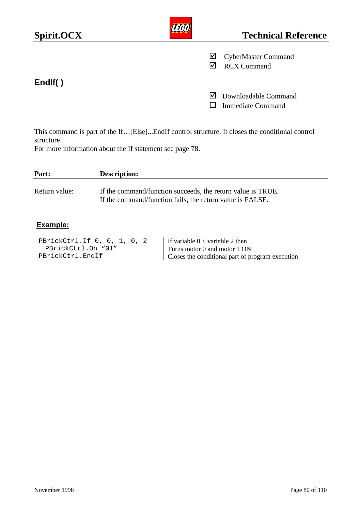| Spirit.OCX |   | <b>Technical Reference</b>                       |
|------------|---|--------------------------------------------------|
|            | ☑ | <b>CyberMaster Command</b><br><b>RCX Command</b> |
| Endlf()    | M | Downloadable Command<br><b>Immediate Command</b> |

This command is part of the If…[Else]...EndIf control structure. It closes the conditional control structure.

For more information about the If statement see page 78.

| Part:         | <b>Description:</b>                                                                                                      |
|---------------|--------------------------------------------------------------------------------------------------------------------------|
| Return value: | If the command/function succeeds, the return value is TRUE.<br>If the command/function fails, the return value is FALSE. |

### **Example:**

PBrickCtrl.If 0, 0, 1, 0, 2 PBrickCtrl.On "01" PBrickCtrl.EndIf If variable  $0 <$  variable 2 then Turns motor 0 and motor 1 ON Closes the conditional part of program execution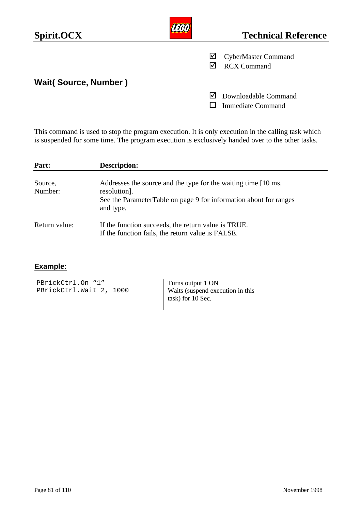| Spirit.OCX                  |   | <b>Technical Reference</b>                       |
|-----------------------------|---|--------------------------------------------------|
|                             | ⊻ | <b>CyberMaster Command</b><br><b>RCX Command</b> |
| <b>Wait(Source, Number)</b> |   |                                                  |
|                             | M | Downloadable Command<br><b>Immediate Command</b> |

This command is used to stop the program execution. It is only execution in the calling task which is suspended for some time. The program execution is exclusively handed over to the other tasks.

| Part:              | <b>Description:</b>                                                                                                                                               |
|--------------------|-------------------------------------------------------------------------------------------------------------------------------------------------------------------|
| Source,<br>Number: | Addresses the source and the type for the waiting time [10 ms.]<br>resolution].<br>See the ParameterTable on page 9 for information about for ranges<br>and type. |
| Return value:      | If the function succeeds, the return value is TRUE.<br>If the function fails, the return value is FALSE.                                                          |

### **Example:**

PBrickCtrl.On "1" PBrickCtrl.Wait 2, 1000 Turns output 1 ON Waits (suspend execution in this task) for 10 Sec.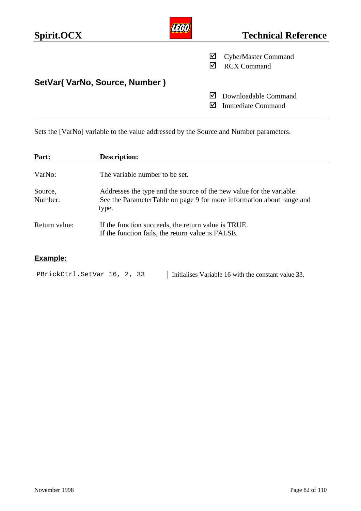| Spirit.OCX                    | <b>Technical Reference</b>                            |
|-------------------------------|-------------------------------------------------------|
|                               | ⊻<br><b>CyberMaster Command</b><br><b>RCX Command</b> |
| SetVar(VarNo, Source, Number) |                                                       |
|                               | Downloadable Command<br>M<br><b>Immediate Command</b> |

Sets the [VarNo] variable to the value addressed by the Source and Number parameters.

| Part:              | <b>Description:</b>                                                                                                                                    |
|--------------------|--------------------------------------------------------------------------------------------------------------------------------------------------------|
| VarNo:             | The variable number to be set.                                                                                                                         |
| Source,<br>Number: | Addresses the type and the source of the new value for the variable.<br>See the ParameterTable on page 9 for more information about range and<br>type. |
| Return value:      | If the function succeeds, the return value is TRUE.<br>If the function fails, the return value is FALSE.                                               |

| PBrickCtrl.SetVar 16, 2, 33 | Initialises Variable 16 with the constant value 33. |
|-----------------------------|-----------------------------------------------------|
|-----------------------------|-----------------------------------------------------|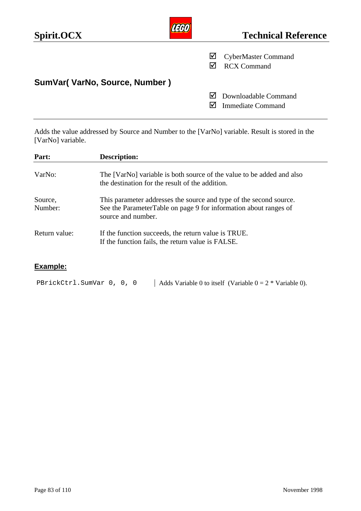| Spirit.OCX                    | <b>Technical Reference</b>                              |
|-------------------------------|---------------------------------------------------------|
|                               | <b>CyberMaster Command</b><br>⊻<br><b>RCX Command</b>   |
| SumVar(VarNo, Source, Number) |                                                         |
|                               | Downloadable Command<br>lVІ<br><b>Immediate Command</b> |

Adds the value addressed by Source and Number to the [VarNo] variable. Result is stored in the [VarNo] variable.

| Part:              | <b>Description:</b>                                                                                                                                          |  |  |
|--------------------|--------------------------------------------------------------------------------------------------------------------------------------------------------------|--|--|
| VarNo:             | The [VarNo] variable is both source of the value to be added and also<br>the destination for the result of the addition.                                     |  |  |
| Source,<br>Number: | This parameter addresses the source and type of the second source.<br>See the ParameterTable on page 9 for information about ranges of<br>source and number. |  |  |
| Return value:      | If the function succeeds, the return value is TRUE.<br>If the function fails, the return value is FALSE.                                                     |  |  |

# **Example:**

PBrickCtrl.SumVar 0, 0, 0 | Adds Variable 0 to itself (Variable  $0 = 2 *$  Variable 0).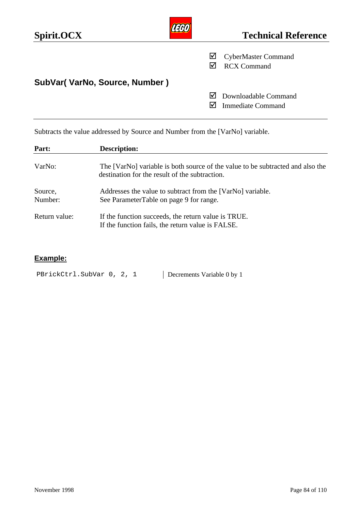| Spirit.OCX                    | <b>Technical Reference</b>                             |
|-------------------------------|--------------------------------------------------------|
|                               | <b>CyberMaster Command</b><br>⊻<br><b>RCX Command</b>  |
| SubVar(VarNo, Source, Number) |                                                        |
|                               | Downloadable Command<br>IМ<br><b>Immediate Command</b> |

Subtracts the value addressed by Source and Number from the [VarNo] variable.

| Part:              | <b>Description:</b>                                                                                                              |  |  |
|--------------------|----------------------------------------------------------------------------------------------------------------------------------|--|--|
| VarNo:             | The [VarNo] variable is both source of the value to be subtracted and also the<br>destination for the result of the subtraction. |  |  |
| Source,<br>Number: | Addresses the value to subtract from the [VarNo] variable.<br>See ParameterTable on page 9 for range.                            |  |  |
| Return value:      | If the function succeeds, the return value is TRUE.<br>If the function fails, the return value is FALSE.                         |  |  |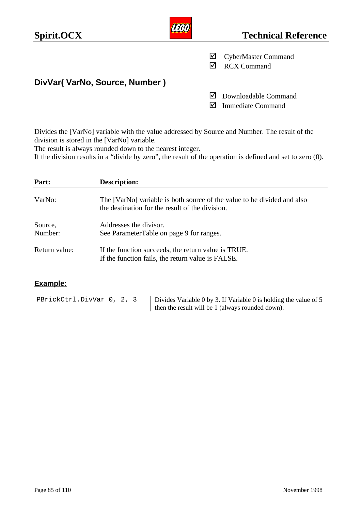| Spirit.OCX                    | TERN | <b>Technical Reference</b>                                        |
|-------------------------------|------|-------------------------------------------------------------------|
|                               | ⊻    | <b>CyberMaster Command</b><br><b>RCX Command</b>                  |
| DivVar(VarNo, Source, Number) |      |                                                                   |
|                               |      | $\triangleright$ Downloadable Command<br><b>Immediate Command</b> |

Divides the [VarNo] variable with the value addressed by Source and Number. The result of the division is stored in the [VarNo] variable.

The result is always rounded down to the nearest integer.

If the division results in a "divide by zero", the result of the operation is defined and set to zero (0).

| Part:              | <b>Description:</b>                                                                                                        |
|--------------------|----------------------------------------------------------------------------------------------------------------------------|
| VarNo:             | The [VarNo] variable is both source of the value to be divided and also<br>the destination for the result of the division. |
| Source,<br>Number: | Addresses the divisor.<br>See ParameterTable on page 9 for ranges.                                                         |
| Return value:      | If the function succeeds, the return value is TRUE.<br>If the function fails, the return value is FALSE.                   |

### **Example:**

PBrickCtrl.DivVar 0, 2, 3 | Divides Variable 0 by 3. If Variable 0 is holding the value of 5 then the result will be 1 (always rounded down).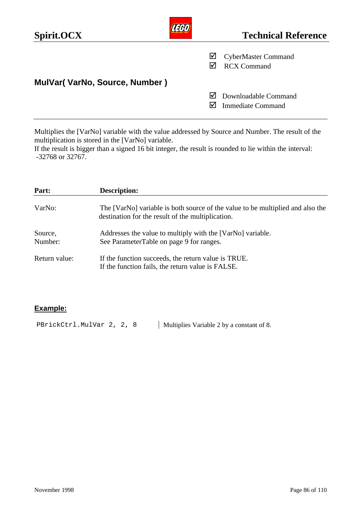| Spirit.OCX                    |        | <b>Technical Reference</b>                       |
|-------------------------------|--------|--------------------------------------------------|
|                               | ⊻<br>M | <b>CyberMaster Command</b><br><b>RCX Command</b> |
| MulVar(VarNo, Source, Number) |        |                                                  |
|                               | M      | Downloadable Command<br><b>Immediate Command</b> |

Multiplies the [VarNo] variable with the value addressed by Source and Number. The result of the multiplication is stored in the [VarNo] variable.

If the result is bigger than a signed 16 bit integer, the result is rounded to lie within the interval: -32768 or 32767.

| Part:              | <b>Description:</b>                                                                                                                 |
|--------------------|-------------------------------------------------------------------------------------------------------------------------------------|
| VarNo:             | The [VarNo] variable is both source of the value to be multiplied and also the<br>destination for the result of the multiplication. |
| Source,<br>Number: | Addresses the value to multiply with the [VarNo] variable.<br>See ParameterTable on page 9 for ranges.                              |
| Return value:      | If the function succeeds, the return value is TRUE.<br>If the function fails, the return value is FALSE.                            |

### **Example:**

PBrickCtrl.MulVar 2, 2, 8 | Multiplies Variable 2 by a constant of 8.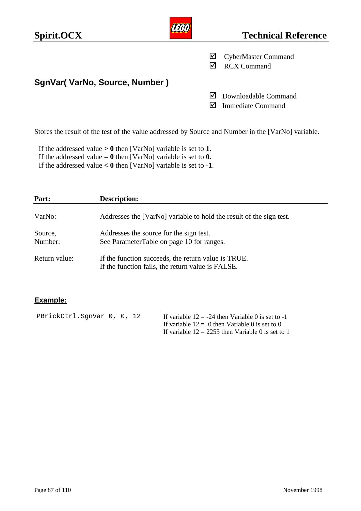| Spirit.OCX                    | <b>Technical Reference</b>                            |
|-------------------------------|-------------------------------------------------------|
|                               | ⊻<br><b>CyberMaster Command</b><br><b>RCX Command</b> |
| SgnVar(VarNo, Source, Number) |                                                       |
|                               | Downloadable Command<br><b>Immediate Command</b>      |

Stores the result of the test of the value addressed by Source and Number in the [VarNo] variable.

If the addressed value **> 0** then [VarNo] variable is set to **1.** If the addressed value  $= 0$  then [VarNo] variable is set to  $0$ . If the addressed value **< 0** then [VarNo] variable is set to **-1**.

| Part:              | <b>Description:</b>                                                                                      |  |
|--------------------|----------------------------------------------------------------------------------------------------------|--|
| VarNo:             | Addresses the [VarNo] variable to hold the result of the sign test.                                      |  |
| Source,<br>Number: | Addresses the source for the sign test.<br>See ParameterTable on page 10 for ranges.                     |  |
| Return value:      | If the function succeeds, the return value is TRUE.<br>If the function fails, the return value is FALSE. |  |

| PBrickCtrl.SqnVar 0, 0, 12 | If variable $12 = -24$ then Variable 0 is set to -1 |
|----------------------------|-----------------------------------------------------|
|                            | If variable $12 = 0$ then Variable 0 is set to 0    |
|                            | If variable $12 = 2255$ then Variable 0 is set to 1 |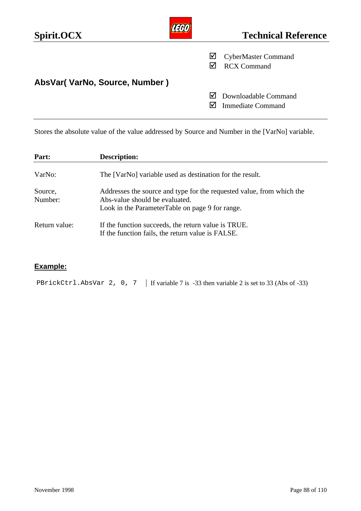| Spirit.OCX                    | <b>Technical Reference</b>                            |
|-------------------------------|-------------------------------------------------------|
|                               | ⊻<br><b>CyberMaster Command</b><br><b>RCX Command</b> |
| AbsVar(VarNo, Source, Number) |                                                       |
|                               | Downloadable Command<br>M<br><b>Immediate Command</b> |

Stores the absolute value of the value addressed by Source and Number in the [VarNo] variable.

| Part:              | <b>Description:</b>                                                                                                                                        |
|--------------------|------------------------------------------------------------------------------------------------------------------------------------------------------------|
| VarNo:             | The [VarNo] variable used as destination for the result.                                                                                                   |
| Source,<br>Number: | Addresses the source and type for the requested value, from which the<br>Abs-value should be evaluated.<br>Look in the ParameterTable on page 9 for range. |
| Return value:      | If the function succeeds, the return value is TRUE.<br>If the function fails, the return value is FALSE.                                                   |

# **Example:**

PBrickCtrl.AbsVar 2, 0, 7 | If variable 7 is -33 then variable 2 is set to 33 (Abs of -33)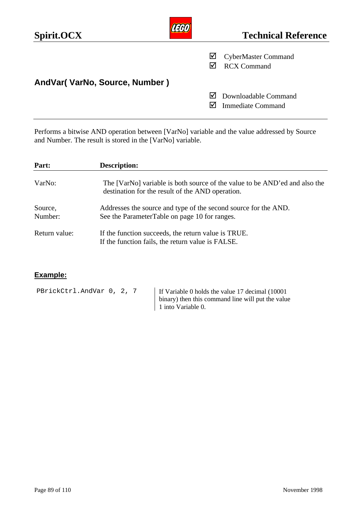| Spirit.OCX                     | <b>Technical Reference</b>                              |
|--------------------------------|---------------------------------------------------------|
|                                | <b>CyberMaster Command</b><br>⊻<br><b>RCX Command</b>   |
| AndVar( VarNo, Source, Number) |                                                         |
|                                | Downloadable Command<br>I√l<br><b>Immediate Command</b> |

Performs a bitwise AND operation between [VarNo] variable and the value addressed by Source and Number. The result is stored in the [VarNo] variable.

| Part:         | <b>Description:</b>                                                                                                            |
|---------------|--------------------------------------------------------------------------------------------------------------------------------|
| VarNo:        | The [VarNo] variable is both source of the value to be AND'ed and also the<br>destination for the result of the AND operation. |
| Source,       | Addresses the source and type of the second source for the AND.                                                                |
| Number:       | See the ParameterTable on page 10 for ranges.                                                                                  |
| Return value: | If the function succeeds, the return value is TRUE.<br>If the function fails, the return value is FALSE.                       |

| PBrickCtrl.AndVar 0, 2, 7 | If Variable 0 holds the value 17 decimal (10001)  |
|---------------------------|---------------------------------------------------|
|                           | binary) then this command line will put the value |
|                           | 1 into Variable 0.                                |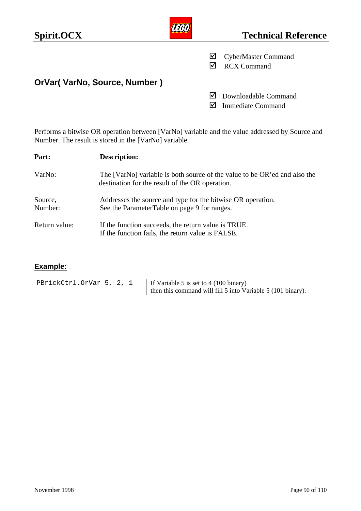| Spirit.OCX                    |   | <b>Technical Reference</b>                       |
|-------------------------------|---|--------------------------------------------------|
|                               | ⊻ | <b>CyberMaster Command</b><br><b>RCX Command</b> |
| OrVar( VarNo, Source, Number) |   |                                                  |
|                               | M | Downloadable Command<br><b>Immediate Command</b> |

Performs a bitwise OR operation between [VarNo] variable and the value addressed by Source and Number. The result is stored in the [VarNo] variable.

| Part:              | <b>Description:</b>                                                                                                          |
|--------------------|------------------------------------------------------------------------------------------------------------------------------|
| VarNo:             | The [VarNo] variable is both source of the value to be OR'ed and also the<br>destination for the result of the OR operation. |
| Source,<br>Number: | Addresses the source and type for the bitwise OR operation.<br>See the ParameterTable on page 9 for ranges.                  |
| Return value:      | If the function succeeds, the return value is TRUE.<br>If the function fails, the return value is FALSE.                     |

| PBrickCtrl.OrVar 5, 2, 1 | If Variable 5 is set to $4(100 \text{ binary})$             |
|--------------------------|-------------------------------------------------------------|
|                          | then this command will fill 5 into Variable 5 (101 binary). |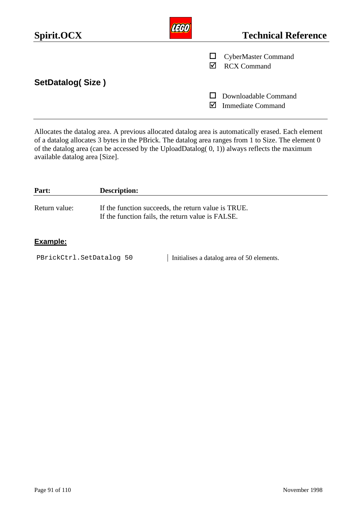| Spirit.OCX              |   | <b>Technical Reference</b>                       |
|-------------------------|---|--------------------------------------------------|
|                         | ⋈ | <b>CyberMaster Command</b><br><b>RCX Command</b> |
| <b>SetDatalog(Size)</b> |   |                                                  |
|                         |   | Downloadable Command<br><b>Immediate Command</b> |

Allocates the datalog area. A previous allocated datalog area is automatically erased. Each element of a datalog allocates 3 bytes in the PBrick. The datalog area ranges from 1 to Size. The element 0 of the datalog area (can be accessed by the UploadDatalog(  $0, 1$ )) always reflects the maximum available datalog area [Size].

| Part:         | <b>Description:</b>                                                                                      |
|---------------|----------------------------------------------------------------------------------------------------------|
| Return value: | If the function succeeds, the return value is TRUE.<br>If the function fails, the return value is FALSE. |
|               |                                                                                                          |

### **Example:**

PBrickCtrl.SetDatalog 50 | Initialises a datalog area of 50 elements.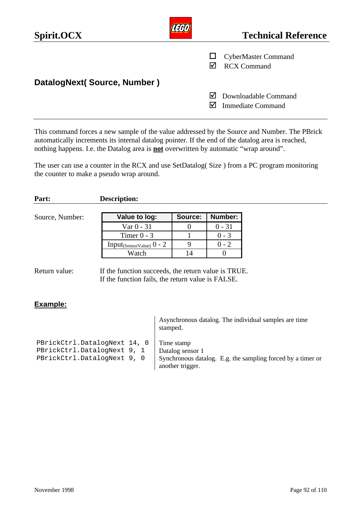| Spirit.OCX                  |   | <b>Technical Reference</b>                       |
|-----------------------------|---|--------------------------------------------------|
|                             |   | <b>CyberMaster Command</b><br><b>RCX Command</b> |
| DatalogNext(Source, Number) |   |                                                  |
|                             | M | Downloadable Command<br><b>Immediate Command</b> |

This command forces a new sample of the value addressed by the Source and Number. The PBrick automatically increments its internal datalog pointer. If the end of the datalog area is reached, nothing happens. I.e. the Datalog area is **not** overwritten by automatic "wrap around".

The user can use a counter in the RCX and use SetDatalog( Size ) from a PC program monitoring the counter to make a pseudo wrap around.

| Part:           | <b>Description:</b>                    |         |                |
|-----------------|----------------------------------------|---------|----------------|
| Source, Number: | Value to log:                          | Source: | <b>Number:</b> |
|                 | Var $0 - 31$                           |         | $0 - 31$       |
|                 | Timer $0 - 3$                          |         | $0 - 3$        |
|                 | Input <sub>(SensorValue)</sub> $0 - 2$ | 9       | $0 - 2$        |
|                 | Watch                                  | 14      |                |

|                                                                                            | Asynchronous datalog. The individual samples are time<br>stamped.                                                 |
|--------------------------------------------------------------------------------------------|-------------------------------------------------------------------------------------------------------------------|
| PBrickCtrl.DatalogNext 14, 0<br>PBrickCtrl.DatalogNext 9, 1<br>PBrickCtrl.DatalogNext 9, 0 | Time stamp<br>Datalog sensor 1<br>Synchronous datalog. E.g. the sampling forced by a timer or<br>another trigger. |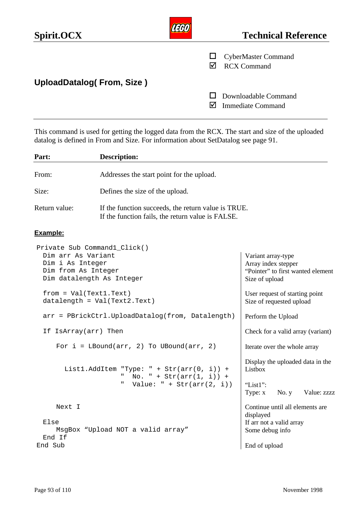| Spirit.OCX                       | <b>Technical Reference</b>                       |
|----------------------------------|--------------------------------------------------|
|                                  | <b>CyberMaster Command</b><br><b>RCX Command</b> |
| <b>UploadDatalog(From, Size)</b> |                                                  |
|                                  | Downloadable Command<br><b>Immediate Command</b> |

This command is used for getting the logged data from the RCX. The start and size of the uploaded datalog is defined in From and Size. For information about SetDatalog see page 91.

| Part:                                                                   | <b>Description:</b>                                                                                      |                                                                                                  |  |  |
|-------------------------------------------------------------------------|----------------------------------------------------------------------------------------------------------|--------------------------------------------------------------------------------------------------|--|--|
| From:                                                                   | Addresses the start point for the upload.                                                                |                                                                                                  |  |  |
| Size:                                                                   | Defines the size of the upload.                                                                          |                                                                                                  |  |  |
| Return value:                                                           | If the function succeeds, the return value is TRUE.<br>If the function fails, the return value is FALSE. |                                                                                                  |  |  |
| Example:                                                                |                                                                                                          |                                                                                                  |  |  |
| Dim arr As Variant<br>Dim i As Integer<br>Dim from As Integer           | Private Sub Command1_Click()<br>Dim datalength As Integer                                                | Variant array-type<br>Array index stepper<br>"Pointer" to first wanted element<br>Size of upload |  |  |
| $from = Val(Text1.Text)$<br>$datalength = Val(Text2.Text)$              |                                                                                                          | User request of starting point<br>Size of requested upload                                       |  |  |
| arr = PBrickCtrl.UploadDatalog(from, Datalength)                        |                                                                                                          | Perform the Upload                                                                               |  |  |
| If IsArray(arr) Then                                                    |                                                                                                          | Check for a valid array (variant)                                                                |  |  |
|                                                                         | For $i = LBound(arr, 2)$ To UBound(arr, 2)                                                               | Iterate over the whole array                                                                     |  |  |
| List1.AddItem "Type: " + Str(arr(0, i)) +<br>No. $" + Str(arr(1, i)) +$ |                                                                                                          | Display the uploaded data in the<br>Listbox                                                      |  |  |
|                                                                         | Value: $" + Str(arr(2, i))$<br>Ш                                                                         | "List1":<br>Type: x<br>No. $y$<br>Value: zzzz                                                    |  |  |
| Next I<br>Else<br>End If                                                | MsgBox "Upload NOT a valid array"                                                                        | Continue until all elements are<br>displayed<br>If arr not a valid array<br>Some debug info      |  |  |
| End Sub                                                                 |                                                                                                          | End of upload                                                                                    |  |  |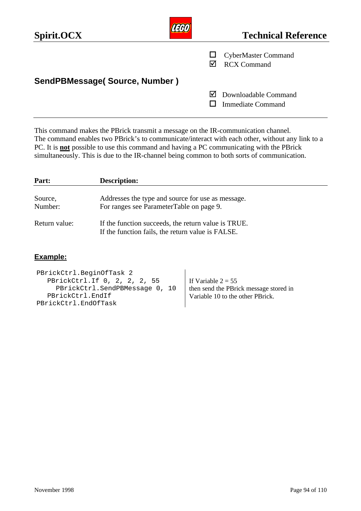| Spirit.OCX                    | <b>Technical Reference</b>                            |
|-------------------------------|-------------------------------------------------------|
|                               | <b>CyberMaster Command</b><br><b>RCX Command</b>      |
| SendPBMessage(Source, Number) |                                                       |
|                               | Downloadable Command<br>M<br><b>Immediate Command</b> |

This command makes the PBrick transmit a message on the IR-communication channel. The command enables two PBrick's to communicate/interact with each other, without any link to a PC. It is **not** possible to use this command and having a PC communicating with the PBrick simultaneously. This is due to the IR-channel being common to both sorts of communication.

| Part:         | <b>Description:</b>                                 |
|---------------|-----------------------------------------------------|
| Source,       | Addresses the type and source for use as message.   |
| Number:       | For ranges see ParameterTable on page 9.            |
| Return value: | If the function succeeds, the return value is TRUE. |
|               | If the function fails, the return value is FALSE.   |

| PBrickCtrl.BeginOfTask 2       |                                        |
|--------------------------------|----------------------------------------|
| PBrickCtrl.If 0, 2, 2, 2, 55   | I If Variable $2 = 55$                 |
| PBrickCtrl.SendPBMessage 0, 10 | then send the PBrick message stored in |
| PBrickCtrl.EndIf               | Variable 10 to the other PBrick.       |
| PBrickCtrl.EndOfTask           |                                        |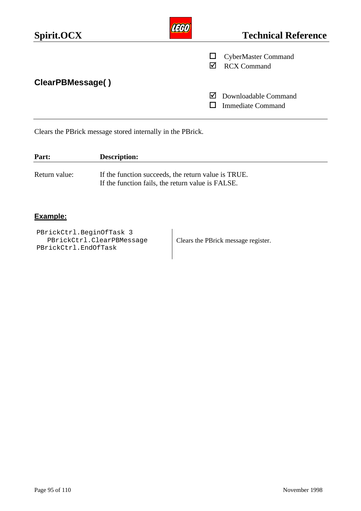| Spirit.OCX       |   | <b>Technical Reference</b>                       |
|------------------|---|--------------------------------------------------|
|                  | M | <b>CyberMaster Command</b><br><b>RCX Command</b> |
| ClearPBMessage() | M | Downloadable Command<br><b>Immediate Command</b> |

Clears the PBrick message stored internally in the PBrick.

| Part:         | <b>Description:</b>                                                                                      |
|---------------|----------------------------------------------------------------------------------------------------------|
| Return value: | If the function succeeds, the return value is TRUE.<br>If the function fails, the return value is FALSE. |

### **Example:**

PBrickCtrl.BeginOfTask 3 PBrickCtrl.ClearPBMessage PBrickCtrl.EndOfTask

Clears the PBrick message register.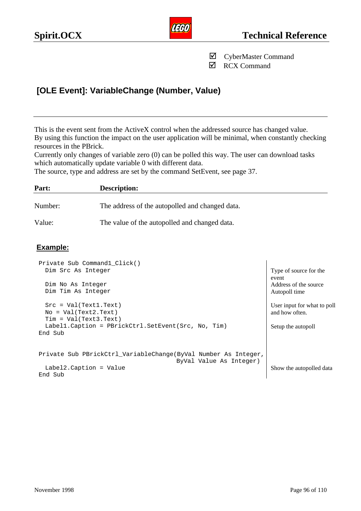

˛ RCX Command

# **[OLE Event]: VariableChange (Number, Value)**

This is the event sent from the ActiveX control when the addressed source has changed value. By using this function the impact on the user application will be minimal, when constantly checking resources in the PBrick.

Currently only changes of variable zero (0) can be polled this way. The user can download tasks which automatically update variable 0 with different data.

The source, type and address are set by the command SetEvent, see page 37.

| Part:   | <b>Description:</b>                             |
|---------|-------------------------------------------------|
| Number: | The address of the autopolled and changed data. |
| Value:  | The value of the autopolled and changed data.   |

| Private Sub Command1 Click()                                   |                                 |
|----------------------------------------------------------------|---------------------------------|
| Dim Src As Integer                                             | Type of source for the<br>event |
| Dim No As Integer                                              | Address of the source           |
| Dim Tim As Integer                                             | Autopoll time                   |
| $Src = Val(Text1.Text)$                                        | User input for what to poll     |
| $No = Val(Text2.Text)$                                         | and how often.                  |
| $Tim = Val(Text3.Text)$                                        |                                 |
| Labell. Caption = PBrickCtrl. SetEvent (Src, No, Tim)          | Setup the autopoll              |
| End Sub                                                        |                                 |
|                                                                |                                 |
| Private Sub PBrickCtrl_VariableChange(ByVal Number As Integer, |                                 |
| ByVal Value As Integer)                                        |                                 |
| $Label2.Caption = Value$                                       | Show the autopolled data        |
| End Sub                                                        |                                 |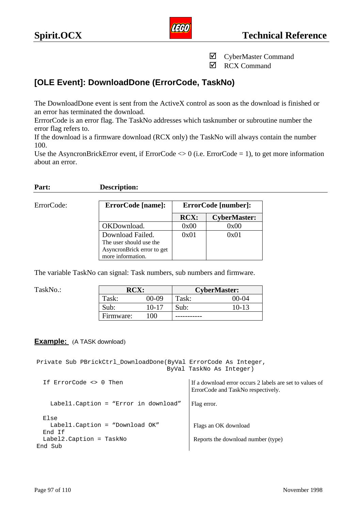

**☑** RCX Command

# **[OLE Event]: DownloadDone (ErrorCode, TaskNo)**

The DownloadDone event is sent from the ActiveX control as soon as the download is finished or an error has terminated the download.

ErrrorCode is an error flag. The TaskNo addresses which tasknumber or subroutine number the error flag refers to.

If the download is a firmware download (RCX only) the TaskNo will always contain the number 100.

Use the AsyncronBrickError event, if ErrorCode  $\langle 0 \rangle$  (i.e. ErrorCode = 1), to get more information about an error.

#### **Part: Description:**

 $ErrorCode:$ 

| ErrorCode [name]:          | ErrorCode [number]: |                     |  |
|----------------------------|---------------------|---------------------|--|
|                            | <b>RCX:</b>         | <b>CyberMaster:</b> |  |
| OKDownload.                | 0x00                | 0x00                |  |
| Download Failed.           | 0x01                | 0x01                |  |
| The user should use the    |                     |                     |  |
| AsyncronBrick error to get |                     |                     |  |
| more information.          |                     |                     |  |

The variable TaskNo can signal: Task numbers, sub numbers and firmware.

| TaskNo.: | <b>RCX:</b> |              | <b>CyberMaster:</b> |       |
|----------|-------------|--------------|---------------------|-------|
|          | Task:       | 00-09        | $\tau_{ask:}$       | 00-04 |
|          | Sub:        | 10-17        | Sub:                | 10-13 |
|          | Firmware:   | $00^{\circ}$ |                     |       |

### **Example:** (A TASK download)

Private Sub PBrickCtrl\_DownloadDone(ByVal ErrorCode As Integer, ByVal TaskNo As Integer)

| If ErrorCode <> 0 Then                            | If a download error occurs 2 labels are set to values of<br>ErrorCode and TaskNo respectively. |
|---------------------------------------------------|------------------------------------------------------------------------------------------------|
| Labell. Caption = "Error in download"             | Flag error.                                                                                    |
| Else<br>Labell. Caption = "Download OK"<br>End If | Flags an OK download                                                                           |
| Label2. Caption = TaskNo<br>End Sub               | Reports the download number (type)                                                             |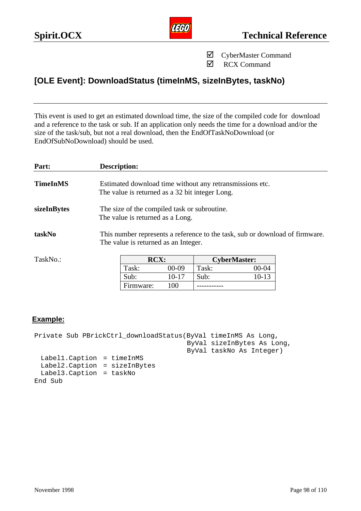

**☑** RCX Command

# **[OLE Event]: DownloadStatus (timeInMS, sizeInBytes, taskNo)**

This event is used to get an estimated download time, the size of the compiled code for download and a reference to the task or sub. If an application only needs the time for a download and/or the size of the task/sub, but not a real download, then the EndOfTaskNoDownload (or EndOfSubNoDownload) should be used.

| Part:           | <b>Description:</b> |                                                                                                                      |                     |           |  |
|-----------------|---------------------|----------------------------------------------------------------------------------------------------------------------|---------------------|-----------|--|
| <b>TimeInMS</b> |                     | Estimated download time without any retransmissions etc.<br>The value is returned as a 32 bit integer Long.          |                     |           |  |
| sizeInBytes     |                     | The size of the compiled task or subroutine.<br>The value is returned as a Long.                                     |                     |           |  |
| taskNo          |                     | This number represents a reference to the task, sub or download of firmware.<br>The value is returned as an Integer. |                     |           |  |
| TaskNo.:        | RCX:                |                                                                                                                      | <b>CyberMaster:</b> |           |  |
|                 | Task:               | $00-09$                                                                                                              | Task:               | $00 - 04$ |  |
|                 | Sub:                | $10-17$                                                                                                              | Sub:                | $10-13$   |  |
|                 | Firmware:           | 100                                                                                                                  |                     |           |  |

### **Example:**

Private Sub PBrickCtrl\_downloadStatus(ByVal timeInMS As Long, ByVal sizeInBytes As Long, ByVal taskNo As Integer) Label1.Caption = timeInMS Label2.Caption = sizeInBytes Label3.Caption = taskNo End Sub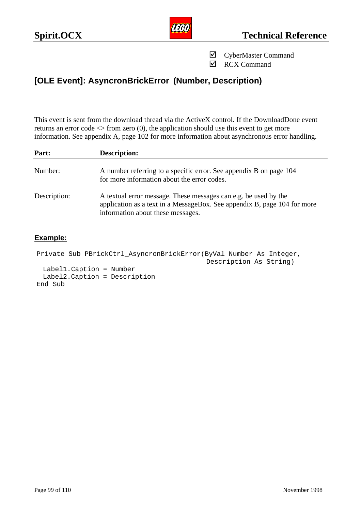

**☑** RCX Command

# **[OLE Event]: AsyncronBrickError (Number, Description)**

This event is sent from the download thread via the ActiveX control. If the DownloadDone event returns an error code <> from zero (0), the application should use this event to get more information. See appendix A, page 102 for more information about asynchronous error handling.

| Part:        | <b>Description:</b>                                                                                                                                                              |
|--------------|----------------------------------------------------------------------------------------------------------------------------------------------------------------------------------|
| Number:      | A number referring to a specific error. See appendix B on page 104<br>for more information about the error codes.                                                                |
| Description: | A textual error message. These messages can e.g. be used by the<br>application as a text in a MessageBox. See appendix B, page 104 for more<br>information about these messages. |

```
Private Sub PBrickCtrl_AsyncronBrickError(ByVal Number As Integer, 
                                          Description As String)
 Label1.Caption = Number
 Label2.Caption = Description
End Sub
```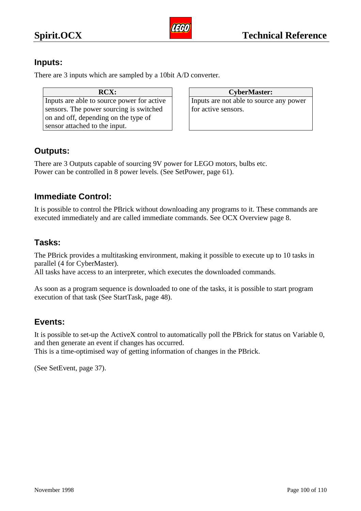

# **Inputs:**

There are 3 inputs which are sampled by a 10bit A/D converter.

| RCX:                                       |
|--------------------------------------------|
| Inputs are able to source power for active |
| sensors. The power sourcing is switched    |
| on and off, depending on the type of       |
| sensor attached to the input.              |

| <b>RCX:</b>             | <b>CyberMaster:</b>                     |
|-------------------------|-----------------------------------------|
| source power for active | Inputs are not able to source any power |
| r sourcing is switched  | for active sensors.                     |

# **Outputs:**

There are 3 Outputs capable of sourcing 9V power for LEGO motors, bulbs etc. Power can be controlled in 8 power levels. (See SetPower, page 61).

# **Immediate Control:**

It is possible to control the PBrick without downloading any programs to it. These commands are executed immediately and are called immediate commands. See OCX Overview page 8.

# **Tasks:**

The PBrick provides a multitasking environment, making it possible to execute up to 10 tasks in parallel (4 for CyberMaster).

All tasks have access to an interpreter, which executes the downloaded commands.

As soon as a program sequence is downloaded to one of the tasks, it is possible to start program execution of that task (See StartTask, page 48).

# **Events:**

It is possible to set-up the ActiveX control to automatically poll the PBrick for status on Variable 0, and then generate an event if changes has occurred.

This is a time-optimised way of getting information of changes in the PBrick.

(See SetEvent, page 37).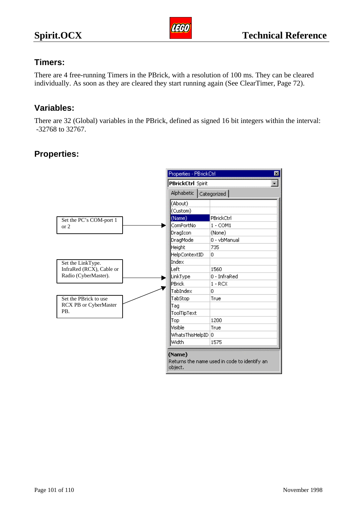

# **Timers:**

There are 4 free-running Timers in the PBrick, with a resolution of 100 ms. They can be cleared individually. As soon as they are cleared they start running again (See ClearTimer, Page 72).

# **Variables:**

There are 32 (Global) variables in the PBrick, defined as signed 16 bit integers within the interval: -32768 to 32767.

# **Properties:**

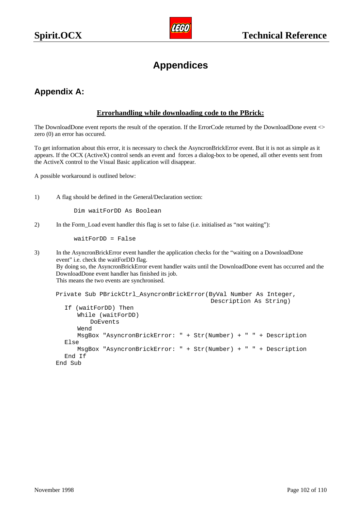

# **Appendices**

# **Appendix A:**

#### **Errorhandling while downloading code to the PBrick:**

The DownloadDone event reports the result of the operation. If the ErrorCode returned by the DownloadDone event  $\ll$ zero (0) an error has occured.

To get information about this error, it is necessary to check the AsyncronBrickError event. But it is not as simple as it appears. If the OCX (ActiveX) control sends an event and forces a dialog-box to be opened, all other events sent from the ActiveX control to the Visual Basic application will disappear.

A possible workaround is outlined below:

1) A flag should be defined in the General/Declaration section:

Dim waitForDD As Boolean

2) In the Form\_Load event handler this flag is set to false (i.e. initialised as "not waiting"):

waitForDD = False

3) In the AsyncronBrickError event handler the application checks for the "waiting on a DownloadDone event" i.e. check the waitForDD flag. By doing so, the AsyncronBrickError event handler waits until the DownloadDone event has occurred and the DownloadDone event handler has finished its job. This means the two events are synchronised.

```
Private Sub PBrickCtrl_AsyncronBrickError(ByVal Number As Integer, 
                                           Description As String)
  If (waitForDD) Then
       While (waitForDD)
         DoEvents
       Wend
      MsgBox "AsyncronBrickError: " + Str(Number) + " " + Description
  Else
      MsgBox "AsyncronBrickError: " + Str(Number) + " " + Description
  End If
End Sub
```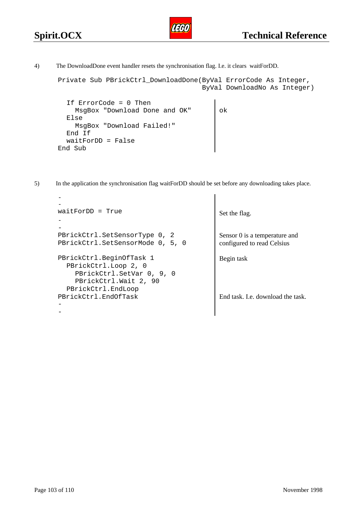End Sub



Private Sub PBrickCtrl\_DownloadDone(ByVal ErrorCode As Integer, ByVal DownloadNo As Integer) If ErrorCode = 0 Then MsqBox "Download Done and OK" | ok Else MsgBox "Download Failed!" End If waitForDD = False

ารสา

5) In the application the synchronisation flag waitForDD should be set before any downloading takes place.

```
-
-
waitForDD = True Set the flag.
-
-
PBrickCtrl.SetSensorType 0, 2 Sensor 0 is a temperature and
PBrickCtrl.SetSensorMode 0, 5, 0 configured to read Celsius
PBrickCtrl.BeginOfTask 1 Begin task
  PBrickCtrl.Loop 2, 0
    PBrickCtrl.SetVar 0, 9, 0
    PBrickCtrl.Wait 2, 90
  PBrickCtrl.EndLoop
PBrickCtrl.EndOfTask
-
-
                                       End task. I.e. download the task.
```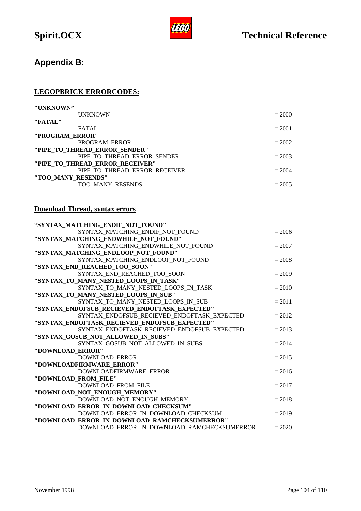# **Appendix B:**

### **LEGOPBRICK ERRORCODES:**

| "UNKNOWN"                       |          |
|---------------------------------|----------|
| <b>UNKNOWN</b>                  | $= 2000$ |
| "FATAL"                         |          |
| <b>FATAL</b>                    | $= 2001$ |
| "PROGRAM ERROR"                 |          |
| PROGRAM ERROR                   | $= 2002$ |
| "PIPE TO THREAD ERROR SENDER"   |          |
| PIPE TO THREAD ERROR SENDER     | $= 2003$ |
| "PIPE TO THREAD ERROR RECEIVER" |          |
| PIPE TO THREAD ERROR RECEIVER   | $= 2004$ |
| "TOO MANY RESENDS"              |          |
| TOO MANY RESENDS                | $= 2005$ |
|                                 |          |

### **Download Thread, syntax errors**

| "SYNTAX MATCHING ENDIF NOT FOUND"             |          |
|-----------------------------------------------|----------|
| SYNTAX_MATCHING_ENDIF_NOT_FOUND               | $= 2006$ |
| "SYNTAX_MATCHING_ENDWHILE_NOT_FOUND"          |          |
| SYNTAX_MATCHING_ENDWHILE_NOT_FOUND            | $= 2007$ |
| "SYNTAX MATCHING ENDLOOP NOT FOUND"           |          |
| SYNTAX_MATCHING_ENDLOOP_NOT_FOUND             | $= 2008$ |
| "SYNTAX_END_REACHED_TOO_SOON"                 |          |
| SYNTAX END REACHED TOO SOON                   | $= 2009$ |
| "SYNTAX_TO_MANY_NESTED_LOOPS_IN_TASK"         |          |
| SYNTAX TO MANY NESTED LOOPS IN TASK           | $= 2010$ |
| "SYNTAX TO MANY NESTED LOOPS IN SUB"          |          |
| SYNTAX_TO_MANY_NESTED_LOOPS_IN_SUB            | $= 2011$ |
| "SYNTAX ENDOFSUB RECIEVED ENDOFTASK EXPECTED" |          |
| SYNTAX_ENDOFSUB_RECIEVED_ENDOFTASK_EXPECTED   | $= 2012$ |
| "SYNTAX ENDOFTASK RECIEVED ENDOFSUB EXPECTED" |          |
| SYNTAX ENDOFTASK RECIEVED ENDOFSUB EXPECTED   | $= 2013$ |
| "SYNTAX_GOSUB_NOT_ALLOWED_IN_SUBS"            |          |
| SYNTAX GOSUB NOT ALLOWED IN SUBS              | $= 2014$ |
| "DOWNLOAD_ERROR"                              |          |
| DOWNLOAD ERROR                                | $= 2015$ |
| "DOWNLOADFIRMWARE ERROR"                      |          |
| DOWNLOADFIRMWARE_ERROR                        | $= 2016$ |
| "DOWNLOAD_FROM_FILE"                          |          |
| DOWNLOAD FROM FILE                            | $= 2017$ |
| "DOWNLOAD NOT ENOUGH MEMORY"                  |          |
| DOWNLOAD NOT ENOUGH MEMORY                    | $= 2018$ |
| "DOWNLOAD_ERROR_IN_DOWNLOAD_CHECKSUM"         |          |
| DOWNLOAD_ERROR_IN_DOWNLOAD_CHECKSUM           | $= 2019$ |
| "DOWNLOAD_ERROR_IN_DOWNLOAD_RAMCHECKSUMERROR" |          |
| DOWNLOAD ERROR IN DOWNLOAD RAMCHECKSUMERROR   | $= 2020$ |
|                                               |          |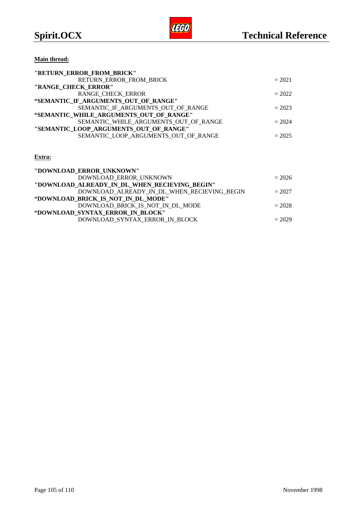**Main thread:**

| "RETURN ERROR FROM BRICK"               |          |
|-----------------------------------------|----------|
| RETURN ERROR FROM BRICK                 | $= 2021$ |
| "RANGE CHECK ERROR"                     |          |
| RANGE CHECK ERROR                       | $= 2022$ |
| "SEMANTIC IF ARGUMENTS OUT OF RANGE"    |          |
| SEMANTIC IF ARGUMENTS OUT OF RANGE      | $= 2023$ |
| "SEMANTIC WHILE ARGUMENTS OUT OF RANGE" |          |
| SEMANTIC_WHILE_ARGUMENTS_OUT_OF_RANGE   | $= 2024$ |
| "SEMANTIC LOOP ARGUMENTS OUT OF RANGE"  |          |
| SEMANTIC LOOP ARGUMENTS OUT OF RANGE    | $= 2025$ |
|                                         |          |

#### **Extra:**

| "DOWNLOAD ERROR UNKNOWN"                      |          |
|-----------------------------------------------|----------|
| DOWNLOAD ERROR UNKNOWN                        | $= 2026$ |
| "DOWNLOAD_ALREADY_IN_DL_WHEN_RECIEVING_BEGIN" |          |
| DOWNLOAD_ALREADY_IN_DL_WHEN_RECIEVING BEGIN   | $= 2027$ |
| "DOWNLOAD BRICK IS NOT IN DL MODE"            |          |
| DOWNLOAD BRICK IS NOT IN DL MODE              | $= 2028$ |
| "DOWNLOAD SYNTAX ERROR IN BLOCK"              |          |
| DOWNLOAD SYNTAX ERROR IN BLOCK                | $= 2029$ |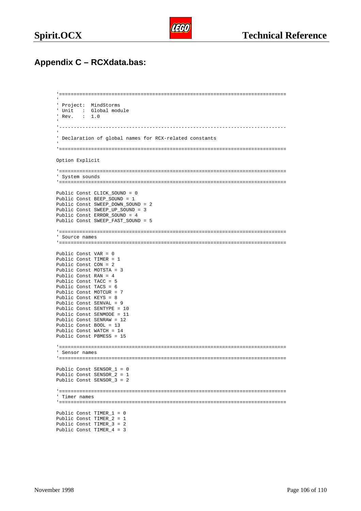

# **Appendix C – RCXdata.bas:**

```
'==============================================================================
' Project: MindStorms
' Unit : Global module<br>' Rev. : 1.0
       : 1.0'------------------------------------------------------------------------------
' Declaration of global names for RCX-related constants
'==============================================================================
Option Explicit
'==============================================================================
' System sounds
'==============================================================================
Public Const CLICK_SOUND = 0
Public Const BEEP_SOUND = 1
Public Const SWEEP_DOWN_SOUND = 2
Public Const SWEEP_UP_SOUND = 3
Public Const ERROR_SOUND = 4
Public Const SWEEP_FAST_SOUND = 5
'==============================================================================
' Source names
'==============================================================================
Public Const VAR = 0
Public Const TIMER = 1
Public Const CON = 2
Public Const MOTSTA = 3
Public Const RAN = 4
Public Const TACC = 5
Public Const TACS = 6
Public Const MOTCUR = 7
Public Const KEYS = 8
Public Const SENVAL = 9
Public Const SENTYPE = 10
Public Const SENMODE = 11
Public Const SENRAW = 12
Public Const BOOL = 13
Public Const WATCH = 14
Public Const PBMESS = 15
'==============================================================================
' Sensor names
'==============================================================================
Public Const SENSOR_1 = 0
Public Const SENSOR_2 = 1
Public Const SENSOR_3 = 2
'==============================================================================
' Timer names
'==============================================================================
Public Const TIMER_1 = 0
Public Const TIMER_2 = 1
Public Const TIMER_3 = 2
Public Const TIMER_4 = 3
```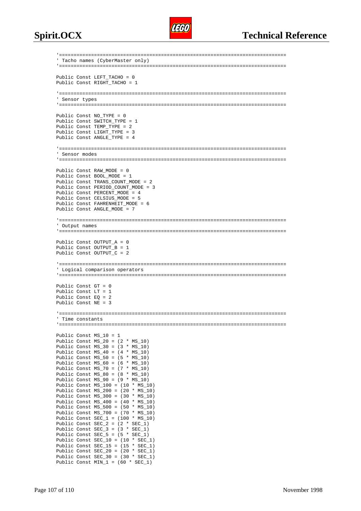

```
'==============================================================================
' Tacho names (CyberMaster only)
'==============================================================================
Public Const LEFT TACHO = 0
Public Const RIGHT TACHO = 1
'==============================================================================
' Sensor types
'==============================================================================
Public Const NO_TYPE = 0
Public Const SWITCH TYPE = 1
Public Const TEMP_TYPE = 2
Public Const LIGHT TYPE = 3
Public Const ANGLE TYPE = 4
'==============================================================================
' Sensor modes
'==============================================================================
Public Const RAW MODE = 0
Public Const BOOL_MODE = 1
Public Const TRANS_COUNT_MODE = 2
Public Const PERIOD_COUNT_MODE = 3
Public Const PERCENT MODE = 4
Public Const CELSIUS_MODE = 5
Public Const FAHRENHEIT MODE = 6
Public Const ANGLE_MODE = 7
'==============================================================================
' Output names
'==============================================================================
Public Const OUTPUT A = 0Public Const OUTPUT_B = 1
Public Const OUTPUT_C = 2
'==============================================================================
' Logical comparison operators
'==============================================================================
Public Const GT = 0
Public Const LT = 1
Public Const EQ = 2
Public Const NE = 3
'==============================================================================
' Time constants
'==============================================================================
Public Const MS_10 = 1
Public Const MS_20 = (2 * MS_10)Public Const MS_30 = (3 * MS_10)Public Const MS_40 = (4 * MS_10)Public Const MS_50 = (5 * MS_10)Public Const MS_60 = (6 * MS_10)Public Const MS_70 = (7 * MS_10)Public Const MS_80 = (8 * MS_10)Public Const MS_90 = (9 * MS_10)Public Const MS_100 = (10 * MS_10)
Public Const MS 200 = (20 * MS_10)Public Const MS_300 = (30 * MS_10)Public Const MS_400 = (40 * MS_10)
Public Const MS\_500 = (50 * MS_10)Public Const MS_700 = (70 * MS_10)Public Const SEC_1 = (100 * MS_10)Public Const SEC_2 = (2 * SEC_1)Public Const SEC_3 = (3 * SEC_1)
Public Const SEC_5 = (5 * SEC_1)Public Const SEC_10 = (10 * SEC_1)Public Const SEC_15 = (15 * SEC_1)Public Const SEC_20 = (20 * SEC_1)Public Const SEC_30 = (30 * SEC_1)
Public Const MIN_1 = (60 * SEC_1)
```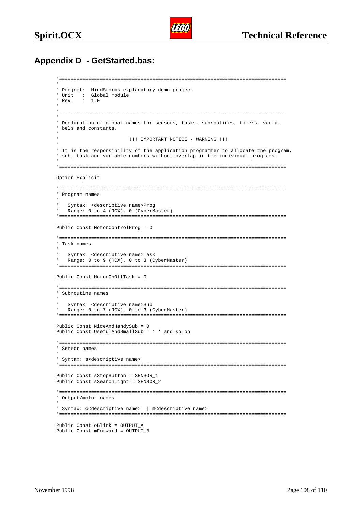

## **Appendix D - GetStarted.bas:**

```
'==============================================================================
' Project: MindStorms explanatory demo project
' Unit : Global module
' Rev. : 1.0
  -+++++' Declaration of global names for sensors, tasks, subroutines, timers, varia-
' bels and constants.
                        ' !!! IMPORTANT NOTICE - WARNING !!!
' It is the responsibility of the application programmer to allocate the program,
' sub, task and variable numbers without overlap in the individual programs.
'==============================================================================
Option Explicit
'==============================================================================
' Program names
   ' Syntax: <descriptive name>Prog
   Range: 0 to 4 (RCX), 0 (CyberMaster)
'==============================================================================
Public Const MotorControlProg = 0
'==============================================================================
' Task names
   ' Syntax: <descriptive name>Task
  Range: 0 to 9 (RCX), 0 to 3 (CyberMaster)
'==============================================================================
Public Const MotorOnOffTask = 0
'==============================================================================
' Subroutine names
   Syntax: < descriptive name>Sub
   Range: 0 to 7 (RCX), 0 to 3 (CyberMaster)
'==============================================================================
Public Const NiceAndHandySub = 0
Public Const UsefulAndSmallSub = 1 ' and so on
'==============================================================================
' Sensor names
' Syntax: s<descriptive name>
'==============================================================================
Public Const sStopButton = SENSOR_1
Public Const sSearchLight = SENSOR_2
'==============================================================================
' Output/motor names
' Syntax: o<descriptive name> || m<descriptive name>
'==============================================================================
Public Const oBlink = OUTPUT_A
Public Const mForward = OUTPUT_B
```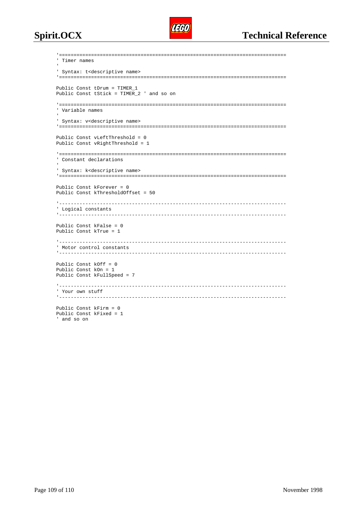

```
'==============================================================================
' Timer names

' Syntax: t<descriptive name>
'==============================================================================
Public Const tDrum = TIMER_1
Public Const tStick = TIMER_2 ' and so on
'==============================================================================
' Variable names
' Syntax: v<descriptive name>
'==============================================================================
Public Const vLeftThreshold = 0
Public Const vRightThreshold = 1
'==============================================================================
' Constant declarations
' Syntax: k<descriptive name>
'==============================================================================
Public Const kForever = 0
Public Const kThresholdOffset = 50
'------------------------------------------------------------------------------
' Logical constants
                   '------------------------------------------------------------------------------
Public Const kFalse = 0
Public Const kTrue = 1
'------------------------------------------------------------------------------
' Motor control constants
'------------------------------------------------------------------------------
Public Const kOff = 0
Public Const kOn = 1
Public Const kFullSpeed = 7
                   '------------------------------------------------------------------------------
' Your own stuff
'------------------------------------------------------------------------------
Public Const kFirm = 0
Public Const kFixed = 1
' and so on
```